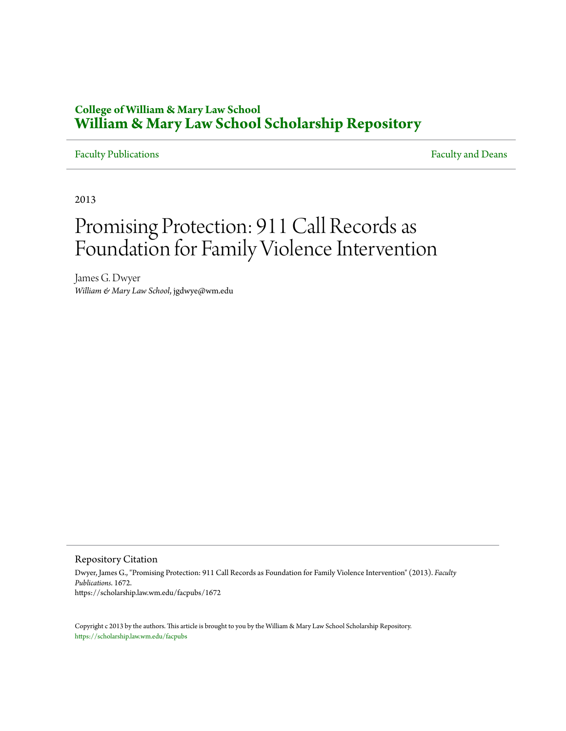# **College of William & Mary Law School [William & Mary Law School Scholarship Repository](https://scholarship.law.wm.edu)**

## [Faculty Publications](https://scholarship.law.wm.edu/facpubs) **Faculty** and Deans

2013

# Promising Protection: 911 Call Records as Foundation for Family Violence Intervention

James G. Dwyer *William & Mary Law School*, jgdwye@wm.edu

Repository Citation

Dwyer, James G., "Promising Protection: 911 Call Records as Foundation for Family Violence Intervention" (2013). *Faculty Publications*. 1672. https://scholarship.law.wm.edu/facpubs/1672

Copyright c 2013 by the authors. This article is brought to you by the William & Mary Law School Scholarship Repository. <https://scholarship.law.wm.edu/facpubs>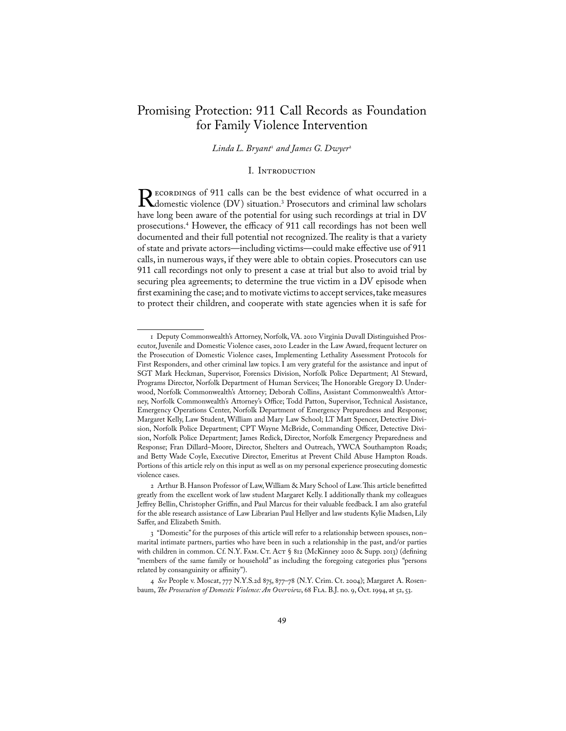## Promising Protection: 911 Call Records as Foundation for Family Violence Intervention

*Linda L. Bryant<sup>1</sup> and James G. Dwyer<sup>2</sup>* 

#### I. INTRODUCTION

Recordings of 911 calls can be the best evidence of what occurred in a domestic violence (DV) situation.<sup>3</sup> Prosecutors and criminal law scholars have long been aware of the potential for using such recordings at trial in DV prosecutions.4 However, the efficacy of 911 call recordings has not been well documented and their full potential not recognized. The reality is that a variety of state and private actors—including victims—could make effective use of 911 calls, in numerous ways, if they were able to obtain copies. Prosecutors can use 911 call recordings not only to present a case at trial but also to avoid trial by securing plea agreements; to determine the true victim in a DV episode when first examining the case; and to motivate victims to accept services, take measures to protect their children, and cooperate with state agencies when it is safe for

<sup>1</sup> Deputy Commonwealth's Attorney, Norfolk, VA. 2010 Virginia Duvall Distinguished Prosecutor, Juvenile and Domestic Violence cases, 2010 Leader in the Law Award, frequent lecturer on the Prosecution of Domestic Violence cases, Implementing Lethality Assessment Protocols for First Responders, and other criminal law topics. I am very grateful for the assistance and input of SGT Mark Heckman, Supervisor, Forensics Division, Norfolk Police Department; Al Steward, Programs Director, Norfolk Department of Human Services; The Honorable Gregory D. Underwood, Norfolk Commonwealth's Attorney; Deborah Collins, Assistant Commonwealth's Attorney, Norfolk Commonwealth's Attorney's Office; Todd Patton, Supervisor, Technical Assistance, Emergency Operations Center, Norfolk Department of Emergency Preparedness and Response; Margaret Kelly, Law Student, William and Mary Law School; LT Matt Spencer, Detective Division, Norfolk Police Department; CPT Wayne McBride, Commanding Officer, Detective Division, Norfolk Police Department; James Redick, Director, Norfolk Emergency Preparedness and Response; Fran Dillard–Moore, Director, Shelters and Outreach, YWCA Southampton Roads; and Betty Wade Coyle, Executive Director, Emeritus at Prevent Child Abuse Hampton Roads. Portions of this article rely on this input as well as on my personal experience prosecuting domestic violence cases.

<sup>2</sup> Arthur B. Hanson Professor of Law, William & Mary School of Law. This article benefitted greatly from the excellent work of law student Margaret Kelly. I additionally thank my colleagues Jeffrey Bellin, Christopher Griffin, and Paul Marcus for their valuable feedback. I am also grateful for the able research assistance of Law Librarian Paul Hellyer and law students Kylie Madsen, Lily Saffer, and Elizabeth Smith.

<sup>3 &</sup>quot;Domestic" for the purposes of this article will refer to a relationship between spouses, non– marital intimate partners, parties who have been in such a relationship in the past, and/or parties with children in common. Cf. N.Y. FAM. CT. ACT § 812 (McKinney 2010 & Supp. 2013) (defining "members of the same family or household" as including the foregoing categories plus "persons related by consanguinity or affinity").

<sup>4</sup> *See* People v. Moscat, 777 N.Y.S.2d 875, 877–78 (N.Y. Crim. Ct. 2004); Margaret A. Rosenbaum, *The Prosecution of Domestic Violence: An Overview*, 68 FLA. B.J. no. 9, Oct. 1994, at 52, 53.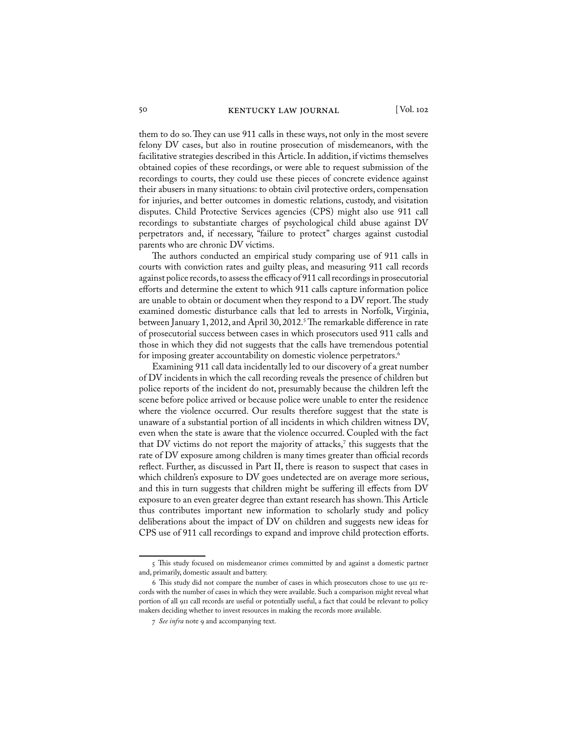them to do so. They can use 911 calls in these ways, not only in the most severe felony DV cases, but also in routine prosecution of misdemeanors, with the facilitative strategies described in this Article. In addition, if victims themselves obtained copies of these recordings, or were able to request submission of the recordings to courts, they could use these pieces of concrete evidence against their abusers in many situations: to obtain civil protective orders, compensation for injuries, and better outcomes in domestic relations, custody, and visitation disputes. Child Protective Services agencies (CPS) might also use 911 call recordings to substantiate charges of psychological child abuse against DV perpetrators and, if necessary, "failure to protect" charges against custodial parents who are chronic DV victims.

The authors conducted an empirical study comparing use of 911 calls in courts with conviction rates and guilty pleas, and measuring 911 call records against police records, to assess the efficacy of 911 call recordings in prosecutorial efforts and determine the extent to which 911 calls capture information police are unable to obtain or document when they respond to a DV report. The study examined domestic disturbance calls that led to arrests in Norfolk, Virginia, between January 1, 2012, and April 30, 2012.<sup>5</sup> The remarkable difference in rate of prosecutorial success between cases in which prosecutors used 911 calls and those in which they did not suggests that the calls have tremendous potential for imposing greater accountability on domestic violence perpetrators.<sup>6</sup>

Examining 911 call data incidentally led to our discovery of a great number of DV incidents in which the call recording reveals the presence of children but police reports of the incident do not, presumably because the children left the scene before police arrived or because police were unable to enter the residence where the violence occurred. Our results therefore suggest that the state is unaware of a substantial portion of all incidents in which children witness DV, even when the state is aware that the violence occurred. Coupled with the fact that  $DV$  victims do not report the majority of attacks,<sup>7</sup> this suggests that the rate of DV exposure among children is many times greater than official records reflect. Further, as discussed in Part II, there is reason to suspect that cases in which children's exposure to DV goes undetected are on average more serious, and this in turn suggests that children might be suffering ill effects from DV exposure to an even greater degree than extant research has shown. This Article thus contributes important new information to scholarly study and policy deliberations about the impact of DV on children and suggests new ideas for CPS use of 911 call recordings to expand and improve child protection efforts.

<sup>5</sup> This study focused on misdemeanor crimes committed by and against a domestic partner and, primarily, domestic assault and battery.

<sup>6</sup> This study did not compare the number of cases in which prosecutors chose to use 911 records with the number of cases in which they were available. Such a comparison might reveal what portion of all 911 call records are useful or potentially useful, a fact that could be relevant to policy makers deciding whether to invest resources in making the records more available.

<sup>7</sup> *See infra* note 9 and accompanying text.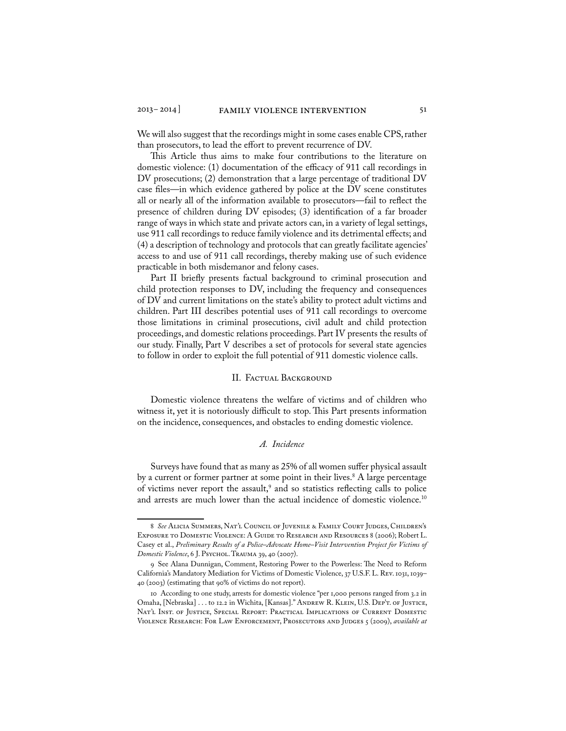We will also suggest that the recordings might in some cases enable CPS, rather than prosecutors, to lead the effort to prevent recurrence of DV.

This Article thus aims to make four contributions to the literature on domestic violence: (1) documentation of the efficacy of 911 call recordings in DV prosecutions; (2) demonstration that a large percentage of traditional DV case files—in which evidence gathered by police at the DV scene constitutes all or nearly all of the information available to prosecutors—fail to reflect the presence of children during DV episodes; (3) identification of a far broader range of ways in which state and private actors can, in a variety of legal settings, use 911 call recordings to reduce family violence and its detrimental effects; and (4) a description of technology and protocols that can greatly facilitate agencies' access to and use of 911 call recordings, thereby making use of such evidence practicable in both misdemanor and felony cases.

Part II briefly presents factual background to criminal prosecution and child protection responses to DV, including the frequency and consequences of DV and current limitations on the state's ability to protect adult victims and children. Part III describes potential uses of 911 call recordings to overcome those limitations in criminal prosecutions, civil adult and child protection proceedings, and domestic relations proceedings. Part IV presents the results of our study. Finally, Part V describes a set of protocols for several state agencies to follow in order to exploit the full potential of 911 domestic violence calls.

#### II. Factual Background

Domestic violence threatens the welfare of victims and of children who witness it, yet it is notoriously difficult to stop. This Part presents information on the incidence, consequences, and obstacles to ending domestic violence.

#### *A. Incidence*

 Surveys have found that as many as 25% of all women suffer physical assault by a current or former partner at some point in their lives.<sup>8</sup> A large percentage of victims never report the assault,<sup>9</sup> and so statistics reflecting calls to police and arrests are much lower than the actual incidence of domestic violence.<sup>10</sup>

<sup>8</sup> *See* Alicia Summers, Nat'l Council of Juvenile & Family Court Judges, Children's EXPOSURE TO DOMESTIC VIOLENCE: A GUIDE TO RESEARCH AND RESOURCES 8 (2006); Robert L. Casey et al., *Preliminary Results of a Police–Advocate Home–Visit Intervention Project for Victims of Domestic Violence*, 6 J. Psychol. Trauma 39, 40 (2007).

<sup>9</sup> See Alana Dunnigan, Comment, Restoring Power to the Powerless: The Need to Reform California's Mandatory Mediation for Victims of Domestic Violence, 37 U.S.F. L. Rev. 1031, 1039– 40 (2003) (estimating that 90% of victims do not report).

<sup>10</sup> According to one study, arrests for domestic violence "per 1,000 persons ranged from 3.2 in Omaha, [Nebraska] . . . to 12.2 in Wichita, [Kansas]." ANDREW R. KLEIN, U.S. DEP'T. OF JUSTICE, NAT'L INST. OF JUSTICE, SPECIAL REPORT: PRACTICAL IMPLICATIONS OF CURRENT DOMESTIC Violence Research: For Law Enforcement, Prosecutors and Judges 5 (2009), *available at*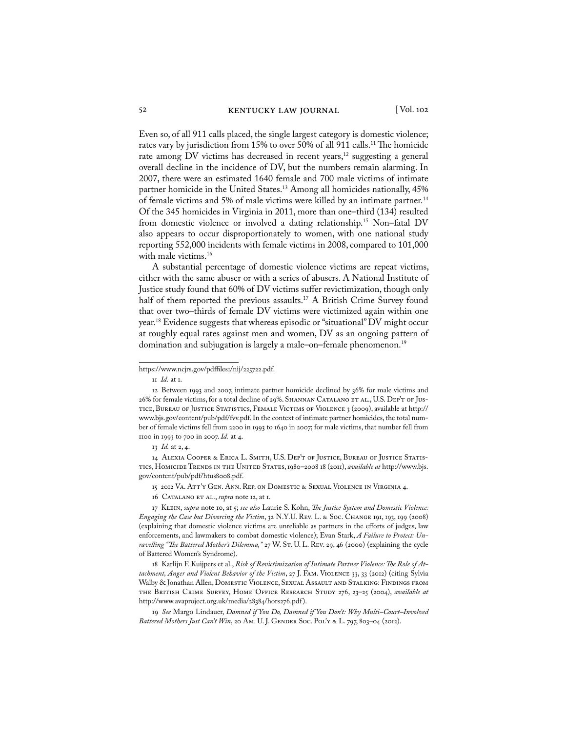Even so, of all 911 calls placed, the single largest category is domestic violence; rates vary by jurisdiction from 15% to over 50% of all 911 calls.<sup>11</sup> The homicide rate among DV victims has decreased in recent years,<sup>12</sup> suggesting a general overall decline in the incidence of DV, but the numbers remain alarming. In 2007, there were an estimated 1640 female and 700 male victims of intimate partner homicide in the United States.<sup>13</sup> Among all homicides nationally, 45% of female victims and 5% of male victims were killed by an intimate partner.<sup>14</sup> Of the 345 homicides in Virginia in 2011, more than one–third (134) resulted from domestic violence or involved a dating relationship.15 Non–fatal DV also appears to occur disproportionately to women, with one national study reporting 552,000 incidents with female victims in 2008, compared to 101,000 with male victims.<sup>16</sup>

 A substantial percentage of domestic violence victims are repeat victims, either with the same abuser or with a series of abusers. A National Institute of Justice study found that 60% of DV victims suffer revictimization, though only half of them reported the previous assaults.<sup>17</sup> A British Crime Survey found that over two–thirds of female DV victims were victimized again within one year.18 Evidence suggests that whereas episodic or "situational" DV might occur at roughly equal rates against men and women, DV as an ongoing pattern of domination and subjugation is largely a male-on-female phenomenon.<sup>19</sup>

14 Alexia Cooper & Erica L. Smith, U.S. Dep't of Justice, Bureau of Justice Statistics, Homicide Trends in the United States, 1980–2008 18 (2011), *available at* http://www.bjs. gov/content/pub/pdf/htus8008.pdf.

15 2012 Va. Att'y Gen. Ann. Rep. on Domestic & Sexual Violence in Virginia 4.

16 CATALANO ET AL., *supra* note 12, at 1.

17 Klein, *supra* note 10, at 5; *see also* Laurie S. Kohn, *The Justice System and Domestic Violence: Engaging the Case but Divorcing the Victim*, 32 N.Y.U. Rev. L. & Soc. Change 191, 193, 199 (2008) (explaining that domestic violence victims are unreliable as partners in the efforts of judges, law enforcements, and lawmakers to combat domestic violence); Evan Stark, *A Failure to Protect: Un*ravelling "The Battered Mother's Dilemma," 27 W. S*T. U. L. REV. 29, 46 (2000)* (explaining the cycle of Battered Women's Syndrome).

18 Karlijn F. Kuijpers et al., *Risk of Revictimization of Intimate Partner Violence: The Role of Attachment, Anger and Violent Behavior of the Victim*, 27 J. Fam. Violence 33, 33 (2012) (citing Sylvia Walby & Jonathan Allen, Domestic Violence, Sexual Assault and Stalking: Findings from the British Crime Survey, Home Office Research Study 276, 23–25 (2004), *available at* http://www.avaproject.org.uk/media/28384/hors276.pdf ).

19 *See* Margo Lindauer, *Damned if You Do, Damned if You Don't: Why Multi–Court–Involved*  Battered Mothers Just Can't Win, 20 Am. U. J. GENDER Soc. Pol'y & L. 797, 803-04 (2012).

https://www.ncjrs.gov/pdffiles1/nij/225722.pdf.

<sup>11</sup> *Id.* at 1.

<sup>12</sup> Between 1993 and 2007, intimate partner homicide declined by 36% for male victims and 26% for female victims, for a total decline of 29%. SHANNAN CATALANO ET AL., U.S. DEP'T OF JUStice, Bureau of Justice Statistics, Female Victims of Violence 3 (2009), available at http:// www.bjs.gov/content/pub/pdf/fvv.pdf. In the context of intimate partner homicides, the total number of female victims fell from 2200 in 1993 to 1640 in 2007; for male victims, that number fell from 1100 in 1993 to 700 in 2007. *Id.* at 4.

<sup>13</sup> *Id.* at 2, 4.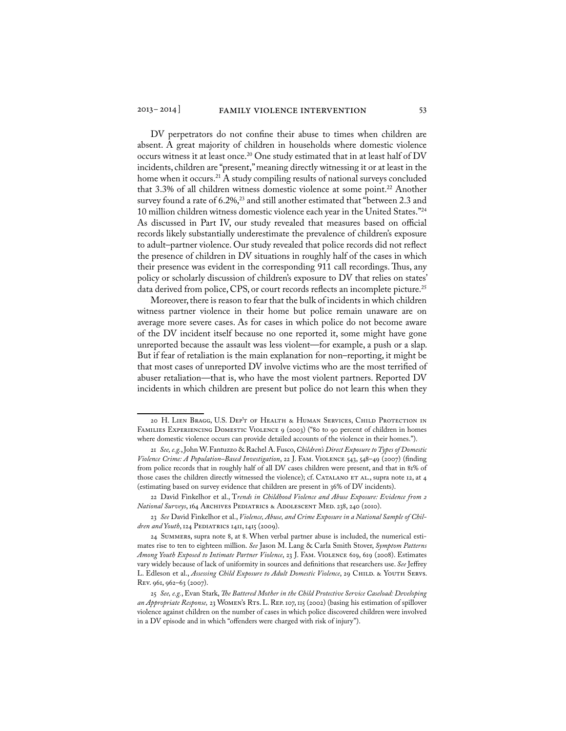DV perpetrators do not confine their abuse to times when children are absent. A great majority of children in households where domestic violence occurs witness it at least once.<sup>20</sup> One study estimated that in at least half of DV incidents, children are "present," meaning directly witnessing it or at least in the home when it occurs.<sup>21</sup> A study compiling results of national surveys concluded that 3.3% of all children witness domestic violence at some point.22 Another survey found a rate of  $6.2\%,^{23}$  and still another estimated that "between 2.3 and 10 million children witness domestic violence each year in the United States."24 As discussed in Part IV, our study revealed that measures based on official records likely substantially underestimate the prevalence of children's exposure to adult–partner violence. Our study revealed that police records did not reflect the presence of children in DV situations in roughly half of the cases in which their presence was evident in the corresponding 911 call recordings. Thus, any policy or scholarly discussion of children's exposure to DV that relies on states' data derived from police, CPS, or court records reflects an incomplete picture.<sup>25</sup>

Moreover, there is reason to fear that the bulk of incidents in which children witness partner violence in their home but police remain unaware are on average more severe cases. As for cases in which police do not become aware of the DV incident itself because no one reported it, some might have gone unreported because the assault was less violent—for example, a push or a slap. But if fear of retaliation is the main explanation for non–reporting, it might be that most cases of unreported DV involve victims who are the most terrified of abuser retaliation—that is, who have the most violent partners. Reported DV incidents in which children are present but police do not learn this when they

<sup>20</sup> H. Lien Bragg, U.S. Dep't of Health & Human Services, Child Protection in FAMILIES EXPERIENCING DOMESTIC VIOLENCE 9 (2003) ("80 to 90 percent of children in homes where domestic violence occurs can provide detailed accounts of the violence in their homes.").

<sup>21</sup> *See, e.g.*, John W. Fantuzzo & Rachel A. Fusco, *Children's Direct Exposure to Types of Domestic Violence Crime: A Population–Based Investigation*, 22 J. Fam. Violence 543, 548–49 (2007) (finding from police records that in roughly half of all DV cases children were present, and that in 81% of those cases the children directly witnessed the violence); cf. CATALANO ET AL., supra note 12, at 4 (estimating based on survey evidence that children are present in 36% of DV incidents).

<sup>22</sup> David Finkelhor et al., T*rends in Childhood Violence and Abuse Exposure: Evidence from 2 National Surveys*, 164 Archives Pediatrics & Adolescent Med. 238, 240 (2010).

<sup>23</sup> *See* David Finkelhor et al., *Violence, Abuse, and Crime Exposure in a National Sample of Chil*dren and Youth, 124 PEDIATRICS 1411, 1415 (2009).

<sup>24</sup> Summers, supra note 8, at 8. When verbal partner abuse is included, the numerical estimates rise to ten to eighteen million. *See* Jason M. Lang & Carla Smith Stover, *Symptom Patterns Among Youth Exposed to Intimate Partner Violence*, 23 J. Fam. Violence 619, 619 (2008). Estimates vary widely because of lack of uniformity in sources and definitions that researchers use. *See* Jeffrey L. Edleson et al., Assessing Child Exposure to Adult Domestic Violence, 29 CHILD. & YOUTH SERVS. Rev. 961, 962–63 (2007).

<sup>25</sup> *See, e.g.*, Evan Stark, *The Battered Mother in the Child Protective Service Caseload: Developing*  an Appropriate Response, 23 WOMEN's RTs. L. REP. 107, 115 (2002) (basing his estimation of spillover violence against children on the number of cases in which police discovered children were involved in a DV episode and in which "offenders were charged with risk of injury").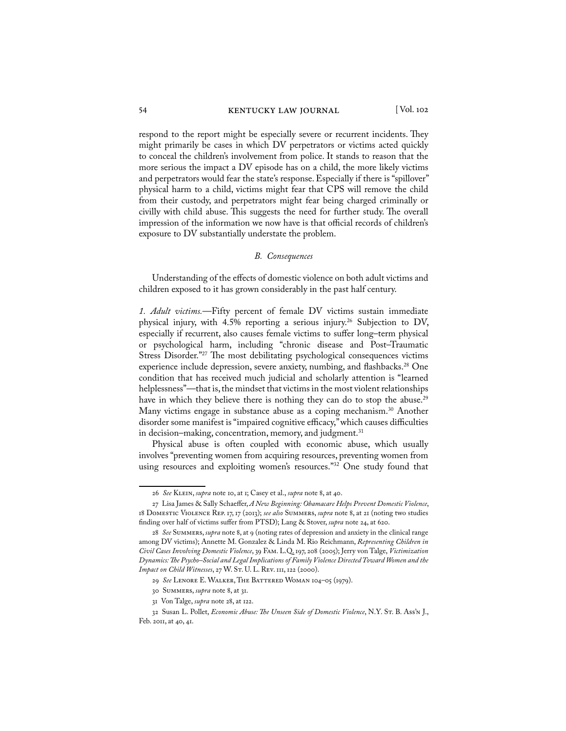#### 54 KENTUCKY LAW JOURNAL [Vol. 102

respond to the report might be especially severe or recurrent incidents. They might primarily be cases in which DV perpetrators or victims acted quickly to conceal the children's involvement from police. It stands to reason that the more serious the impact a DV episode has on a child, the more likely victims and perpetrators would fear the state's response. Especially if there is "spillover" physical harm to a child, victims might fear that CPS will remove the child from their custody, and perpetrators might fear being charged criminally or civilly with child abuse. This suggests the need for further study. The overall impression of the information we now have is that official records of children's exposure to DV substantially understate the problem.

#### *B. Consequences*

Understanding of the effects of domestic violence on both adult victims and children exposed to it has grown considerably in the past half century.

*1. Adult victims.*—Fifty percent of female DV victims sustain immediate physical injury, with 4.5% reporting a serious injury.<sup>26</sup> Subjection to DV, especially if recurrent, also causes female victims to suffer long–term physical or psychological harm, including "chronic disease and Post–Traumatic Stress Disorder."27 The most debilitating psychological consequences victims experience include depression, severe anxiety, numbing, and flashbacks.<sup>28</sup> One condition that has received much judicial and scholarly attention is "learned helplessness"—that is, the mindset that victims in the most violent relationships have in which they believe there is nothing they can do to stop the abuse.<sup>29</sup> Many victims engage in substance abuse as a coping mechanism.<sup>30</sup> Another disorder some manifest is "impaired cognitive efficacy," which causes difficulties in decision–making, concentration, memory, and judgment.<sup>31</sup>

Physical abuse is often coupled with economic abuse, which usually involves "preventing women from acquiring resources, preventing women from using resources and exploiting women's resources."32 One study found that

<sup>26</sup> *See* Klein, *supra* note 10, at 1; Casey et al., *supra* note 8, at 40.

<sup>27</sup> Lisa James & Sally Schaeffer, *A New Beginning: Obamacare Helps Prevent Domestic Violence*, 18 Domestic Violence Rep. 17, 17 (2013); *see also* Summers, *supra* note 8, at 21 (noting two studies finding over half of victims suffer from PTSD); Lang & Stover, *supra* note 24, at 620.

<sup>28</sup> *See* Summers, *supra* note 8, at 9 (noting rates of depression and anxiety in the clinical range among DV victims); Annette M. Gonzalez & Linda M. Rio Reichmann, *Representing Children in Civil Cases Involving Domestic Violence*, 39 Fam. L.Q. 197, 208 (2005); Jerry von Talge, *Victimization Dynamics: The Psycho–Social and Legal Implications of Family Violence Directed Toward Women and the Impact on Child Witnesses*, 27 W. ST. U. L. REV. 111, 122 (2000).

<sup>29</sup> *See* Lenore E. Walker, The Battered Woman 104–05 (1979).

<sup>30</sup> Summers, *supra* note 8, at 31.

<sup>31</sup> Von Talge, *supra* note 28, at 122.

<sup>32</sup> Susan L. Pollet, *Economic Abuse: The Unseen Side of Domestic Violence*, N.Y. St. B. Ass'n J., Feb. 2011, at 40, 41.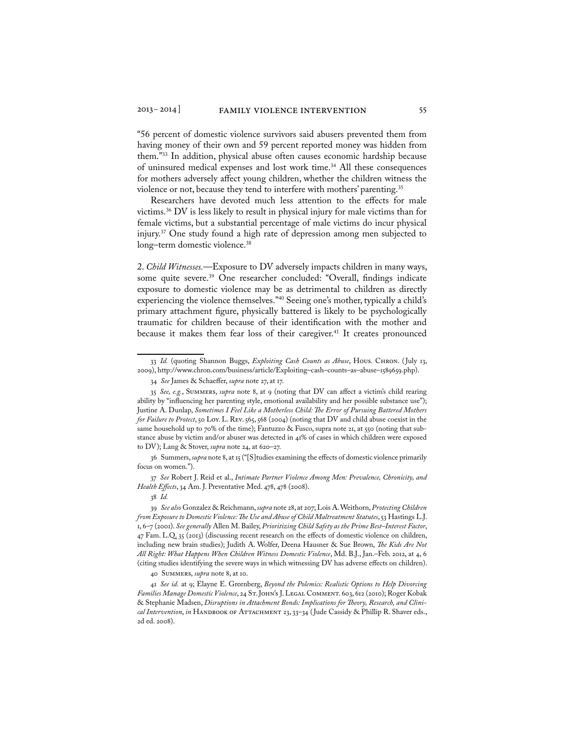"56 percent of domestic violence survivors said abusers prevented them from having money of their own and 59 percent reported money was hidden from them."33 In addition, physical abuse often causes economic hardship because of uninsured medical expenses and lost work time.<sup>34</sup> All these consequences for mothers adversely affect young children, whether the children witness the violence or not, because they tend to interfere with mothers' parenting.<sup>35</sup>

Researchers have devoted much less attention to the effects for male victims.36 DV is less likely to result in physical injury for male victims than for female victims, but a substantial percentage of male victims do incur physical injury.37 One study found a high rate of depression among men subjected to long–term domestic violence.<sup>38</sup>

2. *Child Witnesses.*—Exposure to DV adversely impacts children in many ways, some quite severe.<sup>39</sup> One researcher concluded: "Overall, findings indicate exposure to domestic violence may be as detrimental to children as directly experiencing the violence themselves."<sup>40</sup> Seeing one's mother, typically a child's primary attachment figure, physically battered is likely to be psychologically traumatic for children because of their identification with the mother and because it makes them fear loss of their caregiver.<sup>41</sup> It creates pronounced

38 *Id.*

<sup>33</sup> *Id.* (quoting Shannon Buggs, *Exploiting Cash Counts as Abuse*, Hous. Chron. ( July 13, 2009), http://www.chron.com/business/article/Exploiting–cash–counts–as–abuse–1589659.php).

<sup>34</sup> *See* James & Schaeffer, *supra* note 27, at 17.

<sup>35</sup> *See, e.g.*, Summers, *supra* note 8, at 9 (noting that DV can affect a victim's child rearing ability by "influencing her parenting style, emotional availability and her possible substance use"); Justine A. Dunlap, *Sometimes I Feel Like a Motherless Child: The Error of Pursuing Battered Mothers for Failure to Protect*, 50 Loy. L. Rev. 565, 568 (2004) (noting that DV and child abuse coexist in the same household up to 70% of the time); Fantuzzo & Fusco, supra note 21, at 550 (noting that substance abuse by victim and/or abuser was detected in 41% of cases in which children were exposed to DV); Lang & Stover, *supra* note 24, at 620–27.

<sup>36</sup> Summers, *supra* note 8, at 15 ("[S]tudies examining the effects of domestic violence primarily focus on women.").

<sup>37</sup> *See* Robert J. Reid et al., *Intimate Partner Violence Among Men: Prevalence, Chronicity, and Health Effects*, 34 Am. J. Preventative Med. 478, 478 (2008).

<sup>39</sup> *See also* Gonzalez & Reichmann, *supra* note 28, at 207; Lois A. Weithorn, *Protecting Children from Exposure to Domestic Violence: The Use and Abuse of Child Maltreatment Statutes*, 53 Hastings L.J. 1, 6–7 (2001). *See generally* Allen M. Bailey, *Prioritizing Child Safety as the Prime Best–Interest Factor*, 47 Fam. L.Q. 35 (2013) (discussing recent research on the effects of domestic violence on children, including new brain studies); Judith A. Wolfer, Deena Hausner & Sue Brown, *The Kids Are Not All Right: What Happens When Children Witness Domestic Violence*, Md. B.J., Jan.–Feb. 2012, at 4, 6 (citing studies identifying the severe ways in which witnessing DV has adverse effects on children).

<sup>40</sup> Summers, *supra* note 8, at 10.

<sup>41</sup> *See id.* at 9; Elayne E. Greenberg, *Beyond the Polemics: Realistic Options to Help Divorcing Families Manage Domestic Violence*, 24 St. John's J. Legal Comment. 603, 612 (2010); Roger Kobak & Stephanie Madsen, *Disruptions in Attachment Bonds: Implications for Theory, Research, and Clinical Intervention, in* HANDBOOK OF ATTACHMENT 23, 33-34 (Jude Cassidy & Phillip R. Shaver eds., 2d ed. 2008).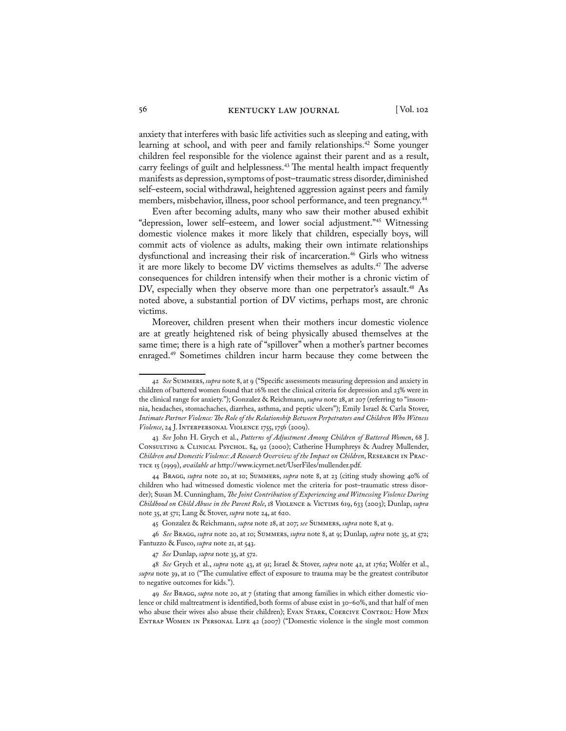anxiety that interferes with basic life activities such as sleeping and eating, with learning at school, and with peer and family relationships.<sup>42</sup> Some younger children feel responsible for the violence against their parent and as a result, carry feelings of guilt and helplessness.<sup>43</sup> The mental health impact frequently manifests as depression, symptoms of post–traumatic stress disorder, diminished self–esteem, social withdrawal, heightened aggression against peers and family members, misbehavior, illness, poor school performance, and teen pregnancy.<sup>44</sup>

 Even after becoming adults, many who saw their mother abused exhibit "depression, lower self–esteem, and lower social adjustment."45 Witnessing domestic violence makes it more likely that children, especially boys, will commit acts of violence as adults, making their own intimate relationships dysfunctional and increasing their risk of incarceration.<sup>46</sup> Girls who witness it are more likely to become DV victims themselves as adults.<sup>47</sup> The adverse consequences for children intensify when their mother is a chronic victim of DV, especially when they observe more than one perpetrator's assault.<sup>48</sup> As noted above, a substantial portion of DV victims, perhaps most, are chronic victims.

 Moreover, children present when their mothers incur domestic violence are at greatly heightened risk of being physically abused themselves at the same time; there is a high rate of "spillover" when a mother's partner becomes enraged.49 Sometimes children incur harm because they come between the

<sup>42</sup> *See* Summers, *supra* note 8, at 9 ("Specific assessments measuring depression and anxiety in children of battered women found that 16% met the clinical criteria for depression and 23% were in the clinical range for anxiety."); Gonzalez & Reichmann, *supra* note 28, at 207 (referring to "insomnia, headaches, stomachaches, diarrhea, asthma, and peptic ulcers"); Emily Israel & Carla Stover, *Intimate Partner Violence: The Role of the Relationship Between Perpetrators and Children Who Witness Violence*, 24 J. Interpersonal Violence 1755, 1756 (2009).

<sup>43</sup> *See* John H. Grych et al., *Patterns of Adjustment Among Children of Battered Women*, 68 J. Consulting & Clinical Psychol. 84, 92 (2000); Catherine Humphreys & Audrey Mullender, *Children and Domestic Violence: A Research Overview of the Impact on Children*, Research in Practice 15 (1999), *available at* http://www.icyrnet.net/UserFiles/mullender.pdf.

<sup>44</sup> Bragg, *supra* note 20, at 10; Summers, *supra* note 8, at 23 (citing study showing 40% of children who had witnessed domestic violence met the criteria for post–traumatic stress disorder); Susan M. Cunningham, *The Joint Contribution of Experiencing and Witnessing Violence During Childhood on Child Abuse in the Parent Role*, 18 Violence & Victims 619, 633 (2003); Dunlap, *supra* note 35, at 571; Lang & Stover, *supra* note 24, at 620.

<sup>45</sup> Gonzalez & Reichmann, *supra* note 28, at 207; *see* Summers, *supra* note 8, at 9.

<sup>46</sup> *See* Bragg, *supra* note 20, at 10; Summers, *supra* note 8, at 9; Dunlap, *supra* note 35, at 572; Fantuzzo & Fusco, *supra* note 21, at 543.

<sup>47</sup> *See* Dunlap, *supra* note 35, at 572.

<sup>48</sup> *See* Grych et al., *supra* note 43, at 91; Israel & Stover, *supra* note 42, at 1762; Wolfer et al., *supra* note 39, at 10 ("The cumulative effect of exposure to trauma may be the greatest contributor to negative outcomes for kids.").

<sup>49</sup> *See* Bragg, *supra* note 20, at 7 (stating that among families in which either domestic violence or child maltreatment is identified, both forms of abuse exist in 30–60%, and that half of men who abuse their wives also abuse their children); EVAN STARK, COERCIVE CONTROL: HOW MEN Entrap Women in Personal Life 42 (2007) ("Domestic violence is the single most common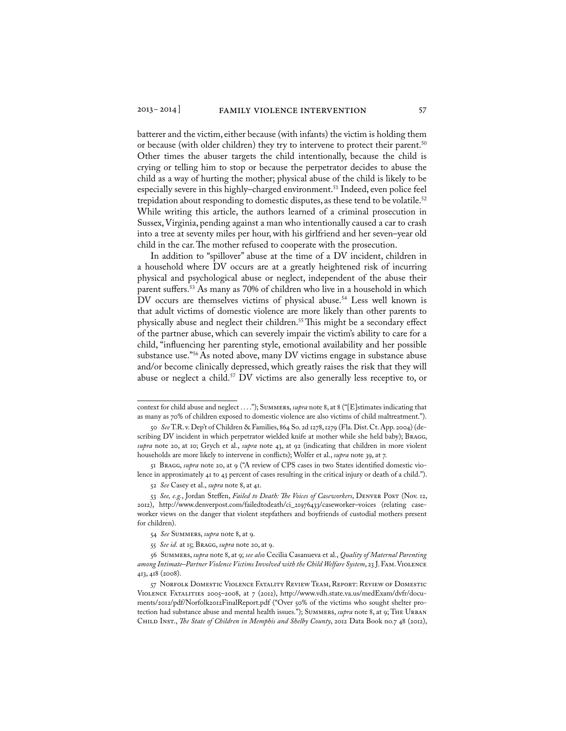batterer and the victim, either because (with infants) the victim is holding them or because (with older children) they try to intervene to protect their parent.<sup>50</sup> Other times the abuser targets the child intentionally, because the child is crying or telling him to stop or because the perpetrator decides to abuse the child as a way of hurting the mother; physical abuse of the child is likely to be especially severe in this highly–charged environment.<sup>51</sup> Indeed, even police feel trepidation about responding to domestic disputes, as these tend to be volatile.<sup>52</sup> While writing this article, the authors learned of a criminal prosecution in Sussex, Virginia, pending against a man who intentionally caused a car to crash into a tree at seventy miles per hour, with his girlfriend and her seven–year old child in the car. The mother refused to cooperate with the prosecution.

 In addition to "spillover" abuse at the time of a DV incident, children in a household where DV occurs are at a greatly heightened risk of incurring physical and psychological abuse or neglect, independent of the abuse their parent suffers.<sup>53</sup> As many as 70% of children who live in a household in which DV occurs are themselves victims of physical abuse.<sup>54</sup> Less well known is that adult victims of domestic violence are more likely than other parents to physically abuse and neglect their children.<sup>55</sup> This might be a secondary effect of the partner abuse, which can severely impair the victim's ability to care for a child, "influencing her parenting style, emotional availability and her possible substance use."56 As noted above, many DV victims engage in substance abuse and/or become clinically depressed, which greatly raises the risk that they will abuse or neglect a child.<sup>57</sup> DV victims are also generally less receptive to, or

51 Bragg, *supra* note 20, at 9 ("A review of CPS cases in two States identified domestic violence in approximately 41 to 43 percent of cases resulting in the critical injury or death of a child.").

context for child abuse and neglect . . . ."); Summers, *supra* note 8, at 8 ("[E]stimates indicating that as many as 70% of children exposed to domestic violence are also victims of child maltreatment.").

<sup>50</sup> *See* T.R. v. Dep't of Children & Families, 864 So. 2d 1278, 1279 (Fla. Dist. Ct. App. 2004) (describing DV incident in which perpetrator wielded knife at mother while she held baby); BRAGG, *supra* note 20, at 10; Grych et al., *supra* note 43, at 92 (indicating that children in more violent households are more likely to intervene in conflicts); Wolfer et al., *supra* note 39, at 7.

<sup>52</sup> *See* Casey et al., *supra* note 8, at 41.

<sup>53</sup> See, e.g., Jordan Steffen, Failed to Death: The Voices of Caseworkers, DENVER POST (Nov. 12, 2012), http://www.denverpost.com/failedtodeath/ci\_21976433/caseworker–voices (relating caseworker views on the danger that violent stepfathers and boyfriends of custodial mothers present for children).

<sup>54</sup> *See* Summers, *supra* note 8, at 9.

<sup>55</sup> *See id.* at 15; Bragg, *supra* note 20, at 9.

<sup>56</sup> Summers, *supra* note 8, at 9; *see also* Cecilia Casanueva et al., *Quality of Maternal Parenting among Intimate–Partner Violence Victims Involved with the Child Welfare System*, 23 J. Fam. Violence 413, 418 (2008).

<sup>57</sup> Norfolk Domestic Violence Fatality Review Team, Report: Review of Domestic Violence Fatalities 2005–2008, at 7 (2012), http://www.vdh.state.va.us/medExam/dvfr/documents/2012/pdf/Norfolk2012FinalReport.pdf ("Over 50% of the victims who sought shelter protection had substance abuse and mental health issues."); SUMMERS, *supra* note 8, at 9; THE URBAN Child Inst., *The State of Children in Memphis and Shelby County*, 2012 Data Book no.7 48 (2012),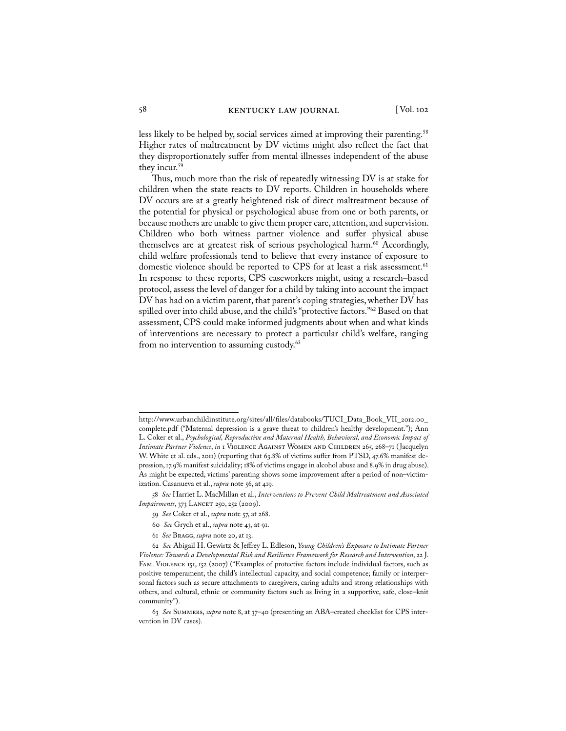less likely to be helped by, social services aimed at improving their parenting.<sup>58</sup> Higher rates of maltreatment by DV victims might also reflect the fact that they disproportionately suffer from mental illnesses independent of the abuse they incur.<sup>59</sup>

 Thus, much more than the risk of repeatedly witnessing DV is at stake for children when the state reacts to DV reports. Children in households where DV occurs are at a greatly heightened risk of direct maltreatment because of the potential for physical or psychological abuse from one or both parents, or because mothers are unable to give them proper care, attention, and supervision. Children who both witness partner violence and suffer physical abuse themselves are at greatest risk of serious psychological harm.<sup>60</sup> Accordingly, child welfare professionals tend to believe that every instance of exposure to domestic violence should be reported to CPS for at least a risk assessment.<sup>61</sup> In response to these reports, CPS caseworkers might, using a research–based protocol, assess the level of danger for a child by taking into account the impact DV has had on a victim parent, that parent's coping strategies, whether DV has spilled over into child abuse, and the child's "protective factors."62 Based on that assessment, CPS could make informed judgments about when and what kinds of interventions are necessary to protect a particular child's welfare, ranging from no intervention to assuming custody.<sup>63</sup>

http://www.urbanchildinstitute.org/sites/all/files/databooks/TUCI\_Data\_Book\_VII\_2012.00\_ complete.pdf ("Maternal depression is a grave threat to children's healthy development."); Ann L. Coker et al., *Psychological, Reproductive and Maternal Health, Behavioral, and Economic Impact of Intimate Partner Violence*, *in* 1 Violence Against Women and Children 265, 268–71 ( Jacquelyn W. White et al. eds., 2011) (reporting that 63.8% of victims suffer from PTSD, 47.6% manifest depression, 17.9% manifest suicidality; 18% of victims engage in alcohol abuse and 8.9% in drug abuse). As might be expected, victims' parenting shows some improvement after a period of non–victimization. Casanueva et al., *supra* note 56, at 419.

<sup>58</sup> *See* Harriet L. MacMillan et al., *Interventions to Prevent Child Maltreatment and Associated Impairments*, 373 LANCET 250, 252 (2009).

<sup>59</sup> *See* Coker et al., *supra* note 57, at 268.

<sup>60</sup> *See* Grych et al., *supra* note 43, at 91.

<sup>61</sup> *See* Bragg, *supra* note 20, at 13.

<sup>62</sup> *See* Abigail H. Gewirtz & Jeffrey L. Edleson, *Young Children's Exposure to Intimate Partner Violence: Towards a Developmental Risk and Resilience Framework for Research and Intervention*, 22 J. Fam. Violence 151, 152 (2007) ("Examples of protective factors include individual factors, such as positive temperament, the child's intellectual capacity, and social competence; family or interpersonal factors such as secure attachments to caregivers, caring adults and strong relationships with others, and cultural, ethnic or community factors such as living in a supportive, safe, close–knit community").

<sup>63</sup> *See* Summers, *supra* note 8, at 37–40 (presenting an ABA–created checklist for CPS intervention in DV cases).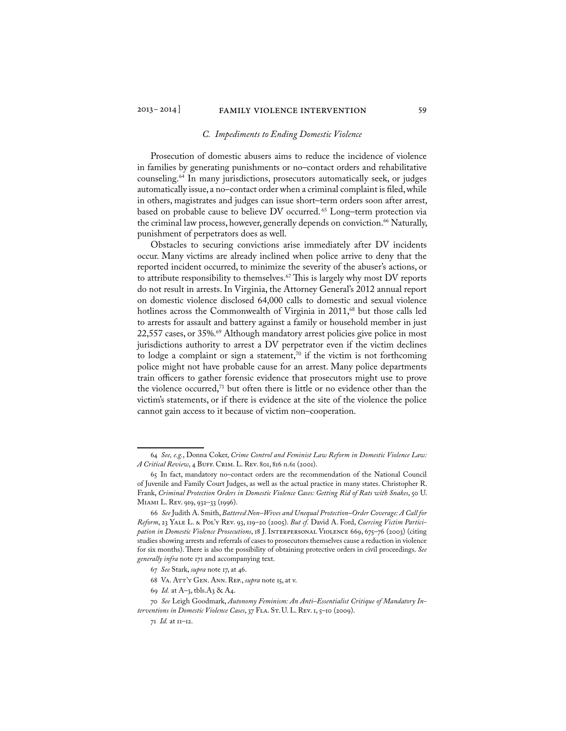#### *C. Impediments to Ending Domestic Violence*

Prosecution of domestic abusers aims to reduce the incidence of violence in families by generating punishments or no–contact orders and rehabilitative counseling.64 In many jurisdictions, prosecutors automatically seek, or judges automatically issue, a no–contact order when a criminal complaint is filed, while in others, magistrates and judges can issue short–term orders soon after arrest, based on probable cause to believe DV occurred.<sup>65</sup> Long-term protection via the criminal law process, however, generally depends on conviction.<sup>66</sup> Naturally, punishment of perpetrators does as well.

Obstacles to securing convictions arise immediately after DV incidents occur. Many victims are already inclined when police arrive to deny that the reported incident occurred, to minimize the severity of the abuser's actions, or to attribute responsibility to themselves.<sup>67</sup> This is largely why most DV reports do not result in arrests. In Virginia, the Attorney General's 2012 annual report on domestic violence disclosed 64,000 calls to domestic and sexual violence hotlines across the Commonwealth of Virginia in 2011,<sup>68</sup> but those calls led to arrests for assault and battery against a family or household member in just  $22,557$  cases, or  $35\%$ .<sup>69</sup> Although mandatory arrest policies give police in most jurisdictions authority to arrest a DV perpetrator even if the victim declines to lodge a complaint or sign a statement,<sup>70</sup> if the victim is not forthcoming police might not have probable cause for an arrest. Many police departments train officers to gather forensic evidence that prosecutors might use to prove the violence occurred, $71$  but often there is little or no evidence other than the victim's statements, or if there is evidence at the site of the violence the police cannot gain access to it because of victim non–cooperation.

<sup>64</sup> *See, e.g.*, Donna Coker, *Crime Control and Feminist Law Reform in Domestic Violence Law: A Critical Review*, 4 BUFF. CRIM. L. REV. 801, 816 n.61 (2001).

<sup>65</sup> In fact, mandatory no–contact orders are the recommendation of the National Council of Juvenile and Family Court Judges, as well as the actual practice in many states. Christopher R. Frank, *Criminal Protection Orders in Domestic Violence Cases: Getting Rid of Rats with Snakes*, 50 U. Miami L. Rev. 919, 932–33 (1996).

<sup>66</sup> *See* Judith A. Smith, *Battered Non–Wives and Unequal Protection–Order Coverage: A Call for Reform*, 23 Yale L. & Pol'y Rev. 93, 119–20 (2005). *But cf.* David A. Ford, *Coercing Victim Participation in Domestic Violence Prosecutions*, 18 J. Interpersonal Violence 669, 675–76 (2003) (citing studies showing arrests and referrals of cases to prosecutors themselves cause a reduction in violence for six months). There is also the possibility of obtaining protective orders in civil proceedings. *See generally infra* note 171 and accompanying text.

<sup>67</sup> *See* Stark, *supra* note 17, at 46.

<sup>68</sup> Va. Att'y Gen. Ann. Rep., *supra* note 15, at v.

<sup>69</sup> *Id.* at A–3, tbls.A3 & A4.

<sup>70</sup> *See* Leigh Goodmark, *Autonomy Feminism: An Anti–Essentialist Critique of Mandatory Interventions in Domestic Violence Cases*, 37 Fla. St. U. L. Rev. 1, 5–10 (2009).

<sup>71</sup> *Id.* at 11–12.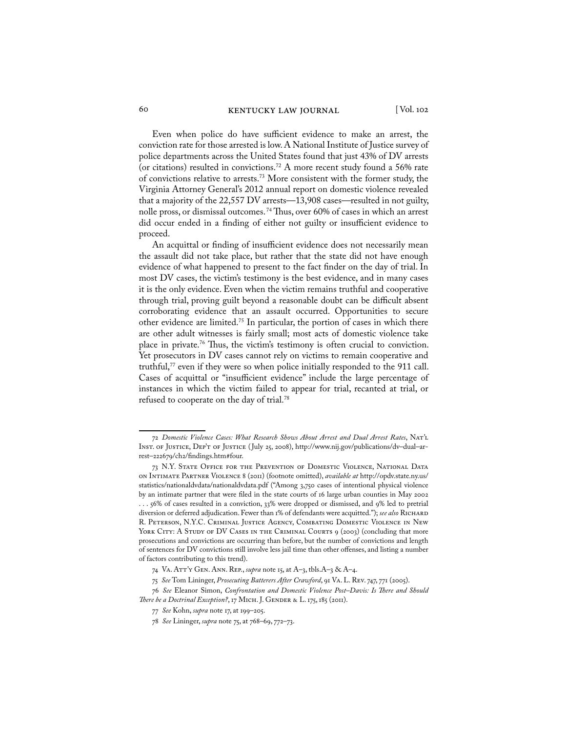Even when police do have sufficient evidence to make an arrest, the conviction rate for those arrested is low. A National Institute of Justice survey of police departments across the United States found that just 43% of DV arrests (or citations) resulted in convictions.72 A more recent study found a 56% rate of convictions relative to arrests.73 More consistent with the former study, the Virginia Attorney General's 2012 annual report on domestic violence revealed that a majority of the 22,557 DV arrests—13,908 cases—resulted in not guilty, nolle pross, or dismissal outcomes. 74 Thus, over 60% of cases in which an arrest did occur ended in a finding of either not guilty or insufficient evidence to proceed.

An acquittal or finding of insufficient evidence does not necessarily mean the assault did not take place, but rather that the state did not have enough evidence of what happened to present to the fact finder on the day of trial. In most DV cases, the victim's testimony is the best evidence, and in many cases it is the only evidence. Even when the victim remains truthful and cooperative through trial, proving guilt beyond a reasonable doubt can be difficult absent corroborating evidence that an assault occurred. Opportunities to secure other evidence are limited.75 In particular, the portion of cases in which there are other adult witnesses is fairly small; most acts of domestic violence take place in private.76 Thus, the victim's testimony is often crucial to conviction. Yet prosecutors in DV cases cannot rely on victims to remain cooperative and truthful,<sup>77</sup> even if they were so when police initially responded to the 911 call. Cases of acquittal or "insufficient evidence" include the large percentage of instances in which the victim failed to appear for trial, recanted at trial, or refused to cooperate on the day of trial.78

<sup>72</sup> *Domestic Violence Cases: What Research Shows About Arrest and Dual Arrest Rates*, Nat'l INST. OF JUSTICE, DEP'T OF JUSTICE (July 25, 2008), http://www.nij.gov/publications/dv-dual-arrest–222679/ch2/findings.htm#four.

<sup>73</sup> N.Y. State Office for the Prevention of Domestic Violence, National Data on Intimate Partner Violence 8 (2011) (footnote omitted), *available at* http://opdv.state.ny.us/ statistics/nationaldvdata/nationaldvdata.pdf ("Among 3,750 cases of intentional physical violence by an intimate partner that were filed in the state courts of 16 large urban counties in May 2002 . . . 56% of cases resulted in a conviction, 33% were dropped or dismissed, and 9% led to pretrial diversion or deferred adjudication. Fewer than 1% of defendants were acquitted."); see also RICHARD R. Peterson, N.Y.C. Criminal Justice Agency, Combating Domestic Violence in New YORK CITY: A STUDY OF DV CASES IN THE CRIMINAL COURTS 9 (2003) (concluding that more prosecutions and convictions are occurring than before, but the number of convictions and length of sentences for DV convictions still involve less jail time than other offenses, and listing a number of factors contributing to this trend).

<sup>74</sup> Va. Att'y Gen. Ann. Rep., *supra* note 15, at A–3, tbls.A–3 & A–4.

<sup>75</sup> *See* Tom Lininger, *Prosecuting Batterers After Crawford*, 91 Va. L. Rev. 747, 771 (2005).

<sup>76</sup> *See* Eleanor Simon, *Confrontation and Domestic Violence Post–Davis: Is There and Should There be a Doctrinal Exception?*, 17 MICH. J. GENDER & L. 175, 185 (2011).

<sup>77</sup> *See* Kohn, *supra* note 17, at 199–205.

<sup>78</sup> *See* Lininger, *supra* note 75, at 768–69, 772–73.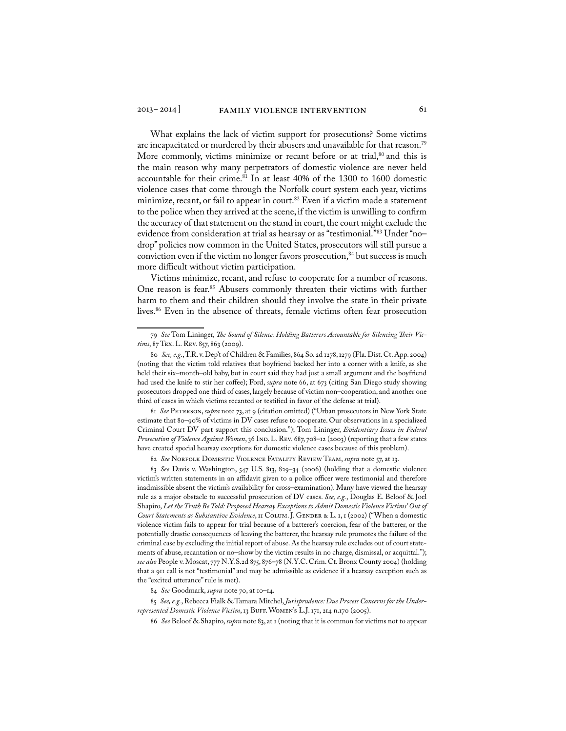What explains the lack of victim support for prosecutions? Some victims are incapacitated or murdered by their abusers and unavailable for that reason.<sup>79</sup> More commonly, victims minimize or recant before or at trial,<sup>80</sup> and this is the main reason why many perpetrators of domestic violence are never held accountable for their crime.<sup>81</sup> In at least 40% of the 1300 to 1600 domestic violence cases that come through the Norfolk court system each year, victims minimize, recant, or fail to appear in court.<sup>82</sup> Even if a victim made a statement to the police when they arrived at the scene, if the victim is unwilling to confirm the accuracy of that statement on the stand in court, the court might exclude the evidence from consideration at trial as hearsay or as "testimonial."83 Under "no– drop" policies now common in the United States, prosecutors will still pursue a conviction even if the victim no longer favors prosecution, $84$  but success is much more difficult without victim participation.

Victims minimize, recant, and refuse to cooperate for a number of reasons. One reason is fear.<sup>85</sup> Abusers commonly threaten their victims with further harm to them and their children should they involve the state in their private lives.<sup>86</sup> Even in the absence of threats, female victims often fear prosecution

81 See PETERSON, *supra* note 73, at 9 (citation omitted) ("Urban prosecutors in New York State estimate that 80–90% of victims in DV cases refuse to cooperate. Our observations in a specialized Criminal Court DV part support this conclusion."); Tom Lininger, *Evidentiary Issues in Federal*  Prosecution of Violence Against Women, 36 IND. L. REV. 687, 708-12 (2003) (reporting that a few states have created special hearsay exceptions for domestic violence cases because of this problem).

82 *See* Norfolk Domestic Violence Fatality Review Team, *supra* note 57, at 13.

84 *See* Goodmark, *supra* note 70, at 10–14.

85 *See, e.g.*, Rebecca Fialk & Tamara Mitchel, *Jurisprudence: Due Process Concerns for the Underrepresented Domestic Violence Victim*, 13 Buff. Women's L.J. 171, 214 n.170 (2005).

86 *See* Beloof & Shapiro, *supra* note 83, at 1 (noting that it is common for victims not to appear

<sup>79</sup> *See* Tom Lininger, *The Sound of Silence: Holding Batterers Accountable for Silencing Their Vic*tims, 87 Tex. L. Rev. 857, 863 (2009).

<sup>80</sup> *See, e.g.*, T.R. v. Dep't of Children & Families, 864 So. 2d 1278, 1279 (Fla. Dist. Ct. App. 2004) (noting that the victim told relatives that boyfriend backed her into a corner with a knife, as she held their six–month–old baby, but in court said they had just a small argument and the boyfriend had used the knife to stir her coffee); Ford, *supra* note 66, at 673 (citing San Diego study showing prosecutors dropped one third of cases, largely because of victim non–cooperation, and another one third of cases in which victims recanted or testified in favor of the defense at trial).

<sup>83</sup> *See* Davis v. Washington, 547 U.S. 813, 829–34 (2006) (holding that a domestic violence victim's written statements in an affidavit given to a police officer were testimonial and therefore inadmissible absent the victim's availability for cross–examination). Many have viewed the hearsay rule as a major obstacle to successful prosecution of DV cases. *See, e.g.*, Douglas E. Beloof & Joel Shapiro, *Let the Truth Be Told: Proposed Hearsay Exceptions to Admit Domestic Violence Victims' Out of Court Statements as Substantive Evidence*, 11 COLUM. J. GENDER & L. 1, 1 (2002) ("When a domestic violence victim fails to appear for trial because of a batterer's coercion, fear of the batterer, or the potentially drastic consequences of leaving the batterer, the hearsay rule promotes the failure of the criminal case by excluding the initial report of abuse. As the hearsay rule excludes out of court statements of abuse, recantation or no–show by the victim results in no charge, dismissal, or acquittal."); *see also* People v. Moscat, 777 N.Y.S.2d 875, 876–78 (N.Y.C. Crim. Ct. Bronx County 2004) (holding that a 911 call is not "testimonial" and may be admissible as evidence if a hearsay exception such as the "excited utterance" rule is met).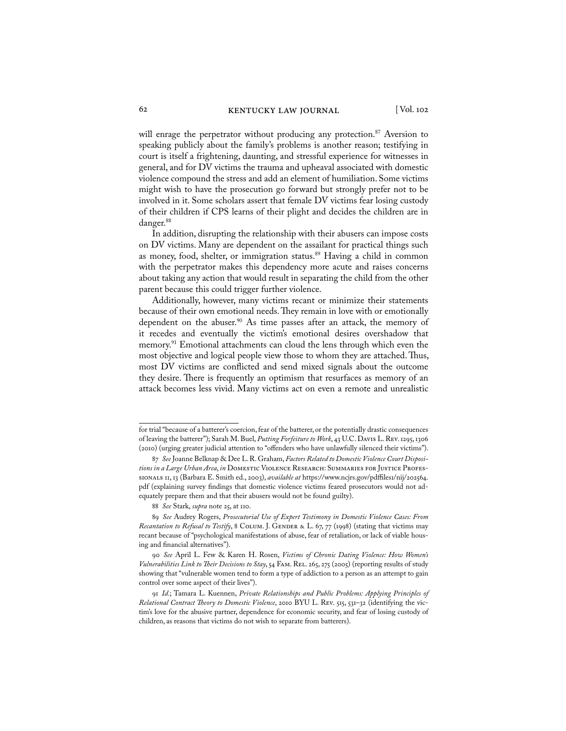will enrage the perpetrator without producing any protection.<sup>87</sup> Aversion to speaking publicly about the family's problems is another reason; testifying in court is itself a frightening, daunting, and stressful experience for witnesses in general, and for DV victims the trauma and upheaval associated with domestic violence compound the stress and add an element of humiliation. Some victims might wish to have the prosecution go forward but strongly prefer not to be involved in it. Some scholars assert that female DV victims fear losing custody of their children if CPS learns of their plight and decides the children are in danger.88

In addition, disrupting the relationship with their abusers can impose costs on DV victims. Many are dependent on the assailant for practical things such as money, food, shelter, or immigration status.<sup>89</sup> Having a child in common with the perpetrator makes this dependency more acute and raises concerns about taking any action that would result in separating the child from the other parent because this could trigger further violence.

Additionally, however, many victims recant or minimize their statements because of their own emotional needs. They remain in love with or emotionally dependent on the abuser.<sup>90</sup> As time passes after an attack, the memory of it recedes and eventually the victim's emotional desires overshadow that memory.<sup>91</sup> Emotional attachments can cloud the lens through which even the most objective and logical people view those to whom they are attached. Thus, most DV victims are conflicted and send mixed signals about the outcome they desire. There is frequently an optimism that resurfaces as memory of an attack becomes less vivid. Many victims act on even a remote and unrealistic

for trial "because of a batterer's coercion, fear of the batterer, or the potentially drastic consequences of leaving the batterer"); Sarah M. Buel, *Putting Forfeiture to Work*, 43 U.C. Davis L. Rev. 1295, 1306 (2010) (urging greater judicial attention to "offenders who have unlawfully silenced their victims").

<sup>87</sup> *See* Joanne Belknap & Dee L. R. Graham, *Factors Related to Domestic Violence Court Dispositions in a Large Urban Area*, *in* Domestic Violence Research: Summaries for Justice Professionals 11, 13 (Barbara E. Smith ed., 2003), *available at* https://www.ncjrs.gov/pdffiles1/nij/202564. pdf (explaining survey findings that domestic violence victims feared prosecutors would not adequately prepare them and that their abusers would not be found guilty).

<sup>88</sup> *See* Stark, *supra* note 25, at 110.

<sup>89</sup> *See* Audrey Rogers, *Prosecutorial Use of Expert Testimony in Domestic Violence Cases: From Recantation to Refusal to Testify*, 8 COLUM. J. GENDER & L. 67, 77 (1998) (stating that victims may recant because of "psychological manifestations of abuse, fear of retaliation, or lack of viable housing and financial alternatives").

<sup>90</sup> *See* April L. Few & Karen H. Rosen, *Victims of Chronic Dating Violence: How Women's Vulnerabilities Link to Their Decisions to Stay*, 54 Fam. Rel. 265, 275 (2005) (reporting results of study showing that "vulnerable women tend to form a type of addiction to a person as an attempt to gain control over some aspect of their lives").

<sup>91</sup> *Id.*; Tamara L. Kuennen, *Private Relationships and Public Problems: Applying Principles of Relational Contract Theory to Domestic Violence*, 2010 BYU L. Rev. 515, 531–32 (identifying the victim's love for the abusive partner, dependence for economic security, and fear of losing custody of children, as reasons that victims do not wish to separate from batterers).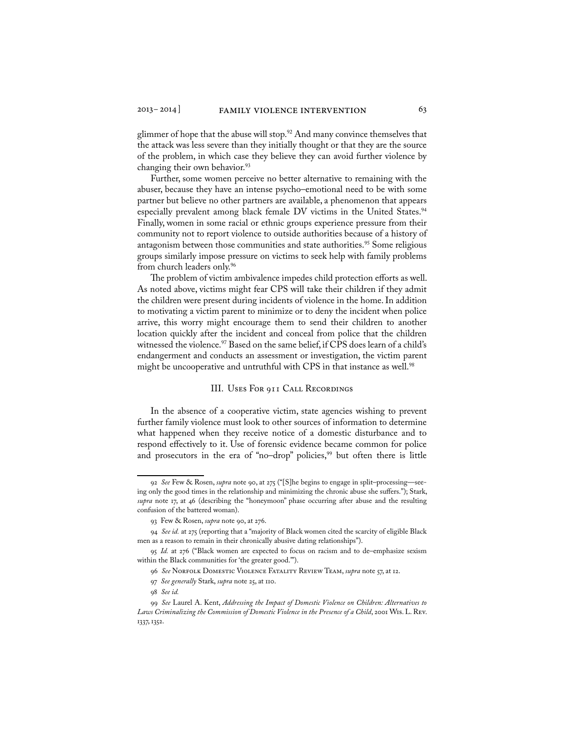glimmer of hope that the abuse will stop.<sup>92</sup> And many convince themselves that the attack was less severe than they initially thought or that they are the source of the problem, in which case they believe they can avoid further violence by changing their own behavior.<sup>93</sup>

Further, some women perceive no better alternative to remaining with the abuser, because they have an intense psycho–emotional need to be with some partner but believe no other partners are available, a phenomenon that appears especially prevalent among black female DV victims in the United States.<sup>94</sup> Finally, women in some racial or ethnic groups experience pressure from their community not to report violence to outside authorities because of a history of antagonism between those communities and state authorities.<sup>95</sup> Some religious groups similarly impose pressure on victims to seek help with family problems from church leaders only.96

The problem of victim ambivalence impedes child protection efforts as well. As noted above, victims might fear CPS will take their children if they admit the children were present during incidents of violence in the home. In addition to motivating a victim parent to minimize or to deny the incident when police arrive, this worry might encourage them to send their children to another location quickly after the incident and conceal from police that the children witnessed the violence.<sup>97</sup> Based on the same belief, if CPS does learn of a child's endangerment and conducts an assessment or investigation, the victim parent might be uncooperative and untruthful with CPS in that instance as well.<sup>98</sup>

#### III. Uses For 911 Call Recordings

In the absence of a cooperative victim, state agencies wishing to prevent further family violence must look to other sources of information to determine what happened when they receive notice of a domestic disturbance and to respond effectively to it. Use of forensic evidence became common for police and prosecutors in the era of "no-drop" policies,<sup>99</sup> but often there is little

97 *See generally* Stark, *supra* note 25, at 110.

<sup>92</sup> *See* Few & Rosen, *supra* note 90, at 275 ("[S]he begins to engage in split–processing—seeing only the good times in the relationship and minimizing the chronic abuse she suffers."); Stark, *supra* note 17, at 46 (describing the "honeymoon" phase occurring after abuse and the resulting confusion of the battered woman).

<sup>93</sup> Few & Rosen, *supra* note 90, at 276.

<sup>94</sup> *See id.* at 275 (reporting that a "majority of Black women cited the scarcity of eligible Black men as a reason to remain in their chronically abusive dating relationships").

<sup>95</sup> *Id.* at 276 ("Black women are expected to focus on racism and to de–emphasize sexism within the Black communities for 'the greater good.").

<sup>96</sup> *See* Norfolk Domestic Violence Fatality Review Team, *supra* note 57, at 12.

<sup>98</sup> *See id.*

<sup>99</sup> *See* Laurel A. Kent, *Addressing the Impact of Domestic Violence on Children: Alternatives to Laws Criminalizing the Commission of Domestic Violence in the Presence of a Child*, 2001 Wis. L. Rev. 1337, 1352.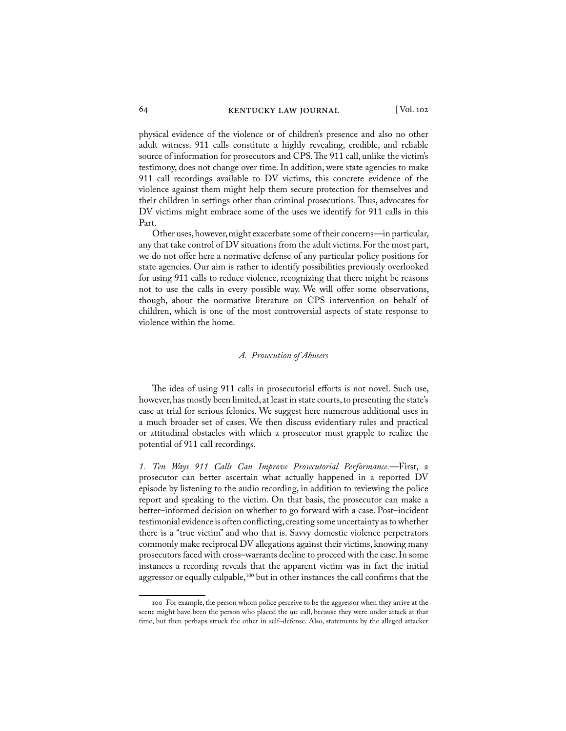physical evidence of the violence or of children's presence and also no other adult witness. 911 calls constitute a highly revealing, credible, and reliable source of information for prosecutors and CPS. The 911 call, unlike the victim's testimony, does not change over time. In addition, were state agencies to make 911 call recordings available to DV victims, this concrete evidence of the violence against them might help them secure protection for themselves and their children in settings other than criminal prosecutions. Thus, advocates for DV victims might embrace some of the uses we identify for 911 calls in this Part.

Other uses, however, might exacerbate some of their concerns—in particular, any that take control of DV situations from the adult victims. For the most part, we do not offer here a normative defense of any particular policy positions for state agencies. Our aim is rather to identify possibilities previously overlooked for using 911 calls to reduce violence, recognizing that there might be reasons not to use the calls in every possible way. We will offer some observations, though, about the normative literature on CPS intervention on behalf of children, which is one of the most controversial aspects of state response to violence within the home.

#### *A. Prosecution of Abusers*

The idea of using 911 calls in prosecutorial efforts is not novel. Such use, however, has mostly been limited, at least in state courts, to presenting the state's case at trial for serious felonies. We suggest here numerous additional uses in a much broader set of cases. We then discuss evidentiary rules and practical or attitudinal obstacles with which a prosecutor must grapple to realize the potential of 911 call recordings.

*1. Ten Ways 911 Calls Can Improve Prosecutorial Performance.*—First, a prosecutor can better ascertain what actually happened in a reported DV episode by listening to the audio recording, in addition to reviewing the police report and speaking to the victim. On that basis, the prosecutor can make a better–informed decision on whether to go forward with a case. Post–incident testimonial evidence is often conflicting, creating some uncertainty as to whether there is a "true victim" and who that is. Savvy domestic violence perpetrators commonly make reciprocal DV allegations against their victims, knowing many prosecutors faced with cross–warrants decline to proceed with the case. In some instances a recording reveals that the apparent victim was in fact the initial aggressor or equally culpable,<sup>100</sup> but in other instances the call confirms that the

<sup>100</sup> For example, the person whom police perceive to be the aggressor when they arrive at the scene might have been the person who placed the 911 call, because they were under attack at that time, but then perhaps struck the other in self–defense. Also, statements by the alleged attacker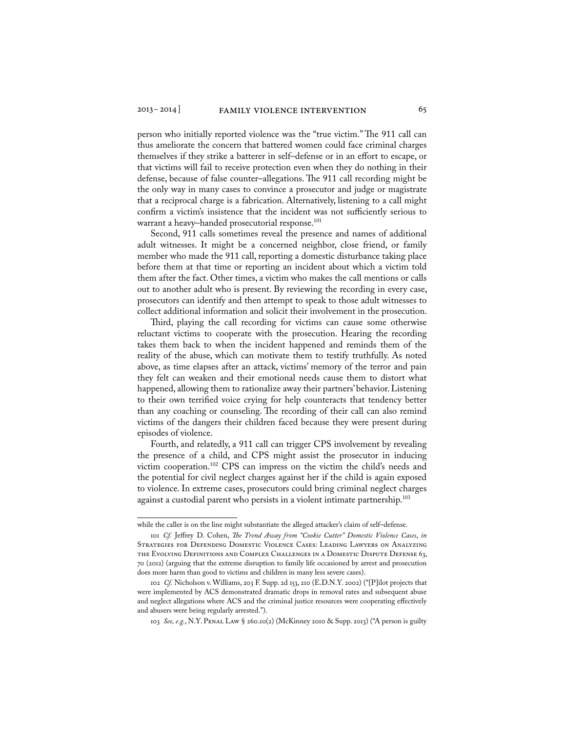person who initially reported violence was the "true victim." The 911 call can thus ameliorate the concern that battered women could face criminal charges themselves if they strike a batterer in self–defense or in an effort to escape, or that victims will fail to receive protection even when they do nothing in their defense, because of false counter–allegations. The 911 call recording might be the only way in many cases to convince a prosecutor and judge or magistrate that a reciprocal charge is a fabrication. Alternatively, listening to a call might confirm a victim's insistence that the incident was not sufficiently serious to warrant a heavy-handed prosecutorial response.<sup>101</sup>

Second, 911 calls sometimes reveal the presence and names of additional adult witnesses. It might be a concerned neighbor, close friend, or family member who made the 911 call, reporting a domestic disturbance taking place before them at that time or reporting an incident about which a victim told them after the fact. Other times, a victim who makes the call mentions or calls out to another adult who is present. By reviewing the recording in every case, prosecutors can identify and then attempt to speak to those adult witnesses to collect additional information and solicit their involvement in the prosecution.

Third, playing the call recording for victims can cause some otherwise reluctant victims to cooperate with the prosecution. Hearing the recording takes them back to when the incident happened and reminds them of the reality of the abuse, which can motivate them to testify truthfully. As noted above, as time elapses after an attack, victims' memory of the terror and pain they felt can weaken and their emotional needs cause them to distort what happened, allowing them to rationalize away their partners' behavior. Listening to their own terrified voice crying for help counteracts that tendency better than any coaching or counseling. The recording of their call can also remind victims of the dangers their children faced because they were present during episodes of violence.

Fourth, and relatedly, a 911 call can trigger CPS involvement by revealing the presence of a child, and CPS might assist the prosecutor in inducing victim cooperation.102 CPS can impress on the victim the child's needs and the potential for civil neglect charges against her if the child is again exposed to violence. In extreme cases, prosecutors could bring criminal neglect charges against a custodial parent who persists in a violent intimate partnership.<sup>103</sup>

103 *See, e.g.*, N.Y. Penal Law § 260.10(2) (McKinney 2010 & Supp. 2013) ("A person is guilty

while the caller is on the line might substantiate the alleged attacker's claim of self–defense.

<sup>101</sup> *Cf.* Jeffrey D. Cohen, *The Trend Away from "Cookie Cutter" Domestic Violence Cases*, *in*  Strategies for Defending Domestic Violence Cases: Leading Lawyers on Analyzing the Evolving Definitions and Complex Challenges in a Domestic Dispute Defense 63, 70 (2012) (arguing that the extreme disruption to family life occasioned by arrest and prosecution does more harm than good to victims and children in many less severe cases).

<sup>102</sup> *Cf.* Nicholson v. Williams, 203 F. Supp. 2d 153, 210 (E.D.N.Y. 2002) ("[P]ilot projects that were implemented by ACS demonstrated dramatic drops in removal rates and subsequent abuse and neglect allegations where ACS and the criminal justice resources were cooperating effectively and abusers were being regularly arrested.").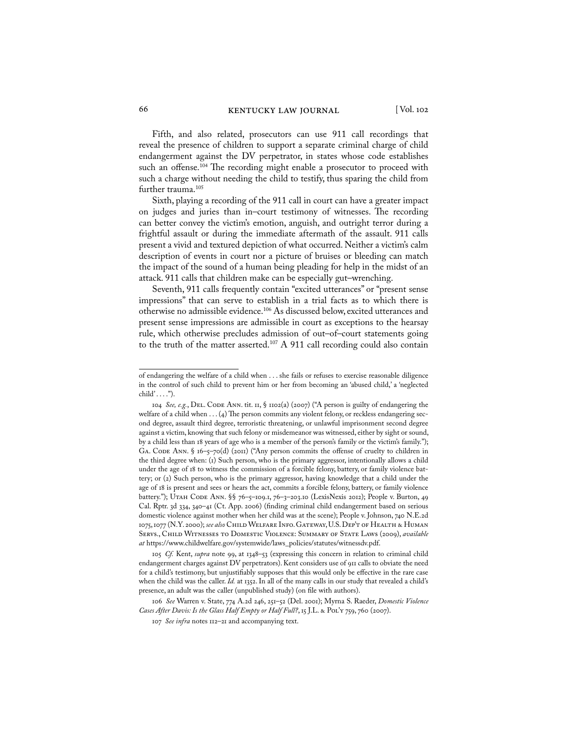Fifth, and also related, prosecutors can use 911 call recordings that reveal the presence of children to support a separate criminal charge of child endangerment against the DV perpetrator, in states whose code establishes such an offense.<sup>104</sup> The recording might enable a prosecutor to proceed with such a charge without needing the child to testify, thus sparing the child from further trauma.<sup>105</sup>

Sixth, playing a recording of the 911 call in court can have a greater impact on judges and juries than in–court testimony of witnesses. The recording can better convey the victim's emotion, anguish, and outright terror during a frightful assault or during the immediate aftermath of the assault. 911 calls present a vivid and textured depiction of what occurred. Neither a victim's calm description of events in court nor a picture of bruises or bleeding can match the impact of the sound of a human being pleading for help in the midst of an attack. 911 calls that children make can be especially gut–wrenching.

Seventh, 911 calls frequently contain "excited utterances" or "present sense impressions" that can serve to establish in a trial facts as to which there is otherwise no admissible evidence.106 As discussed below, excited utterances and present sense impressions are admissible in court as exceptions to the hearsay rule, which otherwise precludes admission of out–of–court statements going to the truth of the matter asserted.<sup>107</sup> A 911 call recording could also contain

105 *Cf.* Kent, *supra* note 99, at 1348–53 (expressing this concern in relation to criminal child endangerment charges against DV perpetrators). Kent considers use of 911 calls to obviate the need for a child's testimony, but unjustifiably supposes that this would only be effective in the rare case when the child was the caller. *Id.* at 1352. In all of the many calls in our study that revealed a child's presence, an adult was the caller (unpublished study) (on file with authors).

106 *See* Warren v. State, 774 A.2d 246, 251–52 (Del. 2001); Myrna S. Raeder, *Domestic Violence*  Cases After Davis: Is the Glass Half Empty or Half Full?, 15 J.L. & Pol'y 759, 760 (2007).

of endangering the welfare of a child when . . . she fails or refuses to exercise reasonable diligence in the control of such child to prevent him or her from becoming an 'abused child,' a 'neglected  $child' \ldots$ .").

<sup>104</sup> *See, e.g.*, Del. Code Ann. tit. 11, § 1102(a) (2007) ("A person is guilty of endangering the welfare of a child when  $\dots (4)$  The person commits any violent felony, or reckless endangering second degree, assault third degree, terroristic threatening, or unlawful imprisonment second degree against a victim, knowing that such felony or misdemeanor was witnessed, either by sight or sound, by a child less than 18 years of age who is a member of the person's family or the victim's family."); GA. CODE ANN. § 16-5-70(d) (2011) ("Any person commits the offense of cruelty to children in the third degree when: (1) Such person, who is the primary aggressor, intentionally allows a child under the age of 18 to witness the commission of a forcible felony, battery, or family violence battery; or (2) Such person, who is the primary aggressor, having knowledge that a child under the age of 18 is present and sees or hears the act, commits a forcible felony, battery, or family violence battery."); UTAH CODE ANN. §§ 76-5-109.1, 76-3-203.10 (LexisNexis 2012); People v. Burton, 49 Cal. Rptr. 3d 334, 340–41 (Ct. App. 2006) (finding criminal child endangerment based on serious domestic violence against mother when her child was at the scene); People v. Johnson, 740 N.E.2d 1075, 1077 (N.Y. 2000); *see also* Child Welfare Info. Gateway, U.S. Dep't of Health & Human Servs., Child Witnesses to Domestic Violence: Summary of State Laws (2009), *available at* https://www.childwelfare.gov/systemwide/laws\_policies/statutes/witnessdv.pdf.

<sup>107</sup> *See infra* notes 112–21 and accompanying text.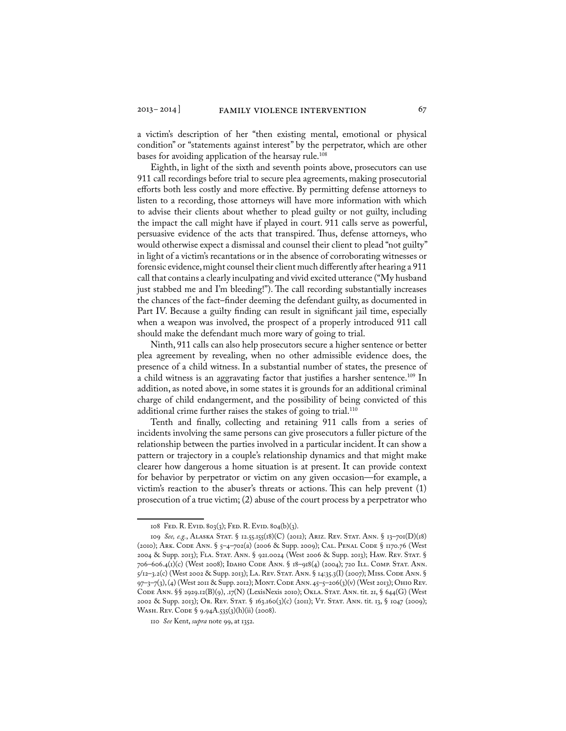a victim's description of her "then existing mental, emotional or physical condition" or "statements against interest" by the perpetrator, which are other bases for avoiding application of the hearsay rule.<sup>108</sup>

Eighth, in light of the sixth and seventh points above, prosecutors can use 911 call recordings before trial to secure plea agreements, making prosecutorial efforts both less costly and more effective. By permitting defense attorneys to listen to a recording, those attorneys will have more information with which to advise their clients about whether to plead guilty or not guilty, including the impact the call might have if played in court. 911 calls serve as powerful, persuasive evidence of the acts that transpired. Thus, defense attorneys, who would otherwise expect a dismissal and counsel their client to plead "not guilty" in light of a victim's recantations or in the absence of corroborating witnesses or forensic evidence, might counsel their client much differently after hearing a 911 call that contains a clearly inculpating and vivid excited utterance ("My husband just stabbed me and I'm bleeding!"). The call recording substantially increases the chances of the fact–finder deeming the defendant guilty, as documented in Part IV. Because a guilty finding can result in significant jail time, especially when a weapon was involved, the prospect of a properly introduced 911 call should make the defendant much more wary of going to trial.

Ninth, 911 calls can also help prosecutors secure a higher sentence or better plea agreement by revealing, when no other admissible evidence does, the presence of a child witness. In a substantial number of states, the presence of a child witness is an aggravating factor that justifies a harsher sentence.<sup>109</sup> In addition, as noted above, in some states it is grounds for an additional criminal charge of child endangerment, and the possibility of being convicted of this additional crime further raises the stakes of going to trial.<sup>110</sup>

Tenth and finally, collecting and retaining 911 calls from a series of incidents involving the same persons can give prosecutors a fuller picture of the relationship between the parties involved in a particular incident. It can show a pattern or trajectory in a couple's relationship dynamics and that might make clearer how dangerous a home situation is at present. It can provide context for behavior by perpetrator or victim on any given occasion—for example, a victim's reaction to the abuser's threats or actions. This can help prevent (1) prosecution of a true victim; (2) abuse of the court process by a perpetrator who

<sup>108</sup> FED. R. EVID. 803(3); FED. R. EVID. 804(b)(3).

<sup>109</sup> *See, e.g.*, Alaska Stat. § 12.55.155(18)(C) (2012); Ariz. Rev. Stat. Ann. § 13–701(D)(18) (2010); Ark. Code Ann. § 5–4–702(a) (2006 & Supp. 2009); Cal. Penal Code § 1170.76 (West 2004 & Supp. 2013); Fla. Stat. Ann. § 921.0024 (West 2006 & Supp. 2013); Haw. Rev. Stat. § 706–606.4(1)(c) (West 2008); Idaho Code Ann. § 18–918(4) (2004); 720 Ill. Comp. Stat. Ann. 5/12–3.2(c) (West 2002 & Supp. 2013); La. Rev. Stat. Ann. § 14:35.3(I) (2007); Miss. Code Ann. § 97–3–7(3), (4) (West 2011 & Supp. 2012); Mont. Code Ann. 45–5–206(3)(v) (West 2013); Ohio Rev. Code Ann. §§ 2929.12(B)(9), .17(N) (LexisNexis 2010); Okla. Stat. Ann. tit. 21, § 644(G) (West 2002 & Supp. 2013); Or. Rev. Stat. § 163.160(3)(c) (2011); Vt. Stat. Ann. tit. 13, § 1047 (2009); WASH. REV. CODE § 9.94A.535(3)(h)(ii) (2008).

<sup>110</sup> *See* Kent, *supra* note 99, at 1352.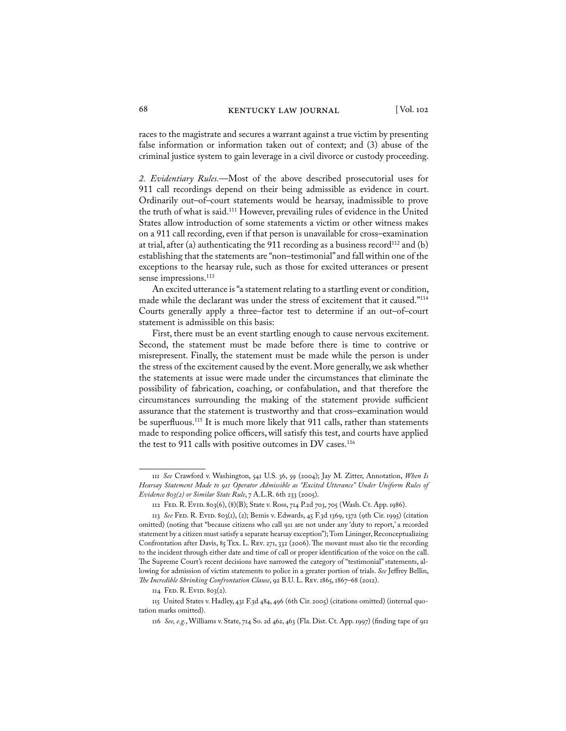races to the magistrate and secures a warrant against a true victim by presenting false information or information taken out of context; and (3) abuse of the criminal justice system to gain leverage in a civil divorce or custody proceeding.

*2. Evidentiary Rules.*—Most of the above described prosecutorial uses for 911 call recordings depend on their being admissible as evidence in court. Ordinarily out–of–court statements would be hearsay, inadmissible to prove the truth of what is said.111 However, prevailing rules of evidence in the United States allow introduction of some statements a victim or other witness makes on a 911 call recording, even if that person is unavailable for cross–examination at trial, after (a) authenticating the 911 recording as a business record<sup>112</sup> and (b) establishing that the statements are "non–testimonial" and fall within one of the exceptions to the hearsay rule, such as those for excited utterances or present sense impressions.<sup>113</sup>

An excited utterance is "a statement relating to a startling event or condition, made while the declarant was under the stress of excitement that it caused."114 Courts generally apply a three–factor test to determine if an out–of–court statement is admissible on this basis:

First, there must be an event startling enough to cause nervous excitement. Second, the statement must be made before there is time to contrive or misrepresent. Finally, the statement must be made while the person is under the stress of the excitement caused by the event. More generally, we ask whether the statements at issue were made under the circumstances that eliminate the possibility of fabrication, coaching, or confabulation, and that therefore the circumstances surrounding the making of the statement provide sufficient assurance that the statement is trustworthy and that cross–examination would be superfluous.<sup>115</sup> It is much more likely that 911 calls, rather than statements made to responding police officers, will satisfy this test, and courts have applied the test to 911 calls with positive outcomes in DV cases.<sup>116</sup>

<sup>111</sup> *See* Crawford v. Washington, 541 U.S. 36, 59 (2004); Jay M. Zitter, Annotation, *When Is Hearsay Statement Made to 911 Operator Admissible as "Excited Utterance" Under Uniform Rules of Evidence 803(2) or Similar State Rule*, 7 A.L.R. 6th 233 (2005).

<sup>112</sup> Fed. R. Evid. 803(6), (8)(B); State v. Ross, 714 P.2d 703, 705 (Wash. Ct. App. 1986).

<sup>113</sup> *See* Fed. R. Evid. 803(1), (2); Bemis v. Edwards, 45 F.3d 1369, 1372 (9th Cir. 1995) (citation omitted) (noting that "because citizens who call 911 are not under any 'duty to report,' a recorded statement by a citizen must satisfy a separate hearsay exception"); Tom Lininger, Reconceptualizing Confrontation after Davis, 85 Tex. L. Rev. 271, 332 (2006). The movant must also tie the recording to the incident through either date and time of call or proper identification of the voice on the call. The Supreme Court's recent decisions have narrowed the category of "testimonial" statements, allowing for admission of victim statements to police in a greater portion of trials. *See* Jeffrey Bellin, *The Incredible Shrinking Confrontation Clause*, 92 B.U. L. Rev. 1865, 1867–68 (2012).

 $II4$  Fed. R. Evid. 803(2).

<sup>115</sup> United States v. Hadley, 431 F.3d 484, 496 (6th Cir. 2005) (citations omitted) (internal quotation marks omitted).

<sup>116</sup> *See, e.g.*, Williams v. State, 714 So. 2d 462, 463 (Fla. Dist. Ct. App. 1997) (finding tape of 911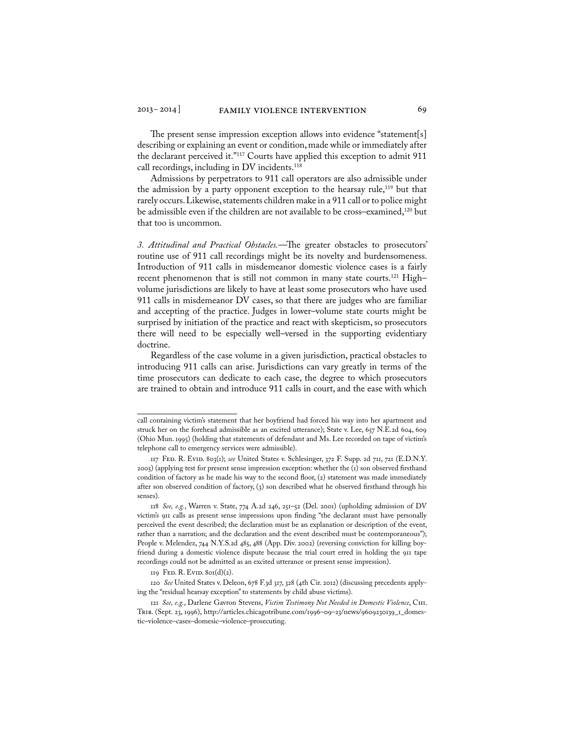The present sense impression exception allows into evidence "statement[s] describing or explaining an event or condition, made while or immediately after the declarant perceived it."<sup>117</sup> Courts have applied this exception to admit 911 call recordings, including in DV incidents.<sup>118</sup>

Admissions by perpetrators to 911 call operators are also admissible under the admission by a party opponent exception to the hearsay rule,<sup>119</sup> but that rarely occurs. Likewise, statements children make in a 911 call or to police might be admissible even if the children are not available to be cross–examined,<sup>120</sup> but that too is uncommon.

*3. Attitudinal and Practical Obstacles.*—The greater obstacles to prosecutors' routine use of 911 call recordings might be its novelty and burdensomeness. Introduction of 911 calls in misdemeanor domestic violence cases is a fairly recent phenomenon that is still not common in many state courts.<sup>121</sup> Highvolume jurisdictions are likely to have at least some prosecutors who have used 911 calls in misdemeanor DV cases, so that there are judges who are familiar and accepting of the practice. Judges in lower–volume state courts might be surprised by initiation of the practice and react with skepticism, so prosecutors there will need to be especially well–versed in the supporting evidentiary doctrine.

Regardless of the case volume in a given jurisdiction, practical obstacles to introducing 911 calls can arise. Jurisdictions can vary greatly in terms of the time prosecutors can dedicate to each case, the degree to which prosecutors are trained to obtain and introduce 911 calls in court, and the ease with which

call containing victim's statement that her boyfriend had forced his way into her apartment and struck her on the forehead admissible as an excited utterance); State v. Lee, 657 N.E.2d 604, 609 (Ohio Mun. 1995) (holding that statements of defendant and Ms. Lee recorded on tape of victim's telephone call to emergency services were admissible).

<sup>117</sup> Fed. R. Evid. 803(1); *see* United States v. Schlesinger, 372 F. Supp. 2d 711, 721 (E.D.N.Y. 2005) (applying test for present sense impression exception: whether the (1) son observed firsthand condition of factory as he made his way to the second floor, (2) statement was made immediately after son observed condition of factory, (3) son described what he observed firsthand through his senses)

<sup>118</sup> *See, e.g.*, Warren v. State, 774 A.2d 246, 251–52 (Del. 2001) (upholding admission of DV victim's 911 calls as present sense impressions upon finding "the declarant must have personally perceived the event described; the declaration must be an explanation or description of the event, rather than a narration; and the declaration and the event described must be contemporaneous"); People v. Melendez, 744 N.Y.S.2d 485, 488 (App. Div. 2002) (reversing conviction for killing boyfriend during a domestic violence dispute because the trial court erred in holding the 911 tape recordings could not be admitted as an excited utterance or present sense impression).

 $119$  Fed. R. Evid.  $80I(d)(2)$ .

<sup>120</sup> *See* United States v. Deleon, 678 F.3d 317, 328 (4th Cir. 2012) (discussing precedents applying the "residual hearsay exception" to statements by child abuse victims).

<sup>121</sup> *See, e.g.*, Darlene Gavron Stevens, *Victim Testimony Not Needed in Domestic Violence*, Chi. Trib. (Sept. 23, 1996), http://articles.chicagotribune.com/1996–09–23/news/9609230139\_1\_domestic–violence–cases–domesic–violence–prosecuting.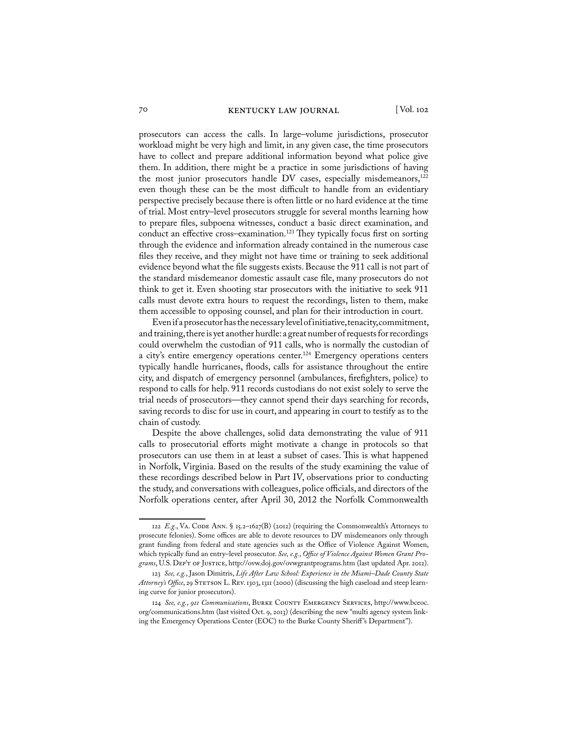prosecutors can access the calls. In large–volume jurisdictions, prosecutor workload might be very high and limit, in any given case, the time prosecutors have to collect and prepare additional information beyond what police give them. In addition, there might be a practice in some jurisdictions of having the most junior prosecutors handle DV cases, especially misdemeanors,<sup>122</sup> even though these can be the most difficult to handle from an evidentiary perspective precisely because there is often little or no hard evidence at the time of trial. Most entry–level prosecutors struggle for several months learning how to prepare files, subpoena witnesses, conduct a basic direct examination, and conduct an effective cross–examination.<sup>123</sup> They typically focus first on sorting through the evidence and information already contained in the numerous case files they receive, and they might not have time or training to seek additional evidence beyond what the file suggests exists. Because the 911 call is not part of the standard misdemeanor domestic assault case file, many prosecutors do not think to get it. Even shooting star prosecutors with the initiative to seek 911 calls must devote extra hours to request the recordings, listen to them, make them accessible to opposing counsel, and plan for their introduction in court.

Even if a prosecutor has the necessary level of initiative, tenacity, commitment, and training, there is yet another hurdle: a great number of requests for recordings could overwhelm the custodian of 911 calls, who is normally the custodian of a city's entire emergency operations center.<sup>124</sup> Emergency operations centers typically handle hurricanes, floods, calls for assistance throughout the entire city, and dispatch of emergency personnel (ambulances, firefighters, police) to respond to calls for help. 911 records custodians do not exist solely to serve the trial needs of prosecutors—they cannot spend their days searching for records, saving records to disc for use in court, and appearing in court to testify as to the chain of custody.

Despite the above challenges, solid data demonstrating the value of 911 calls to prosecutorial efforts might motivate a change in protocols so that prosecutors can use them in at least a subset of cases. This is what happened in Norfolk, Virginia. Based on the results of the study examining the value of these recordings described below in Part IV, observations prior to conducting the study, and conversations with colleagues, police officials, and directors of the Norfolk operations center, after April 30, 2012 the Norfolk Commonwealth

<sup>122</sup>  $E.g., VA. CoDE ANN. § 15.2–1627(B) (2012) (requiring the Commonwealth's Attorneys to$ prosecute felonies). Some offices are able to devote resources to DV misdemeanors only through grant funding from federal and state agencies such as the Office of Violence Against Women, which typically fund an entry–level prosecutor. *See, e.g.*, *Office of Violence Against Women Grant Programs*, U.S. Dep't of Justice, http://ovw.doj.gov/ovwgrantprograms.htm (last updated Apr. 2012).

<sup>123</sup> *See, e.g.*, Jason Dimitris, *Life After Law School: Experience in the Miami–Dade County State*  Attorney's Office, 29 STETSON L. REV. 1303, 1311 (2000) (discussing the high caseload and steep learning curve for junior prosecutors).

<sup>124</sup> *See, e.g.*, *911 Communications*, Burke County Emergency Services, http://www.bceoc. org/communications.htm (last visited Oct. 9, 2013) (describing the new "multi agency system linking the Emergency Operations Center (EOC) to the Burke County Sheriff 's Department").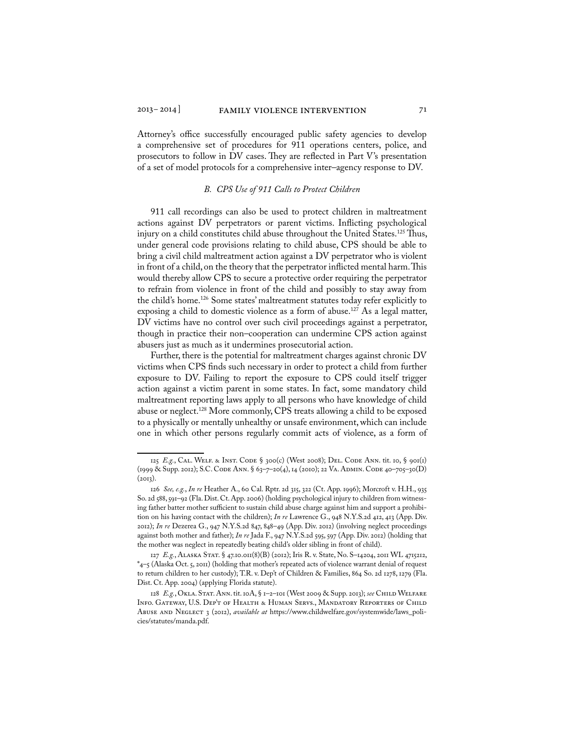Attorney's office successfully encouraged public safety agencies to develop a comprehensive set of procedures for 911 operations centers, police, and prosecutors to follow in DV cases. They are reflected in Part V's presentation of a set of model protocols for a comprehensive inter–agency response to DV.

#### *B. CPS Use of 911 Calls to Protect Children*

911 call recordings can also be used to protect children in maltreatment actions against DV perpetrators or parent victims. Inflicting psychological injury on a child constitutes child abuse throughout the United States.<sup>125</sup> Thus, under general code provisions relating to child abuse, CPS should be able to bring a civil child maltreatment action against a DV perpetrator who is violent in front of a child, on the theory that the perpetrator inflicted mental harm. This would thereby allow CPS to secure a protective order requiring the perpetrator to refrain from violence in front of the child and possibly to stay away from the child's home.126 Some states' maltreatment statutes today refer explicitly to exposing a child to domestic violence as a form of abuse.<sup>127</sup> As a legal matter, DV victims have no control over such civil proceedings against a perpetrator, though in practice their non–cooperation can undermine CPS action against abusers just as much as it undermines prosecutorial action.

Further, there is the potential for maltreatment charges against chronic DV victims when CPS finds such necessary in order to protect a child from further exposure to DV. Failing to report the exposure to CPS could itself trigger action against a victim parent in some states. In fact, some mandatory child maltreatment reporting laws apply to all persons who have knowledge of child abuse or neglect.<sup>128</sup> More commonly, CPS treats allowing a child to be exposed to a physically or mentally unhealthy or unsafe environment, which can include one in which other persons regularly commit acts of violence, as a form of

<sup>125</sup> *E.g.*, CAL. WELF. & INST. CODE § 300(c) (West 2008); DEL. CODE ANN. tit. 10, § 901(1) (1999 & Supp. 2012); S.C. Code Ann. § 63–7–20(4), 14 (2010); 22 Va. Admin. Code 40–705–30(D)  $(2013)$ .

<sup>126</sup> *See, e.g.*, *In re* Heather A., 60 Cal. Rptr. 2d 315, 322 (Ct. App. 1996); Morcroft v. H.H., 935 So. 2d 588, 591–92 (Fla. Dist. Ct. App. 2006) (holding psychological injury to children from witnessing father batter mother sufficient to sustain child abuse charge against him and support a prohibition on his having contact with the children); *In re* Lawrence G., 948 N.Y.S.2d 412, 413 (App. Div. 2012); *In re* Dezerea G., 947 N.Y.S.2d 847, 848–49 (App. Div. 2012) (involving neglect proceedings against both mother and father); *In re* Jada F., 947 N.Y.S.2d 595, 597 (App. Div. 2012) (holding that the mother was neglect in repeatedly beating child's older sibling in front of child).

<sup>127</sup> *E.g.*, Alaska Stat. § 47.10.011(8)(B) (2012); Iris R. v. State, No. S–14204, 2011 WL 4715212, \*4–5 (Alaska Oct. 5, 2011) (holding that mother's repeated acts of violence warrant denial of request to return children to her custody); T.R. v. Dep't of Children & Families, 864 So. 2d 1278, 1279 (Fla. Dist. Ct. App. 2004) (applying Florida statute).

<sup>128</sup> *E.g.*, Okla. Stat. Ann. tit. 10A, § 1–2–101 (West 2009 & Supp. 2013); *see* Child Welfare Info. Gateway, U.S. Dep't of Health & Human Servs., Mandatory Reporters of Child Abuse and Neglect 3 (2012), *available at* https://www.childwelfare.gov/systemwide/laws\_policies/statutes/manda.pdf.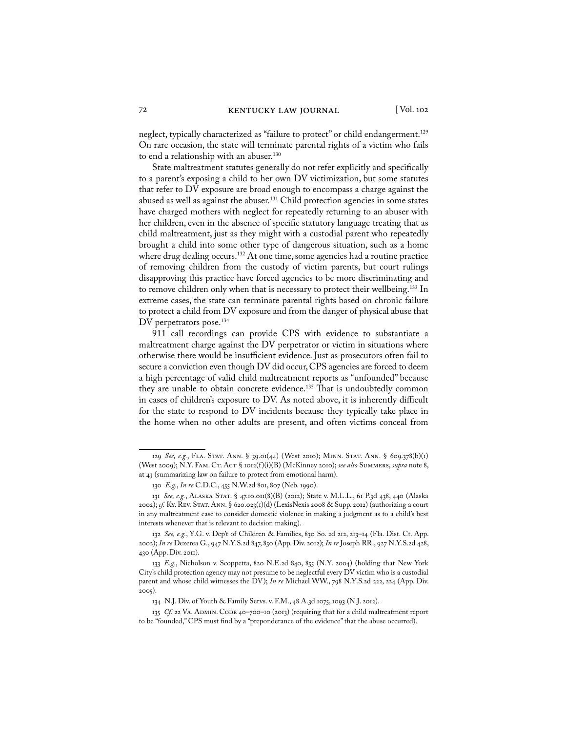neglect, typically characterized as "failure to protect" or child endangerment.<sup>129</sup> On rare occasion, the state will terminate parental rights of a victim who fails to end a relationship with an abuser.<sup>130</sup>

State maltreatment statutes generally do not refer explicitly and specifically to a parent's exposing a child to her own DV victimization, but some statutes that refer to DV exposure are broad enough to encompass a charge against the abused as well as against the abuser.<sup>131</sup> Child protection agencies in some states have charged mothers with neglect for repeatedly returning to an abuser with her children, even in the absence of specific statutory language treating that as child maltreatment, just as they might with a custodial parent who repeatedly brought a child into some other type of dangerous situation, such as a home where drug dealing occurs.<sup>132</sup> At one time, some agencies had a routine practice of removing children from the custody of victim parents, but court rulings disapproving this practice have forced agencies to be more discriminating and to remove children only when that is necessary to protect their wellbeing.133 In extreme cases, the state can terminate parental rights based on chronic failure to protect a child from DV exposure and from the danger of physical abuse that DV perpetrators pose.<sup>134</sup>

911 call recordings can provide CPS with evidence to substantiate a maltreatment charge against the DV perpetrator or victim in situations where otherwise there would be insufficient evidence. Just as prosecutors often fail to secure a conviction even though DV did occur, CPS agencies are forced to deem a high percentage of valid child maltreatment reports as "unfounded" because they are unable to obtain concrete evidence.<sup>135</sup> That is undoubtedly common in cases of children's exposure to DV. As noted above, it is inherently difficult for the state to respond to DV incidents because they typically take place in the home when no other adults are present, and often victims conceal from

<sup>129</sup> *See, e.g.*, Fla. Stat. Ann. § 39.01(44) (West 2010); Minn. Stat. Ann. § 609.378(b)(1) (West 2009); N.Y. Fam. Ct. Act § 1012(f )(i)(B) (McKinney 2010); *see also* Summers, *supra* note 8, at 43 (summarizing law on failure to protect from emotional harm).

<sup>130</sup> *E.g.*, *In re* C.D.C., 455 N.W.2d 801, 807 (Neb. 1990).

<sup>131</sup> *See, e.g.*, Alaska Stat. § 47.10.011(8)(B) (2012); State v. M.L.L., 61 P.3d 438, 440 (Alaska 2002); *cf.* Ky. Rev. Stat. Ann. § 620.023(1)(d) (LexisNexis 2008 & Supp. 2012) (authorizing a court in any maltreatment case to consider domestic violence in making a judgment as to a child's best interests whenever that is relevant to decision making).

<sup>132</sup> *See, e.g.*, Y.G. v. Dep't of Children & Families, 830 So. 2d 212, 213–14 (Fla. Dist. Ct. App. 2002); *In re* Dezerea G., 947 N.Y.S.2d 847, 850 (App. Div. 2012); *In re* Joseph RR., 927 N.Y.S.2d 428, 430 (App. Div. 2011).

<sup>133</sup> *E.g.*, Nicholson v. Scoppetta, 820 N.E.2d 840, 855 (N.Y. 2004) (holding that New York City's child protection agency may not presume to be neglectful every DV victim who is a custodial parent and whose child witnesses the DV); *In re* Michael WW., 798 N.Y.S.2d 222, 224 (App. Div. 2005).

<sup>134</sup> N.J. Div. of Youth & Family Servs. v. F.M., 48 A.3d 1075, 1093 (N.J. 2012).

<sup>135</sup> *Cf.* 22 Va. Admin. Code 40–700–10 (2013) (requiring that for a child maltreatment report to be "founded," CPS must find by a "preponderance of the evidence" that the abuse occurred).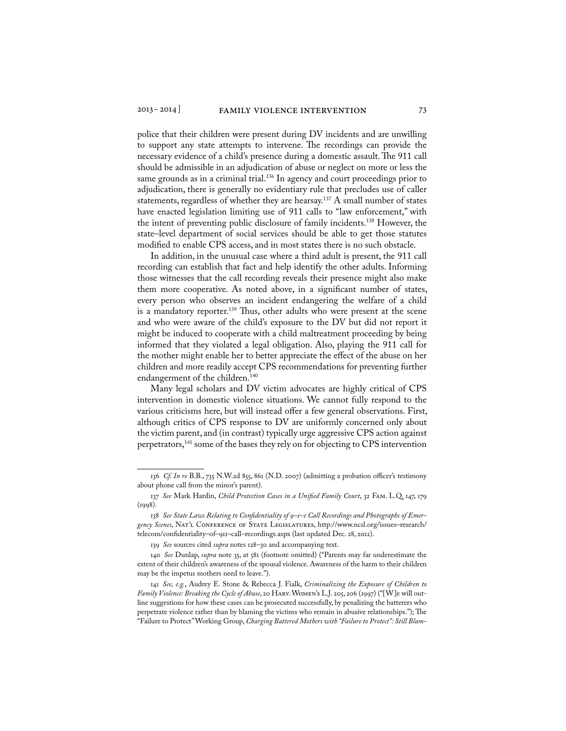police that their children were present during DV incidents and are unwilling to support any state attempts to intervene. The recordings can provide the necessary evidence of a child's presence during a domestic assault. The 911 call should be admissible in an adjudication of abuse or neglect on more or less the same grounds as in a criminal trial.<sup>136</sup> In agency and court proceedings prior to adjudication, there is generally no evidentiary rule that precludes use of caller statements, regardless of whether they are hearsay.<sup>137</sup> A small number of states

have enacted legislation limiting use of 911 calls to "law enforcement," with the intent of preventing public disclosure of family incidents.138 However, the state–level department of social services should be able to get those statutes modified to enable CPS access, and in most states there is no such obstacle. In addition, in the unusual case where a third adult is present, the 911 call

recording can establish that fact and help identify the other adults. Informing those witnesses that the call recording reveals their presence might also make them more cooperative. As noted above, in a significant number of states, every person who observes an incident endangering the welfare of a child is a mandatory reporter.<sup>139</sup> Thus, other adults who were present at the scene and who were aware of the child's exposure to the DV but did not report it might be induced to cooperate with a child maltreatment proceeding by being informed that they violated a legal obligation. Also, playing the 911 call for the mother might enable her to better appreciate the effect of the abuse on her children and more readily accept CPS recommendations for preventing further endangerment of the children.<sup>140</sup>

Many legal scholars and DV victim advocates are highly critical of CPS intervention in domestic violence situations. We cannot fully respond to the various criticisms here, but will instead offer a few general observations. First, although critics of CPS response to DV are uniformly concerned only about the victim parent, and (in contrast) typically urge aggressive CPS action against perpetrators,141 some of the bases they rely on for objecting to CPS intervention

<sup>136</sup> *Cf. In re* B.B., 735 N.W.2d 855, 861 (N.D. 2007) (admitting a probation officer's testimony about phone call from the minor's parent).

<sup>137</sup> *See* Mark Hardin, *Child Protection Cases in a Unified Family Court*, 32 Fam. L.Q. 147, 179  $(1998).$ 

<sup>138</sup> *See State Laws Relating to Confidentiality of 9–1–1 Call Recordings and Photographs of Emergency Scenes*, Nat'l Conference of State Legislatures, http://www.ncsl.org/issues–research/ telecom/confidentiality–of–911–call–recordings.aspx (last updated Dec. 28, 2012).

<sup>139</sup> *See* sources cited *supra* notes 128–30 and accompanying text.

<sup>140</sup> *See* Dunlap, *supra* note 35, at 581 (footnote omitted) ("Parents may far underestimate the extent of their children's awareness of the spousal violence. Awareness of the harm to their children may be the impetus mothers need to leave.").

<sup>141</sup> *See, e.g.*, Audrey E. Stone & Rebecca J. Fialk, *Criminalizing the Exposure of Children to Family Violence: Breaking the Cycle of Abuse*, 20 Harv. Women's L.J. 205, 206 (1997) ("[W]e will outline suggestions for how these cases can be prosecuted successfully, by penalizing the batterers who perpetrate violence rather than by blaming the victims who remain in abusive relationships."); The "Failure to Protect" Working Group, *Charging Battered Mothers with "Failure to Protect": Still Blam-*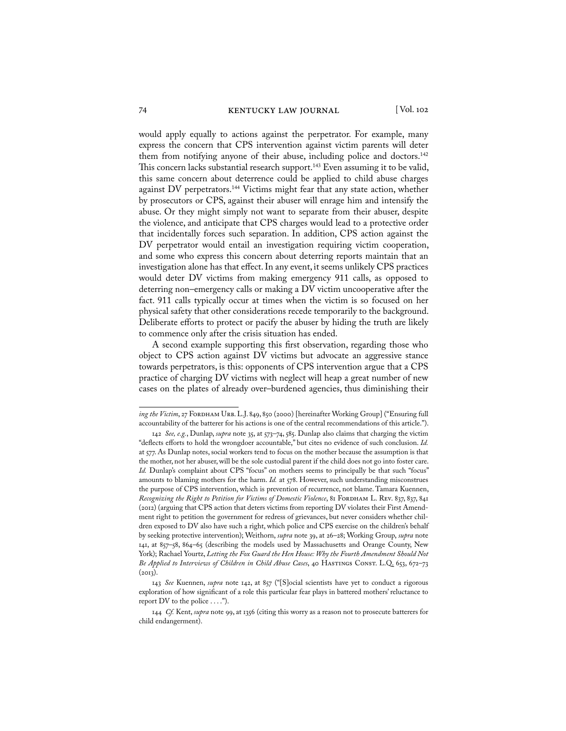would apply equally to actions against the perpetrator. For example, many express the concern that CPS intervention against victim parents will deter them from notifying anyone of their abuse, including police and doctors.<sup>142</sup> This concern lacks substantial research support.<sup>143</sup> Even assuming it to be valid, this same concern about deterrence could be applied to child abuse charges against DV perpetrators.<sup>144</sup> Victims might fear that any state action, whether by prosecutors or CPS, against their abuser will enrage him and intensify the abuse. Or they might simply not want to separate from their abuser, despite the violence, and anticipate that CPS charges would lead to a protective order that incidentally forces such separation. In addition, CPS action against the DV perpetrator would entail an investigation requiring victim cooperation, and some who express this concern about deterring reports maintain that an investigation alone has that effect. In any event, it seems unlikely CPS practices would deter DV victims from making emergency 911 calls, as opposed to deterring non–emergency calls or making a DV victim uncooperative after the fact. 911 calls typically occur at times when the victim is so focused on her physical safety that other considerations recede temporarily to the background. Deliberate efforts to protect or pacify the abuser by hiding the truth are likely to commence only after the crisis situation has ended.

A second example supporting this first observation, regarding those who object to CPS action against DV victims but advocate an aggressive stance towards perpetrators, is this: opponents of CPS intervention argue that a CPS practice of charging DV victims with neglect will heap a great number of new cases on the plates of already over–burdened agencies, thus diminishing their

*ing the Victim*, 27 FORDHAM URB. L.J. 849, 850 (2000) [hereinafter Working Group] ("Ensuring full accountability of the batterer for his actions is one of the central recommendations of this article.").

<sup>142</sup> *See, e.g.*, Dunlap, *supra* note 35, at 573–74, 585. Dunlap also claims that charging the victim "deflects efforts to hold the wrongdoer accountable," but cites no evidence of such conclusion. *Id.* at 577. As Dunlap notes, social workers tend to focus on the mother because the assumption is that the mother, not her abuser, will be the sole custodial parent if the child does not go into foster care. *Id.* Dunlap's complaint about CPS "focus" on mothers seems to principally be that such "focus" amounts to blaming mothers for the harm. *Id.* at 578. However, such understanding misconstrues the purpose of CPS intervention, which is prevention of recurrence, not blame. Tamara Kuennen, *Recognizing the Right to Petition for Victims of Domestic Violence*, 81 Fordham L. Rev. 837, 837, 841 (2012) (arguing that CPS action that deters victims from reporting DV violates their First Amendment right to petition the government for redress of grievances, but never considers whether children exposed to DV also have such a right, which police and CPS exercise on the children's behalf by seeking protective intervention); Weithorn, *supra* note 39, at 26–28; Working Group, *supra* note 141, at 857–58, 864–65 (describing the models used by Massachusetts and Orange County, New York); Rachael Yourtz, *Letting the Fox Guard the Hen House: Why the Fourth Amendment Should Not*  Be Applied to Interviews of Children in Child Abuse Cases, 40 HASTINGS CONST. L.Q. 653, 672-73  $(2013).$ 

<sup>143</sup> *See* Kuennen, *supra* note 142, at 857 ("[S]ocial scientists have yet to conduct a rigorous exploration of how significant of a role this particular fear plays in battered mothers' reluctance to report DV to the police  $\dots$ .").

<sup>144</sup> *Cf.* Kent, *supra* note 99, at 1356 (citing this worry as a reason not to prosecute batterers for child endangerment).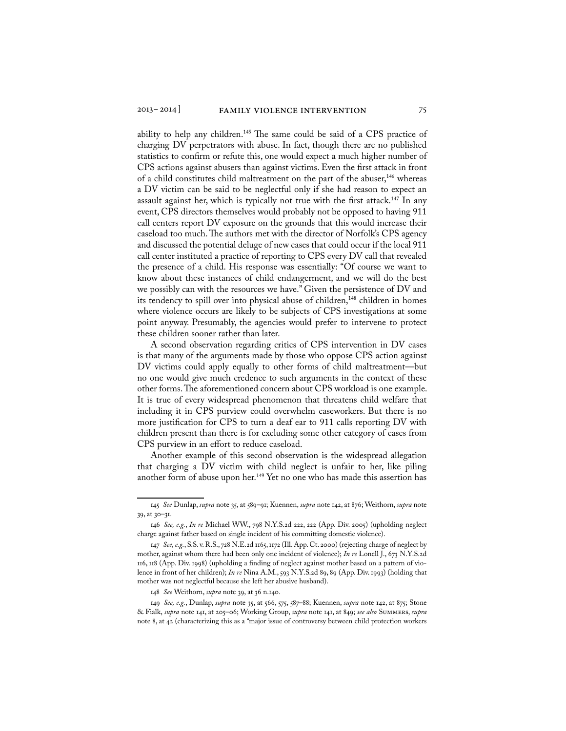ability to help any children.<sup>145</sup> The same could be said of a CPS practice of charging DV perpetrators with abuse. In fact, though there are no published statistics to confirm or refute this, one would expect a much higher number of CPS actions against abusers than against victims. Even the first attack in front of a child constitutes child maltreatment on the part of the abuser, $146$  whereas a DV victim can be said to be neglectful only if she had reason to expect an assault against her, which is typically not true with the first attack.<sup>147</sup> In any event, CPS directors themselves would probably not be opposed to having 911 call centers report DV exposure on the grounds that this would increase their caseload too much. The authors met with the director of Norfolk's CPS agency and discussed the potential deluge of new cases that could occur if the local 911 call center instituted a practice of reporting to CPS every DV call that revealed the presence of a child. His response was essentially: "Of course we want to know about these instances of child endangerment, and we will do the best we possibly can with the resources we have." Given the persistence of DV and its tendency to spill over into physical abuse of children,<sup>148</sup> children in homes where violence occurs are likely to be subjects of CPS investigations at some point anyway. Presumably, the agencies would prefer to intervene to protect these children sooner rather than later.

A second observation regarding critics of CPS intervention in DV cases is that many of the arguments made by those who oppose CPS action against DV victims could apply equally to other forms of child maltreatment—but no one would give much credence to such arguments in the context of these other forms. The aforementioned concern about CPS workload is one example. It is true of every widespread phenomenon that threatens child welfare that including it in CPS purview could overwhelm caseworkers. But there is no more justification for CPS to turn a deaf ear to 911 calls reporting DV with children present than there is for excluding some other category of cases from CPS purview in an effort to reduce caseload.

Another example of this second observation is the widespread allegation that charging a DV victim with child neglect is unfair to her, like piling another form of abuse upon her.<sup>149</sup> Yet no one who has made this assertion has

148 *See* Weithorn, *supra* note 39, at 36 n.140.

149 *See, e.g.*, Dunlap, *supra* note 35, at 566, 575, 587–88; Kuennen, *supra* note 142, at 875; Stone & Fialk, *supra* note 141, at 205–06; Working Group, *supra* note 141, at 849; *see also* Summers, *supra* note 8, at 42 (characterizing this as a "major issue of controversy between child protection workers

<sup>145</sup> *See* Dunlap, *supra* note 35, at 589–91; Kuennen, *supra* note 142, at 876; Weithorn, *supra* note 39, at 30–31.

<sup>146</sup> *See, e.g.*, *In re* Michael WW., 798 N.Y.S.2d 222, 222 (App. Div. 2005) (upholding neglect charge against father based on single incident of his committing domestic violence).

<sup>147</sup> *See, e.g.*, S.S. v. R.S., 728 N.E.2d 1165, 1172 (Ill. App. Ct. 2000) (rejecting charge of neglect by mother, against whom there had been only one incident of violence); *In re* Lonell J., 673 N.Y.S.2d 116, 118 (App. Div. 1998) (upholding a finding of neglect against mother based on a pattern of violence in front of her children); *In re* Nina A.M., 593 N.Y.S.2d 89, 89 (App. Div. 1993) (holding that mother was not neglectful because she left her abusive husband).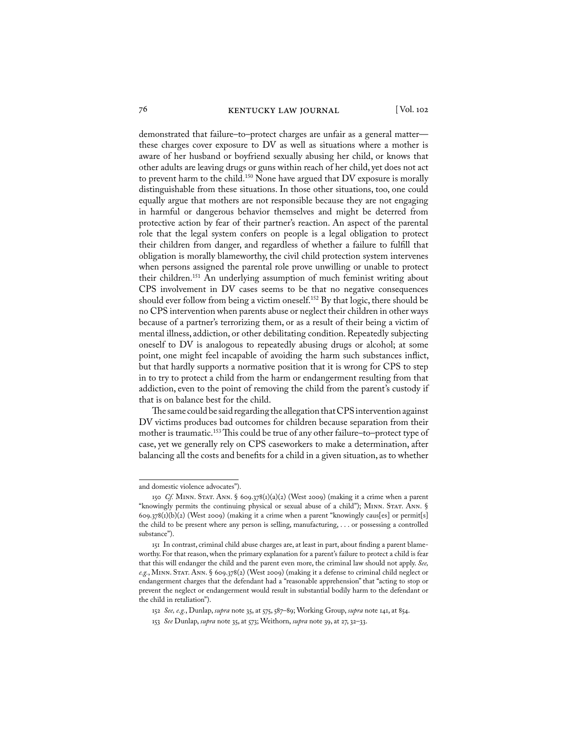demonstrated that failure–to–protect charges are unfair as a general matter these charges cover exposure to DV as well as situations where a mother is aware of her husband or boyfriend sexually abusing her child, or knows that other adults are leaving drugs or guns within reach of her child, yet does not act to prevent harm to the child.<sup>150</sup> None have argued that DV exposure is morally distinguishable from these situations. In those other situations, too, one could equally argue that mothers are not responsible because they are not engaging in harmful or dangerous behavior themselves and might be deterred from protective action by fear of their partner's reaction. An aspect of the parental role that the legal system confers on people is a legal obligation to protect their children from danger, and regardless of whether a failure to fulfill that obligation is morally blameworthy, the civil child protection system intervenes when persons assigned the parental role prove unwilling or unable to protect their children.151 An underlying assumption of much feminist writing about CPS involvement in DV cases seems to be that no negative consequences should ever follow from being a victim oneself.<sup>152</sup> By that logic, there should be no CPS intervention when parents abuse or neglect their children in other ways because of a partner's terrorizing them, or as a result of their being a victim of mental illness, addiction, or other debilitating condition. Repeatedly subjecting oneself to DV is analogous to repeatedly abusing drugs or alcohol; at some point, one might feel incapable of avoiding the harm such substances inflict, but that hardly supports a normative position that it is wrong for CPS to step in to try to protect a child from the harm or endangerment resulting from that addiction, even to the point of removing the child from the parent's custody if that is on balance best for the child.

The same could be said regarding the allegation that CPS intervention against DV victims produces bad outcomes for children because separation from their mother is traumatic.153 This could be true of any other failure–to–protect type of case, yet we generally rely on CPS caseworkers to make a determination, after balancing all the costs and benefits for a child in a given situation, as to whether

and domestic violence advocates").

<sup>150</sup> *Cf.* MINN. STAT. ANN. § 609.378(1)(a)(2) (West 2009) (making it a crime when a parent "knowingly permits the continuing physical or sexual abuse of a child"); Minn. Stat. Ann. §  $609.378(i)(b)(2)$  (West 2009) (making it a crime when a parent "knowingly caus[es] or permit[s] the child to be present where any person is selling, manufacturing, . . . or possessing a controlled substance").

<sup>151</sup> In contrast, criminal child abuse charges are, at least in part, about finding a parent blameworthy. For that reason, when the primary explanation for a parent's failure to protect a child is fear that this will endanger the child and the parent even more, the criminal law should not apply. *See, e.g.*, Minn. Stat. Ann. § 609.378(2) (West 2009) (making it a defense to criminal child neglect or endangerment charges that the defendant had a "reasonable apprehension" that "acting to stop or prevent the neglect or endangerment would result in substantial bodily harm to the defendant or the child in retaliation").

<sup>152</sup> *See, e.g.*, Dunlap, *supra* note 35, at 575, 587–89; Working Group, *supra* note 141, at 854.

<sup>153</sup> *See* Dunlap, *supra* note 35, at 573; Weithorn, *supra* note 39, at 27, 32–33.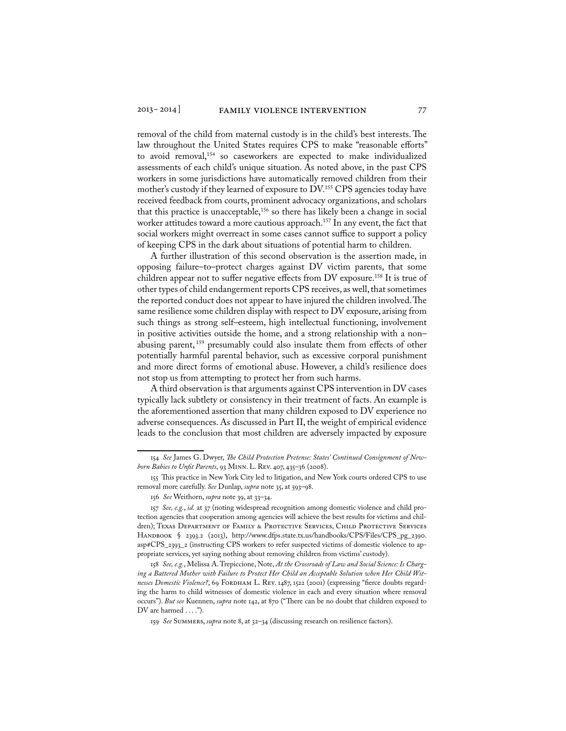removal of the child from maternal custody is in the child's best interests. The law throughout the United States requires CPS to make "reasonable efforts" to avoid removal,<sup>154</sup> so caseworkers are expected to make individualized assessments of each child's unique situation. As noted above, in the past CPS workers in some jurisdictions have automatically removed children from their mother's custody if they learned of exposure to DV.155 CPS agencies today have received feedback from courts, prominent advocacy organizations, and scholars that this practice is unacceptable,<sup>156</sup> so there has likely been a change in social worker attitudes toward a more cautious approach.<sup>157</sup> In any event, the fact that social workers might overreact in some cases cannot suffice to support a policy of keeping CPS in the dark about situations of potential harm to children.

A further illustration of this second observation is the assertion made, in opposing failure–to–protect charges against DV victim parents, that some children appear not to suffer negative effects from DV exposure.158 It is true of other types of child endangerment reports CPS receives, as well, that sometimes the reported conduct does not appear to have injured the children involved. The same resilience some children display with respect to DV exposure, arising from such things as strong self–esteem, high intellectual functioning, involvement in positive activities outside the home, and a strong relationship with a non– abusing parent, 159 presumably could also insulate them from effects of other potentially harmful parental behavior, such as excessive corporal punishment and more direct forms of emotional abuse. However, a child's resilience does not stop us from attempting to protect her from such harms.

A third observation is that arguments against CPS intervention in DV cases typically lack subtlety or consistency in their treatment of facts. An example is the aforementioned assertion that many children exposed to DV experience no adverse consequences. As discussed in Part II, the weight of empirical evidence leads to the conclusion that most children are adversely impacted by exposure

<sup>154</sup> *See* James G. Dwyer, *The Child Protection Pretense: States' Continued Consignment of Newborn Babies to Unfit Parents*, 93 Minn. L. Rev. 407, 435–36 (2008).

<sup>155</sup> This practice in New York City led to litigation, and New York courts ordered CPS to use removal more carefully. *See* Dunlap, *supra* note 35, at 593–98.

<sup>156</sup> *See* Weithorn, *supra* note 39, at 33–34.

<sup>157</sup> *See, e.g.*, *id.* at 37 (noting widespread recognition among domestic violence and child protection agencies that cooperation among agencies will achieve the best results for victims and children); Texas Department of Family & Protective Services, Child Protective Services HANDBOOK § 2393.2 (2013), http://www.dfps.state.tx.us/handbooks/CPS/Files/CPS\_pg\_2390. asp#CPS\_2393\_2 (instructing CPS workers to refer suspected victims of domestic violence to appropriate services, yet saying nothing about removing children from victims' custody).

<sup>158</sup> *See, e.g.*, Melissa A. Trepiccione, Note, *At the Crossroads of Law and Social Science: Is Charging a Battered Mother with Failure to Protect Her Child an Acceptable Solution when Her Child Wit*nesses Domestic Violence?, 69 FORDHAM L. REV. 1487, 1522 (2001) (expressing "fierce doubts regarding the harm to child witnesses of domestic violence in each and every situation where removal occurs"). *But see* Kuennen, *supra* note 142, at 870 ("There can be no doubt that children exposed to DV are harmed ....").

<sup>159</sup> *See* Summers, *supra* note 8, at 32–34 (discussing research on resilience factors).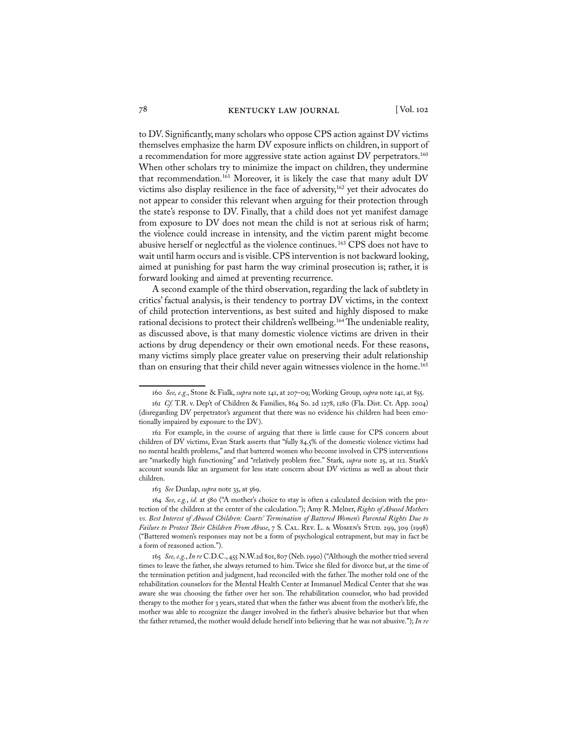to DV. Significantly, many scholars who oppose CPS action against DV victims themselves emphasize the harm DV exposure inflicts on children, in support of a recommendation for more aggressive state action against DV perpetrators.<sup>160</sup> When other scholars try to minimize the impact on children, they undermine that recommendation.<sup>161</sup> Moreover, it is likely the case that many adult DV victims also display resilience in the face of adversity,<sup>162</sup> yet their advocates do not appear to consider this relevant when arguing for their protection through the state's response to DV. Finally, that a child does not yet manifest damage from exposure to DV does not mean the child is not at serious risk of harm; the violence could increase in intensity, and the victim parent might become abusive herself or neglectful as the violence continues. 163 CPS does not have to wait until harm occurs and is visible. CPS intervention is not backward looking, aimed at punishing for past harm the way criminal prosecution is; rather, it is forward looking and aimed at preventing recurrence.

A second example of the third observation, regarding the lack of subtlety in critics' factual analysis, is their tendency to portray DV victims, in the context of child protection interventions, as best suited and highly disposed to make rational decisions to protect their children's wellbeing.<sup>164</sup> The undeniable reality, as discussed above, is that many domestic violence victims are driven in their actions by drug dependency or their own emotional needs. For these reasons, many victims simply place greater value on preserving their adult relationship than on ensuring that their child never again witnesses violence in the home.<sup>165</sup>

<sup>160</sup> *See, e.g.*, Stone & Fialk, *supra* note 141, at 207–09; Working Group, *supra* note 141, at 855.

<sup>161</sup> *Cf.* T.R. v. Dep't of Children & Families, 864 So. 2d 1278, 1280 (Fla. Dist. Ct. App. 2004) (disregarding DV perpetrator's argument that there was no evidence his children had been emotionally impaired by exposure to the DV).

<sup>162</sup> For example, in the course of arguing that there is little cause for CPS concern about children of DV victims, Evan Stark asserts that "fully 84.5% of the domestic violence victims had no mental health problems," and that battered women who become involved in CPS interventions are "markedly high functioning" and "relatively problem free." Stark, *supra* note 25, at 112. Stark's account sounds like an argument for less state concern about DV victims as well as about their children.

<sup>163</sup> *See* Dunlap, *supra* note 35, at 569.

<sup>164</sup> *See, e.g.*, *id.* at 580 ("A mother's choice to stay is often a calculated decision with the protection of the children at the center of the calculation."); Amy R. Melner, *Rights of Abused Mothers vs. Best Interest of Abused Children: Courts' Termination of Battered Women's Parental Rights Due to Failure to Protect Their Children From Abuse*, 7 S. CAL. REV. L. & WOMEN's STUD. 299, 309 (1998) ("Battered women's responses may not be a form of psychological entrapment, but may in fact be a form of reasoned action.").

<sup>165</sup> *See, e.g.*, *In re* C.D.C., 455 N.W.2d 801, 807 (Neb. 1990) ("Although the mother tried several times to leave the father, she always returned to him. Twice she filed for divorce but, at the time of the termination petition and judgment, had reconciled with the father. The mother told one of the rehabilitation counselors for the Mental Health Center at Immanuel Medical Center that she was aware she was choosing the father over her son. The rehabilitation counselor, who had provided therapy to the mother for 3 years, stated that when the father was absent from the mother's life, the mother was able to recognize the danger involved in the father's abusive behavior but that when the father returned, the mother would delude herself into believing that he was not abusive."); *In re*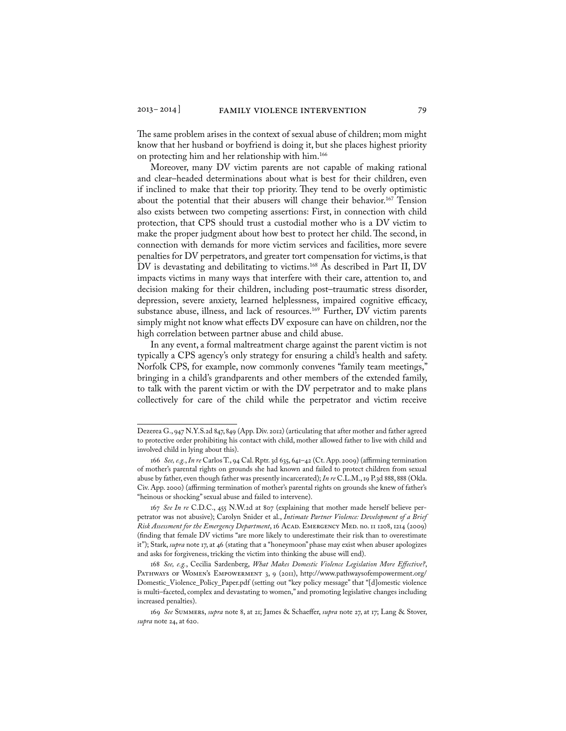The same problem arises in the context of sexual abuse of children; mom might know that her husband or boyfriend is doing it, but she places highest priority on protecting him and her relationship with him.166

Moreover, many DV victim parents are not capable of making rational and clear–headed determinations about what is best for their children, even if inclined to make that their top priority. They tend to be overly optimistic about the potential that their abusers will change their behavior.<sup>167</sup> Tension also exists between two competing assertions: First, in connection with child protection, that CPS should trust a custodial mother who is a DV victim to make the proper judgment about how best to protect her child. The second, in connection with demands for more victim services and facilities, more severe penalties for DV perpetrators, and greater tort compensation for victims, is that DV is devastating and debilitating to victims.<sup>168</sup> As described in Part II, DV impacts victims in many ways that interfere with their care, attention to, and decision making for their children, including post–traumatic stress disorder, depression, severe anxiety, learned helplessness, impaired cognitive efficacy, substance abuse, illness, and lack of resources.<sup>169</sup> Further, DV victim parents simply might not know what effects DV exposure can have on children, nor the high correlation between partner abuse and child abuse.

In any event, a formal maltreatment charge against the parent victim is not typically a CPS agency's only strategy for ensuring a child's health and safety. Norfolk CPS, for example, now commonly convenes "family team meetings," bringing in a child's grandparents and other members of the extended family, to talk with the parent victim or with the DV perpetrator and to make plans collectively for care of the child while the perpetrator and victim receive

Dezerea G., 947 N.Y.S.2d 847, 849 (App. Div. 2012) (articulating that after mother and father agreed to protective order prohibiting his contact with child, mother allowed father to live with child and involved child in lying about this).

<sup>166</sup> *See, e.g.*, *In re* Carlos T., 94 Cal. Rptr. 3d 635, 641–42 (Ct. App. 2009) (affirming termination of mother's parental rights on grounds she had known and failed to protect children from sexual abuse by father, even though father was presently incarcerated); *In re* C.L.M., 19 P.3d 888, 888 (Okla. Civ. App. 2000) (affirming termination of mother's parental rights on grounds she knew of father's "heinous or shocking" sexual abuse and failed to intervene).

<sup>167</sup> *See In re* C.D.C., 455 N.W.2d at 807 (explaining that mother made herself believe perpetrator was not abusive); Carolyn Snider et al., *Intimate Partner Violence: Development of a Brief Risk Assessment for the Emergency Department*, 16 Acad. Emergency Med. no. 11 1208, 1214 (2009) (finding that female DV victims "are more likely to underestimate their risk than to overestimate it"); Stark, *supra* note 17, at 46 (stating that a "honeymoon" phase may exist when abuser apologizes and asks for forgiveness, tricking the victim into thinking the abuse will end).

<sup>168</sup> *See, e.g.*, Cecilia Sardenberg, *What Makes Domestic Violence Legislation More Effective?*, PATHWAYS OF WOMEN'S EMPOWERMENT 3, 9 (2011), http://www.pathwaysofempowerment.org/ Domestic\_Violence\_Policy\_Paper.pdf (setting out "key policy message" that "[d]omestic violence is multi–faceted, complex and devastating to women," and promoting legislative changes including increased penalties).

<sup>169</sup> *See* Summers, *supra* note 8, at 21; James & Schaeffer, *supra* note 27, at 17; Lang & Stover, *supra* note 24, at 620.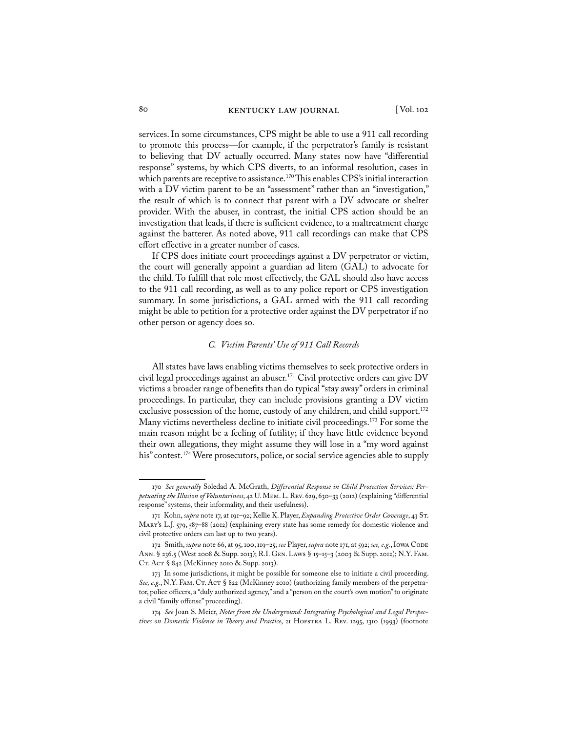services. In some circumstances, CPS might be able to use a 911 call recording to promote this process—for example, if the perpetrator's family is resistant to believing that DV actually occurred. Many states now have "differential response" systems, by which CPS diverts, to an informal resolution, cases in which parents are receptive to assistance.<sup>170</sup> This enables CPS's initial interaction with a DV victim parent to be an "assessment" rather than an "investigation," the result of which is to connect that parent with a DV advocate or shelter provider. With the abuser, in contrast, the initial CPS action should be an investigation that leads, if there is sufficient evidence, to a maltreatment charge against the batterer. As noted above, 911 call recordings can make that CPS effort effective in a greater number of cases.

If CPS does initiate court proceedings against a DV perpetrator or victim, the court will generally appoint a guardian ad litem (GAL) to advocate for the child. To fulfill that role most effectively, the GAL should also have access to the 911 call recording, as well as to any police report or CPS investigation summary. In some jurisdictions, a GAL armed with the 911 call recording might be able to petition for a protective order against the DV perpetrator if no other person or agency does so.

#### *C. Victim Parents' Use of 911 Call Records*

All states have laws enabling victims themselves to seek protective orders in civil legal proceedings against an abuser.<sup>171</sup> Civil protective orders can give DV victims a broader range of benefits than do typical "stay away" orders in criminal proceedings. In particular, they can include provisions granting a DV victim exclusive possession of the home, custody of any children, and child support.<sup>172</sup> Many victims nevertheless decline to initiate civil proceedings.<sup>173</sup> For some the main reason might be a feeling of futility; if they have little evidence beyond their own allegations, they might assume they will lose in a "my word against his" contest.<sup>174</sup> Were prosecutors, police, or social service agencies able to supply

<sup>170</sup> *See generally* Soledad A. McGrath, *Differential Response in Child Protection Services: Perpetuating the Illusion of Voluntariness*, 42 U. Mem. L. Rev. 629, 630–33 (2012) (explaining "differential response" systems, their informality, and their usefulness).

<sup>171</sup> Kohn, *supra* note 17, at 191–92; Kellie K. Player, *Expanding Protective Order Coverage*, 43 St. MARY's L.J. 579, 587–88 (2012) (explaining every state has some remedy for domestic violence and civil protective orders can last up to two years).

<sup>172</sup> Smith, *supra* note 66, at 95, 100, 119–25; *see* Player, *supra* note 171, at 592; *see, e.g.*, Iowa Code Ann. § 236.5 (West 2008 & Supp. 2013); R.I. Gen. Laws § 15–15–3 (2003 & Supp. 2012); N.Y. Fam. Ст. Аст § 842 (McKinney 2010 & Supp. 2013).

<sup>173</sup> In some jurisdictions, it might be possible for someone else to initiate a civil proceeding. *See, e.g.*, N.Y. FAM. CT. AcT § 822 (McKinney 2010) (authorizing family members of the perpetrator, police officers, a "duly authorized agency," and a "person on the court's own motion" to originate a civil "family offense" proceeding).

<sup>174</sup> *See* Joan S. Meier, *Notes from the Underground: Integrating Psychological and Legal Perspectives on Domestic Violence in Theory and Practice*, 21 Hofstra L. Rev. 1295, 1310 (1993) (footnote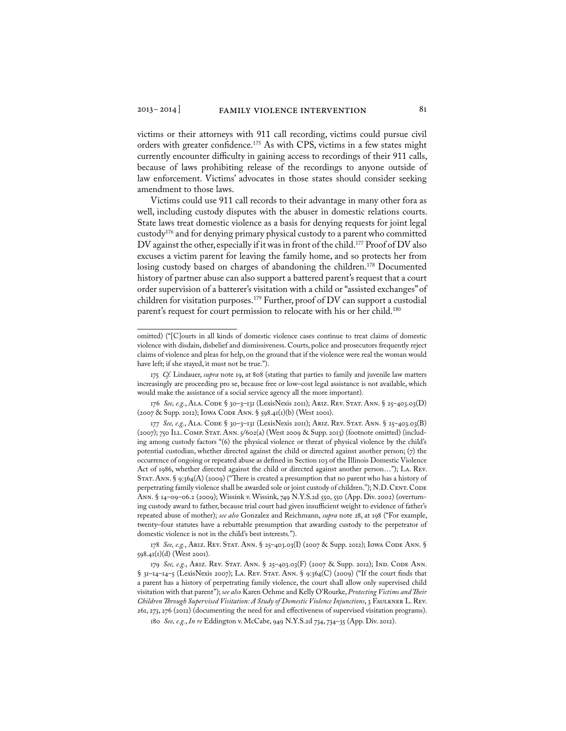victims or their attorneys with 911 call recording, victims could pursue civil orders with greater confidence.<sup>175</sup> As with CPS, victims in a few states might currently encounter difficulty in gaining access to recordings of their 911 calls, because of laws prohibiting release of the recordings to anyone outside of law enforcement. Victims' advocates in those states should consider seeking amendment to those laws.

Victims could use 911 call records to their advantage in many other fora as well, including custody disputes with the abuser in domestic relations courts. State laws treat domestic violence as a basis for denying requests for joint legal custody176 and for denying primary physical custody to a parent who committed DV against the other, especially if it was in front of the child.177 Proof of DV also excuses a victim parent for leaving the family home, and so protects her from losing custody based on charges of abandoning the children.<sup>178</sup> Documented history of partner abuse can also support a battered parent's request that a court order supervision of a batterer's visitation with a child or "assisted exchanges" of children for visitation purposes.<sup>179</sup> Further, proof of DV can support a custodial parent's request for court permission to relocate with his or her child.<sup>180</sup>

omitted) ("[C]ourts in all kinds of domestic violence cases continue to treat claims of domestic violence with disdain, disbelief and dismissiveness. Courts, police and prosecutors frequently reject claims of violence and pleas for help, on the ground that if the violence were real the woman would have left; if she stayed, it must not be true.").

<sup>175</sup> *Cf.* Lindauer, *supra* note 19, at 808 (stating that parties to family and juvenile law matters increasingly are proceeding pro se, because free or low–cost legal assistance is not available, which would make the assistance of a social service agency all the more important).

<sup>176</sup> *See, e.g.*, Ala. Code § 30–3–131 (LexisNexis 2011); Ariz. Rev. Stat. Ann. § 25–403.03(D) (2007 & Supp. 2012); Iowa Code Ann. § 598.41(1)(b) (West 2001).

<sup>177</sup> See, e.g., ALA. CODE § 30-3-131 (LexisNexis 2011); ARIZ. REV. STAT. ANN. § 25-403.03(B) (2007); 750 Ill. Comp. Stat. Ann. 5/602(a) (West 2009 & Supp. 2013) (footnote omitted) (including among custody factors "(6) the physical violence or threat of physical violence by the child's potential custodian, whether directed against the child or directed against another person;  $(7)$  the occurrence of ongoing or repeated abuse as defined in Section 103 of the Illinois Domestic Violence Act of 1986, whether directed against the child or directed against another person…"); La. Rev. Stat. Ann. § 9:364(A) (2009) ("There is created a presumption that no parent who has a history of perpetrating family violence shall be awarded sole or joint custody of children."); N.D. CENT. CODE Ann. § 14–09–06.2 (2009); Wissink v. Wissink, 749 N.Y.S.2d 550, 550 (App. Div. 2002) (overturning custody award to father, because trial court had given insufficient weight to evidence of father's repeated abuse of mother); *see also* Gonzalez and Reichmann, *supra* note 28, at 198 ("For example, twenty–four statutes have a rebuttable presumption that awarding custody to the perpetrator of domestic violence is not in the child's best interests.").

<sup>178</sup> *See, e.g.*, Ariz. Rev. Stat. Ann. § 25–403.03(I) (2007 & Supp. 2012); Iowa Code Ann. § 598.41(1)(d) (West 2001).

<sup>179</sup> *See, e.g.*, Ariz. Rev. Stat. Ann. § 25–403.03(F) (2007 & Supp. 2012); Ind. Code Ann. § 31-14-14-5 (LexisNexis 2007); LA. REV. STAT. ANN. § 9:364(C) (2009) ("If the court finds that a parent has a history of perpetrating family violence, the court shall allow only supervised child visitation with that parent"); *see also* Karen Oehme and Kelly O'Rourke, *Protecting Victims and Their Children Through Supervised Visitation: A Study of Domestic Violence Injunctions*, 3 Faulkner L. Rev. 261, 273, 276 (2012) (documenting the need for and effectiveness of supervised visitation programs).

<sup>180</sup> *See, e.g.*, *In re* Eddington v. McCabe, 949 N.Y.S.2d 734, 734–35 (App. Div. 2012).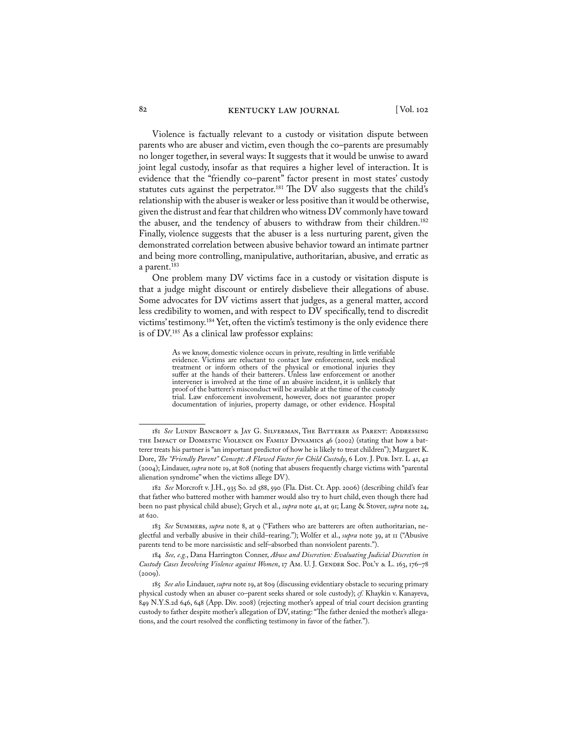Violence is factually relevant to a custody or visitation dispute between parents who are abuser and victim, even though the co–parents are presumably no longer together, in several ways: It suggests that it would be unwise to award joint legal custody, insofar as that requires a higher level of interaction. It is evidence that the "friendly co–parent" factor present in most states' custody statutes cuts against the perpetrator.<sup>181</sup> The DV also suggests that the child's relationship with the abuser is weaker or less positive than it would be otherwise, given the distrust and fear that children who witness DV commonly have toward the abuser, and the tendency of abusers to withdraw from their children.<sup>182</sup> Finally, violence suggests that the abuser is a less nurturing parent, given the demonstrated correlation between abusive behavior toward an intimate partner and being more controlling, manipulative, authoritarian, abusive, and erratic as a parent.<sup>183</sup>

One problem many DV victims face in a custody or visitation dispute is that a judge might discount or entirely disbelieve their allegations of abuse. Some advocates for DV victims assert that judges, as a general matter, accord less credibility to women, and with respect to DV specifically, tend to discredit victims' testimony.184 Yet, often the victim's testimony is the only evidence there is of DV.185 As a clinical law professor explains:

> As we know, domestic violence occurs in private, resulting in little verifiable evidence. Victims are reluctant to contact law enforcement, seek medical treatment or inform others of the physical or emotional injuries they suffer at the hands of their batterers. Unless law enforcement or another intervener is involved at the time of an abusive incident, it is unlikely that proof of the batterer's misconduct will be available at the time of the custody trial. Law enforcement involvement, however, does not guarantee proper documentation of injuries, property damage, or other evidence. Hospital

<sup>181</sup> *See* Lundy Bancroft & Jay G. Silverman, The Batterer as Parent: Addressing THE IMPACT OF DOMESTIC VIOLENCE ON FAMILY DYNAMICS 46 (2002) (stating that how a batterer treats his partner is "an important predictor of how he is likely to treat children"); Margaret K. Dore, *The "Friendly Parent" Concept: A Flawed Factor for Child Custody*, 6 Loy. J. PUB. INT. L 41, 42 (2004); Lindauer, *supra* note 19, at 808 (noting that abusers frequently charge victims with "parental alienation syndrome" when the victims allege DV).

<sup>182</sup> *See* Morcroft v. J.H., 935 So. 2d 588, 590 (Fla. Dist. Ct. App. 2006) (describing child's fear that father who battered mother with hammer would also try to hurt child, even though there had been no past physical child abuse); Grych et al., *supra* note 41, at 91; Lang & Stover, *supra* note 24, at 620.

<sup>183</sup> *See* Summers, *supra* note 8, at 9 ("Fathers who are batterers are often authoritarian, neglectful and verbally abusive in their child–rearing."); Wolfer et al., *supra* note 39, at 11 ("Abusive parents tend to be more narcissistic and self–absorbed than nonviolent parents.").

<sup>184</sup> *See, e.g.*, Dana Harrington Conner, *Abuse and Discretion: Evaluating Judicial Discretion in Custody Cases Involving Violence against Women*, 17 Am. U. J. Gender Soc. Pol'y & L. 163, 176–78  $(2009)$ .

<sup>185</sup> *See also* Lindauer, *supra* note 19, at 809 (discussing evidentiary obstacle to securing primary physical custody when an abuser co–parent seeks shared or sole custody); *cf.* Khaykin v. Kanayeva, 849 N.Y.S.2d 646, 648 (App. Div. 2008) (rejecting mother's appeal of trial court decision granting custody to father despite mother's allegation of DV, stating: "The father denied the mother's allegations, and the court resolved the conflicting testimony in favor of the father.").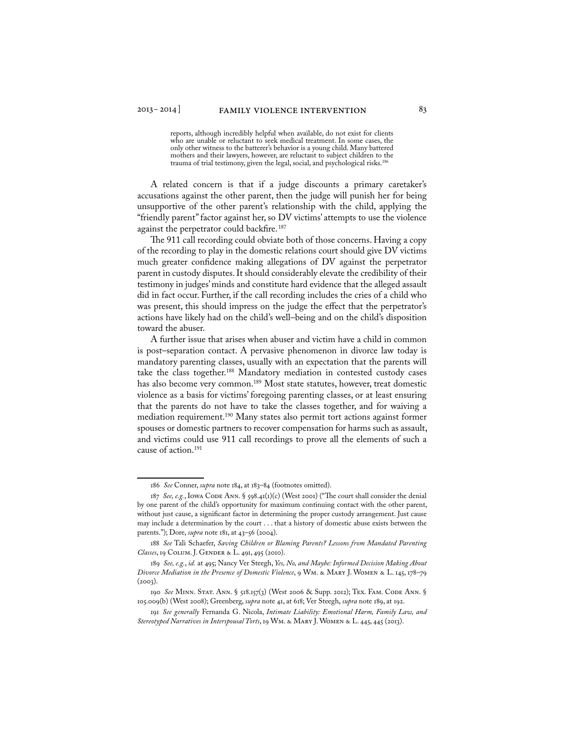reports, although incredibly helpful when available, do not exist for clients who are unable or reluctant to seek medical treatment. In some cases, the only other witness to the batterer's behavior is a young child. Many battered mothers and their lawyers, however, are reluctant to subject children to the trauma of trial testimony, given the legal, social, and psychological risks.<sup>18</sup>

A related concern is that if a judge discounts a primary caretaker's accusations against the other parent, then the judge will punish her for being unsupportive of the other parent's relationship with the child, applying the "friendly parent" factor against her, so DV victims' attempts to use the violence against the perpetrator could backfire.<sup>187</sup>

The 911 call recording could obviate both of those concerns. Having a copy of the recording to play in the domestic relations court should give DV victims much greater confidence making allegations of DV against the perpetrator parent in custody disputes. It should considerably elevate the credibility of their testimony in judges' minds and constitute hard evidence that the alleged assault did in fact occur. Further, if the call recording includes the cries of a child who was present, this should impress on the judge the effect that the perpetrator's actions have likely had on the child's well–being and on the child's disposition toward the abuser.

A further issue that arises when abuser and victim have a child in common is post–separation contact. A pervasive phenomenon in divorce law today is mandatory parenting classes, usually with an expectation that the parents will take the class together.<sup>188</sup> Mandatory mediation in contested custody cases has also become very common.<sup>189</sup> Most state statutes, however, treat domestic violence as a basis for victims' foregoing parenting classes, or at least ensuring that the parents do not have to take the classes together, and for waiving a mediation requirement.190 Many states also permit tort actions against former spouses or domestic partners to recover compensation for harms such as assault, and victims could use 911 call recordings to prove all the elements of such a cause of action.191

<sup>186</sup> *See* Conner, *supra* note 184, at 183–84 (footnotes omitted).

<sup>187</sup> See, e.g., Iowa Code Ann. § 598.41(1)(c) (West 2001) ("The court shall consider the denial by one parent of the child's opportunity for maximum continuing contact with the other parent, without just cause, a significant factor in determining the proper custody arrangement. Just cause may include a determination by the court . . . that a history of domestic abuse exists between the parents."); Dore, *supra* note 181, at 43–56 (2004).

<sup>188</sup> *See* Tali Schaefer, *Saving Children or Blaming Parents? Lessons from Mandated Parenting Classes*, 19 Colum. J. Gender & L. 491, 495 (2010).

<sup>189</sup> *See, e.g.*, *id.* at 495; Nancy Ver Steegh, *Yes, No, and Maybe: Informed Decision Making About Divorce Mediation in the Presence of Domestic Violence*, 9 Wm. & Mary J. Women & L. 145, 178–79  $(2003)$ .

<sup>190</sup> *See* MINN. STAT. ANN. § 518.157(3) (West 2006 & Supp. 2012); TEX. FAM. CODE ANN. § 105.009(b) (West 2008); Greenberg, *supra* note 41, at 618; Ver Steegh, *supra* note 189, at 192.

<sup>191</sup> *See generally* Fernanda G. Nicola, *Intimate Liability: Emotional Harm, Family Law, and Stereotyped Narratives in Interspousal Torts*, 19 Wm. & Mary J. Women & L. 445, 445 (2013).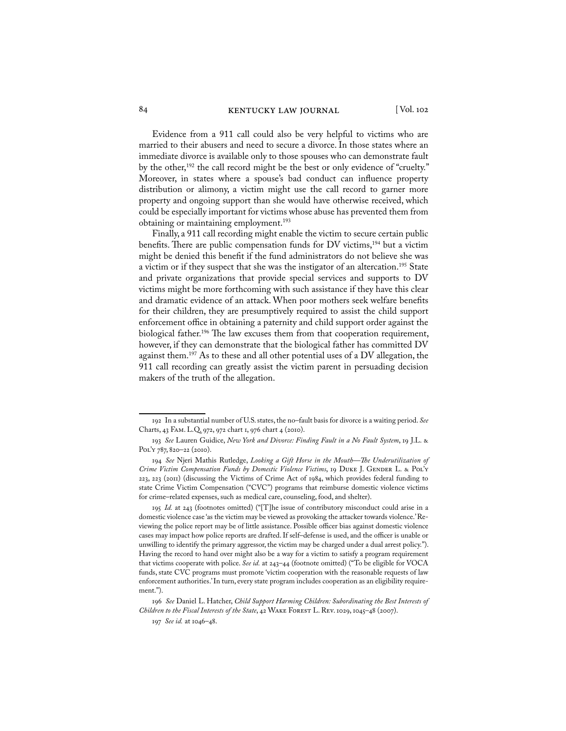Evidence from a 911 call could also be very helpful to victims who are married to their abusers and need to secure a divorce. In those states where an immediate divorce is available only to those spouses who can demonstrate fault by the other,<sup>192</sup> the call record might be the best or only evidence of "cruelty." Moreover, in states where a spouse's bad conduct can influence property distribution or alimony, a victim might use the call record to garner more property and ongoing support than she would have otherwise received, which could be especially important for victims whose abuse has prevented them from obtaining or maintaining employment.<sup>193</sup>

Finally, a 911 call recording might enable the victim to secure certain public benefits. There are public compensation funds for DV victims,<sup>194</sup> but a victim might be denied this benefit if the fund administrators do not believe she was a victim or if they suspect that she was the instigator of an altercation.<sup>195</sup> State and private organizations that provide special services and supports to DV victims might be more forthcoming with such assistance if they have this clear and dramatic evidence of an attack. When poor mothers seek welfare benefits for their children, they are presumptively required to assist the child support enforcement office in obtaining a paternity and child support order against the biological father.<sup>196</sup> The law excuses them from that cooperation requirement, however, if they can demonstrate that the biological father has committed DV against them.<sup>197</sup> As to these and all other potential uses of a DV allegation, the 911 call recording can greatly assist the victim parent in persuading decision makers of the truth of the allegation.

<sup>192</sup> In a substantial number of U.S. states, the no–fault basis for divorce is a waiting period. *See* Charts, 43 Fam. L.Q. 972, 972 chart 1, 976 chart 4 (2010).

<sup>193</sup> *See* Lauren Guidice, *New York and Divorce: Finding Fault in a No Fault System*, 19 J.L. & Pol'y 787, 820-22 (2010).

<sup>194</sup> *See* Njeri Mathis Rutledge, *Looking a Gift Horse in the Mouth—The Underutilization of Crime Victim Compensation Funds by Domestic Violence Victims*, 19 DUKE J. GENDER L. & POL'Y 223, 223 (2011) (discussing the Victims of Crime Act of 1984, which provides federal funding to state Crime Victim Compensation ("CVC") programs that reimburse domestic violence victims for crime–related expenses, such as medical care, counseling, food, and shelter).

<sup>195</sup> *Id.* at 243 (footnotes omitted) ("[T]he issue of contributory misconduct could arise in a domestic violence case 'as the victim may be viewed as provoking the attacker towards violence.' Reviewing the police report may be of little assistance. Possible officer bias against domestic violence cases may impact how police reports are drafted. If self–defense is used, and the officer is unable or unwilling to identify the primary aggressor, the victim may be charged under a dual arrest policy."). Having the record to hand over might also be a way for a victim to satisfy a program requirement that victims cooperate with police. *See id.* at 243–44 (footnote omitted) ("To be eligible for VOCA funds, state CVC programs must promote 'victim cooperation with the reasonable requests of law enforcement authorities.' In turn, every state program includes cooperation as an eligibility requirement.").

<sup>196</sup> *See* Daniel L. Hatcher, *Child Support Harming Children: Subordinating the Best Interests of Children to the Fiscal Interests of the State*, 42 WAKE FOREST L. REV. 1029, 1045-48 (2007).

<sup>197</sup> *See id.* at 1046–48.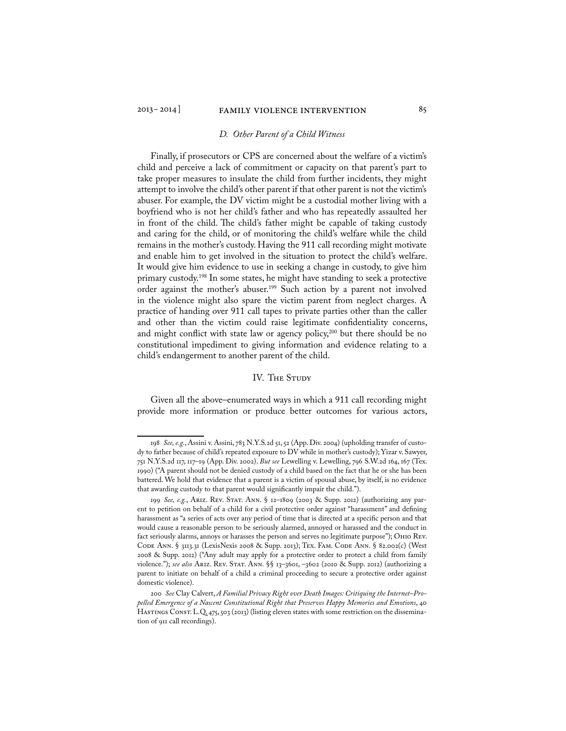#### *D. Other Parent of a Child Witness*

Finally, if prosecutors or CPS are concerned about the welfare of a victim's child and perceive a lack of commitment or capacity on that parent's part to take proper measures to insulate the child from further incidents, they might attempt to involve the child's other parent if that other parent is not the victim's abuser. For example, the DV victim might be a custodial mother living with a boyfriend who is not her child's father and who has repeatedly assaulted her in front of the child. The child's father might be capable of taking custody and caring for the child, or of monitoring the child's welfare while the child remains in the mother's custody. Having the 911 call recording might motivate and enable him to get involved in the situation to protect the child's welfare. It would give him evidence to use in seeking a change in custody, to give him primary custody.<sup>198</sup> In some states, he might have standing to seek a protective order against the mother's abuser.<sup>199</sup> Such action by a parent not involved in the violence might also spare the victim parent from neglect charges. A practice of handing over 911 call tapes to private parties other than the caller and other than the victim could raise legitimate confidentiality concerns, and might conflict with state law or agency policy, $200$  but there should be no constitutional impediment to giving information and evidence relating to a child's endangerment to another parent of the child.

#### IV. THE STUDY

Given all the above–enumerated ways in which a 911 call recording might provide more information or produce better outcomes for various actors,

<sup>198</sup> *See, e.g.*, Assini v. Assini, 783 N.Y.S.2d 51, 52 (App. Div. 2004) (upholding transfer of custody to father because of child's repeated exposure to DV while in mother's custody); Yizar v. Sawyer, 751 N.Y.S.2d 117, 117–19 (App. Div. 2002). *But see* Lewelling v. Lewelling, 796 S.W.2d 164, 167 (Tex. 1990) ("A parent should not be denied custody of a child based on the fact that he or she has been battered. We hold that evidence that a parent is a victim of spousal abuse, by itself, is no evidence that awarding custody to that parent would significantly impair the child.").

<sup>199</sup> *See, e.g.*, Ariz. Rev. Stat. Ann. § 12–1809 (2003 & Supp. 2012) (authorizing any parent to petition on behalf of a child for a civil protective order against "harassment" and defining harassment as "a series of acts over any period of time that is directed at a specific person and that would cause a reasonable person to be seriously alarmed, annoyed or harassed and the conduct in fact seriously alarms, annoys or harasses the person and serves no legitimate purpose"); Ohio Rev. Code Ann. § 3113.31 (LexisNexis 2008 & Supp. 2013); Tex. Fam. Code Ann. § 82.002(c) (West 2008 & Supp. 2012) ("Any adult may apply for a protective order to protect a child from family violence."); *see also* Ariz. Rev. Stat. Ann. §§ 13–3601, –3602 (2010 & Supp. 2012) (authorizing a parent to initiate on behalf of a child a criminal proceeding to secure a protective order against domestic violence).

<sup>200</sup> *See* Clay Calvert, *A Familial Privacy Right over Death Images: Critiquing the Internet–Propelled Emergence of a Nascent Constitutional Right that Preserves Happy Memories and Emotions*, 40 HASTINGS CONST. L.Q. 475, 503 (2013) (listing eleven states with some restriction on the dissemination of 911 call recordings).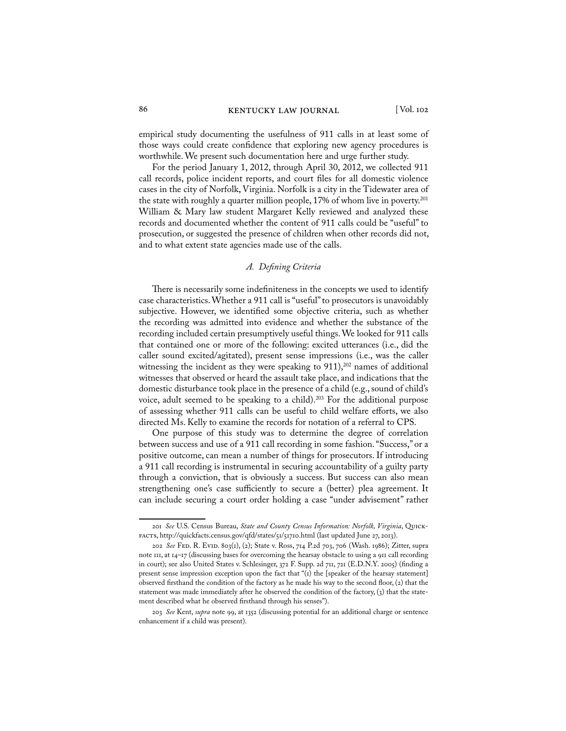empirical study documenting the usefulness of 911 calls in at least some of those ways could create confidence that exploring new agency procedures is worthwhile. We present such documentation here and urge further study.

For the period January 1, 2012, through April 30, 2012, we collected 911 call records, police incident reports, and court files for all domestic violence cases in the city of Norfolk, Virginia. Norfolk is a city in the Tidewater area of the state with roughly a quarter million people, 17% of whom live in poverty.<sup>201</sup> William & Mary law student Margaret Kelly reviewed and analyzed these records and documented whether the content of 911 calls could be "useful" to prosecution, or suggested the presence of children when other records did not, and to what extent state agencies made use of the calls.

#### *A. Defining Criteria*

There is necessarily some indefiniteness in the concepts we used to identify case characteristics. Whether a 911 call is "useful" to prosecutors is unavoidably subjective. However, we identified some objective criteria, such as whether the recording was admitted into evidence and whether the substance of the recording included certain presumptively useful things. We looked for 911 calls that contained one or more of the following: excited utterances (i.e., did the caller sound excited/agitated), present sense impressions (i.e., was the caller witnessing the incident as they were speaking to  $911$ ),<sup>202</sup> names of additional witnesses that observed or heard the assault take place, and indications that the domestic disturbance took place in the presence of a child (e.g., sound of child's voice, adult seemed to be speaking to a child).<sup>203</sup> For the additional purpose of assessing whether 911 calls can be useful to child welfare efforts, we also directed Ms. Kelly to examine the records for notation of a referral to CPS.

One purpose of this study was to determine the degree of correlation between success and use of a 911 call recording in some fashion. "Success," or a positive outcome, can mean a number of things for prosecutors. If introducing a 911 call recording is instrumental in securing accountability of a guilty party through a conviction, that is obviously a success. But success can also mean strengthening one's case sufficiently to secure a (better) plea agreement. It can include securing a court order holding a case "under advisement" rather

<sup>201</sup> *See* U.S. Census Bureau, *State and County Census Information: Norfolk, Virginia*, Quickfacts, http://quickfacts.census.gov/qfd/states/51/51710.html (last updated June 27, 2013).

<sup>202</sup> *See* Fed. R. Evid. 803(1), (2); State v. Ross, 714 P.2d 703, 706 (Wash. 1986); Zitter, supra note 111, at 14–17 (discussing bases for overcoming the hearsay obstacle to using a 911 call recording in court); see also United States v. Schlesinger, 372 F. Supp. 2d 711, 721 (E.D.N.Y. 2005) (finding a present sense impression exception upon the fact that "(1) the [speaker of the hearsay statement] observed firsthand the condition of the factory as he made his way to the second floor, (2) that the statement was made immediately after he observed the condition of the factory,  $(3)$  that the statement described what he observed firsthand through his senses").

<sup>203</sup> *See* Kent, *supra* note 99, at 1352 (discussing potential for an additional charge or sentence enhancement if a child was present).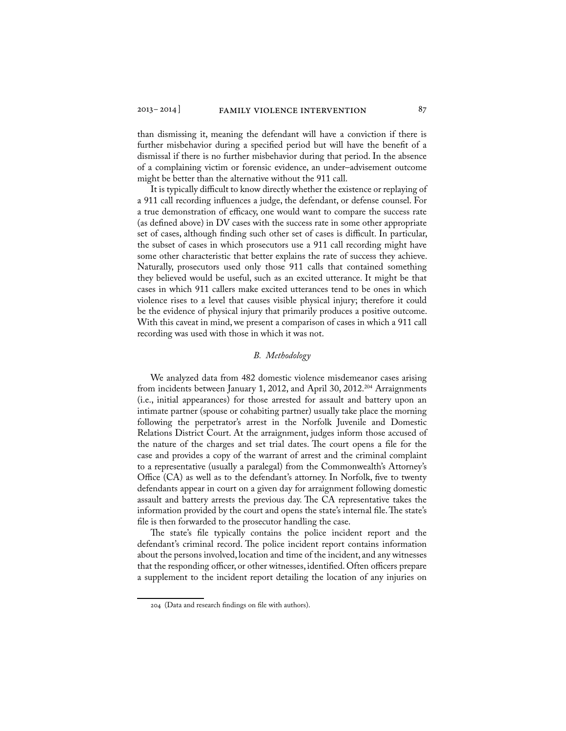than dismissing it, meaning the defendant will have a conviction if there is further misbehavior during a specified period but will have the benefit of a dismissal if there is no further misbehavior during that period. In the absence of a complaining victim or forensic evidence, an under–advisement outcome might be better than the alternative without the 911 call.

It is typically difficult to know directly whether the existence or replaying of a 911 call recording influences a judge, the defendant, or defense counsel. For a true demonstration of efficacy, one would want to compare the success rate (as defined above) in DV cases with the success rate in some other appropriate set of cases, although finding such other set of cases is difficult. In particular, the subset of cases in which prosecutors use a 911 call recording might have some other characteristic that better explains the rate of success they achieve. Naturally, prosecutors used only those 911 calls that contained something they believed would be useful, such as an excited utterance. It might be that cases in which 911 callers make excited utterances tend to be ones in which violence rises to a level that causes visible physical injury; therefore it could be the evidence of physical injury that primarily produces a positive outcome. With this caveat in mind, we present a comparison of cases in which a 911 call recording was used with those in which it was not.

#### *B. Methodology*

We analyzed data from 482 domestic violence misdemeanor cases arising from incidents between January 1, 2012, and April 30, 2012.204 Arraignments (i.e., initial appearances) for those arrested for assault and battery upon an intimate partner (spouse or cohabiting partner) usually take place the morning following the perpetrator's arrest in the Norfolk Juvenile and Domestic Relations District Court. At the arraignment, judges inform those accused of the nature of the charges and set trial dates. The court opens a file for the case and provides a copy of the warrant of arrest and the criminal complaint to a representative (usually a paralegal) from the Commonwealth's Attorney's Office (CA) as well as to the defendant's attorney. In Norfolk, five to twenty defendants appear in court on a given day for arraignment following domestic assault and battery arrests the previous day. The CA representative takes the information provided by the court and opens the state's internal file. The state's file is then forwarded to the prosecutor handling the case.

The state's file typically contains the police incident report and the defendant's criminal record. The police incident report contains information about the persons involved, location and time of the incident, and any witnesses that the responding officer, or other witnesses, identified. Often officers prepare a supplement to the incident report detailing the location of any injuries on

<sup>204 (</sup>Data and research findings on file with authors).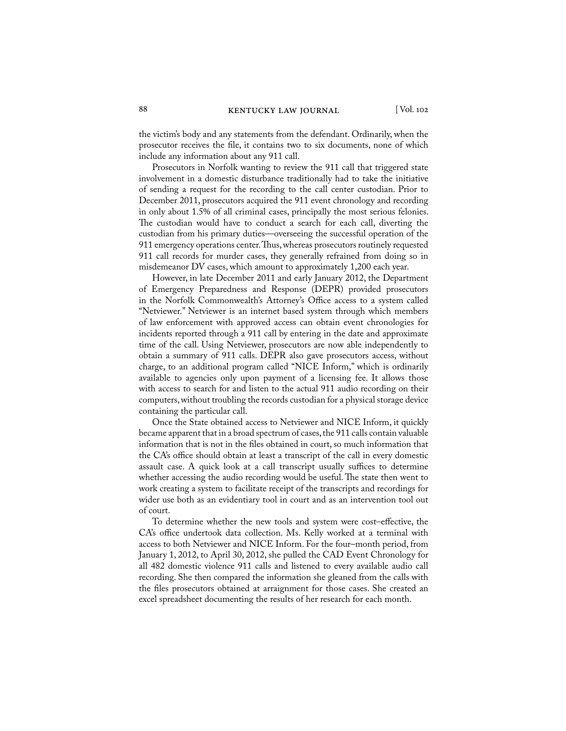the victim's body and any statements from the defendant. Ordinarily, when the prosecutor receives the file, it contains two to six documents, none of which include any information about any 911 call.

Prosecutors in Norfolk wanting to review the 911 call that triggered state involvement in a domestic disturbance traditionally had to take the initiative of sending a request for the recording to the call center custodian. Prior to December 2011, prosecutors acquired the 911 event chronology and recording in only about 1.5% of all criminal cases, principally the most serious felonies. The custodian would have to conduct a search for each call, diverting the custodian from his primary duties—overseeing the successful operation of the 911 emergency operations center. Thus, whereas prosecutors routinely requested 911 call records for murder cases, they generally refrained from doing so in misdemeanor DV cases, which amount to approximately 1,200 each year.

However, in late December 2011 and early January 2012, the Department of Emergency Preparedness and Response (DEPR) provided prosecutors in the Norfolk Commonwealth's Attorney's Office access to a system called "Netviewer." Netviewer is an internet based system through which members of law enforcement with approved access can obtain event chronologies for incidents reported through a 911 call by entering in the date and approximate time of the call. Using Netviewer, prosecutors are now able independently to obtain a summary of 911 calls. DEPR also gave prosecutors access, without charge, to an additional program called "NICE Inform," which is ordinarily available to agencies only upon payment of a licensing fee. It allows those with access to search for and listen to the actual 911 audio recording on their computers, without troubling the records custodian for a physical storage device containing the particular call.

Once the State obtained access to Netviewer and NICE Inform, it quickly became apparent that in a broad spectrum of cases, the 911 calls contain valuable information that is not in the files obtained in court, so much information that the CA's office should obtain at least a transcript of the call in every domestic assault case. A quick look at a call transcript usually suffices to determine whether accessing the audio recording would be useful. The state then went to work creating a system to facilitate receipt of the transcripts and recordings for wider use both as an evidentiary tool in court and as an intervention tool out of court.

To determine whether the new tools and system were cost–effective, the CA's office undertook data collection. Ms. Kelly worked at a terminal with access to both Netviewer and NICE Inform. For the four–month period, from January 1, 2012, to April 30, 2012, she pulled the CAD Event Chronology for all 482 domestic violence 911 calls and listened to every available audio call recording. She then compared the information she gleaned from the calls with the files prosecutors obtained at arraignment for those cases. She created an excel spreadsheet documenting the results of her research for each month.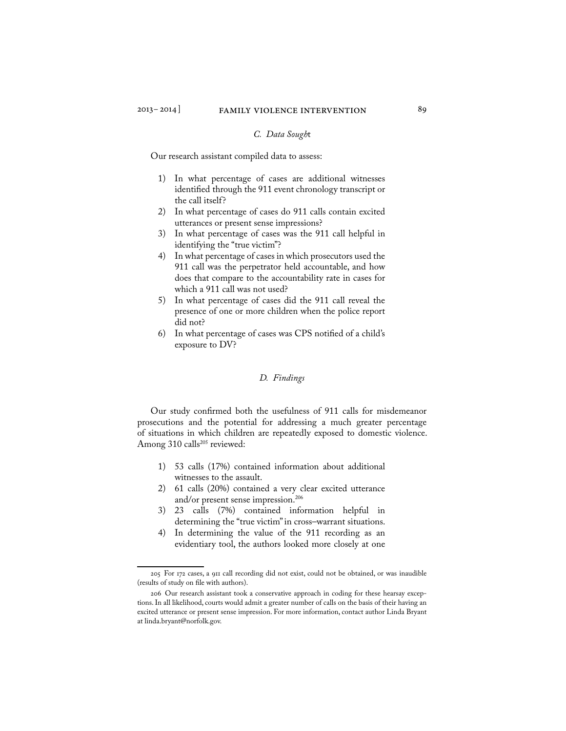#### *C. Data Sough*t

Our research assistant compiled data to assess:

- 1) In what percentage of cases are additional witnesses identified through the 911 event chronology transcript or the call itself?
- 2) In what percentage of cases do 911 calls contain excited utterances or present sense impressions?
- 3) In what percentage of cases was the 911 call helpful in identifying the "true victim"?
- 4) In what percentage of cases in which prosecutors used the 911 call was the perpetrator held accountable, and how does that compare to the accountability rate in cases for which a 911 call was not used?
- 5) In what percentage of cases did the 911 call reveal the presence of one or more children when the police report did not?
- 6) In what percentage of cases was CPS notified of a child's exposure to DV?

#### *D. Findings*

Our study confirmed both the usefulness of 911 calls for misdemeanor prosecutions and the potential for addressing a much greater percentage of situations in which children are repeatedly exposed to domestic violence. Among 310 calls<sup>205</sup> reviewed:

- 1) 53 calls (17%) contained information about additional witnesses to the assault.
- 2) 61 calls (20%) contained a very clear excited utterance and/or present sense impression.206
- 3) 23 calls (7%) contained information helpful in determining the "true victim" in cross–warrant situations.
- 4) In determining the value of the 911 recording as an evidentiary tool, the authors looked more closely at one

<sup>205</sup> For 172 cases, a 911 call recording did not exist, could not be obtained, or was inaudible (results of study on file with authors).

<sup>206</sup> Our research assistant took a conservative approach in coding for these hearsay exceptions. In all likelihood, courts would admit a greater number of calls on the basis of their having an excited utterance or present sense impression. For more information, contact author Linda Bryant at linda.bryant@norfolk.gov.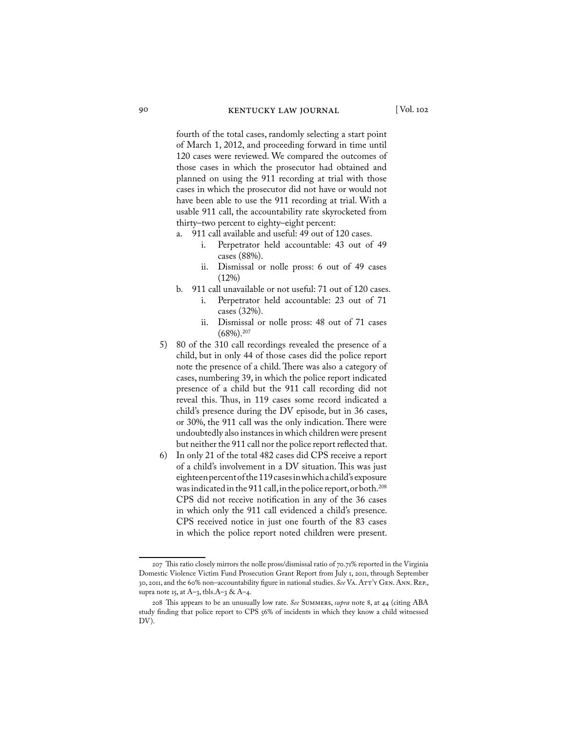fourth of the total cases, randomly selecting a start point of March 1, 2012, and proceeding forward in time until 120 cases were reviewed. We compared the outcomes of those cases in which the prosecutor had obtained and planned on using the 911 recording at trial with those cases in which the prosecutor did not have or would not have been able to use the 911 recording at trial. With a usable 911 call, the accountability rate skyrocketed from thirty–two percent to eighty–eight percent:

- a. 911 call available and useful: 49 out of 120 cases.
	- i. Perpetrator held accountable: 43 out of 49 cases (88%).
	- ii. Dismissal or nolle pross: 6 out of 49 cases (12%)
- b. 911 call unavailable or not useful: 71 out of 120 cases.
	- i. Perpetrator held accountable: 23 out of 71 cases (32%).
	- ii. Dismissal or nolle pross: 48 out of 71 cases  $(68%)$ <sup>207</sup>
- 5) 80 of the 310 call recordings revealed the presence of a child, but in only 44 of those cases did the police report note the presence of a child. There was also a category of cases, numbering 39, in which the police report indicated presence of a child but the 911 call recording did not reveal this. Thus, in 119 cases some record indicated a child's presence during the DV episode, but in 36 cases, or 30%, the 911 call was the only indication. There were undoubtedly also instances in which children were present but neither the 911 call nor the police report reflected that.
- 6) In only 21 of the total 482 cases did CPS receive a report of a child's involvement in a DV situation. This was just eighteen percent of the 119 cases in which a child's exposure was indicated in the 911 call, in the police report, or both.<sup>208</sup> CPS did not receive notification in any of the 36 cases in which only the 911 call evidenced a child's presence. CPS received notice in just one fourth of the 83 cases in which the police report noted children were present.

<sup>207</sup> This ratio closely mirrors the nolle pross/dismissal ratio of 70.71% reported in the Virginia Domestic Violence Victim Fund Prosecution Grant Report from July 1, 2011, through September 30, 2011, and the 60% non–accountability figure in national studies. *See* Va. Att'y Gen. Ann. Rep., supra note 15, at A-3, tbls.A-3 & A-4.

<sup>208</sup> This appears to be an unusually low rate. *See* Summers, *supra* note 8, at 44 (citing ABA study finding that police report to CPS 56% of incidents in which they know a child witnessed DV).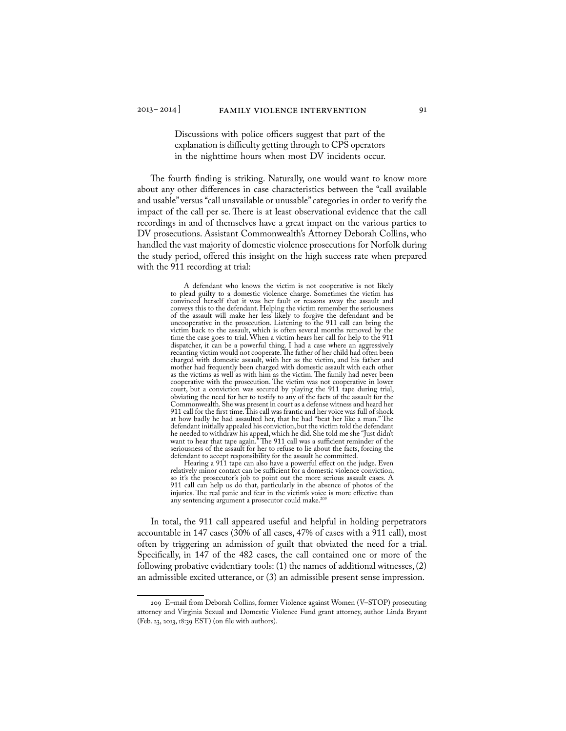Discussions with police officers suggest that part of the explanation is difficulty getting through to CPS operators in the nighttime hours when most DV incidents occur.

The fourth finding is striking. Naturally, one would want to know more about any other differences in case characteristics between the "call available and usable" versus "call unavailable or unusable" categories in order to verify the impact of the call per se. There is at least observational evidence that the call recordings in and of themselves have a great impact on the various parties to DV prosecutions. Assistant Commonwealth's Attorney Deborah Collins, who handled the vast majority of domestic violence prosecutions for Norfolk during the study period, offered this insight on the high success rate when prepared with the 911 recording at trial:

> A defendant who knows the victim is not cooperative is not likely to plead guilty to a domestic violence charge. Sometimes the victim has convinced herself that it was her fault or reasons away the assault and conveys this to the defendant. Helping the victim remember the seriousness of the assault will make her less likely to forgive the defendant and be uncooperative in the prosecution. Listening to the 911 call can bring the victim back to the assault, which is often several months removed by the time the case goes to trial. When a victim hears her call for help to the 911 dispatcher, it can be a powerful thing. I had a case where an aggressively recanting victim would not cooperate. The father of her child had often been charged with domestic assault, with her as the victim, and his father and mother had frequently been charged with domestic assault with each other as the victims as well as with him as the victim. The family had never been cooperative with the prosecution. The victim was not cooperative in lower court, but a conviction was secured by playing the 911 tape during trial, obviating the need for her to testify to any of the facts of the assault for the Commonwealth. She was present in court as a defense witness and heard her 911 call for the first time. This call was frantic and her voice was full of shock at how badly he had assaulted her, that he had "beat her like a man." The defendant initially appealed his conviction, but the victim told the defendant he needed to withdraw his appeal, which he did. She told me she "Just didn't want to hear that tape again." The 911 call was a sufficient reminder of the seriousness of the assault for her to refuse to lie about the facts, forcing the defendant to accept responsibility for the assault he committed.

> Hearing a 911 tape can also have a powerful effect on the judge. Even relatively minor contact can be sufficient for a domestic violence conviction, so it's the prosecutor's job to point out the more serious assault cases. A 911 call can help us do that, particularly in the absence of photos of the injuries. The real panic and fear in the victim's voice is more effective than any sentencing argument a prosecutor could make.209

In total, the 911 call appeared useful and helpful in holding perpetrators accountable in 147 cases (30% of all cases, 47% of cases with a 911 call), most often by triggering an admission of guilt that obviated the need for a trial. Specifically, in 147 of the 482 cases, the call contained one or more of the following probative evidentiary tools: (1) the names of additional witnesses, (2) an admissible excited utterance, or (3) an admissible present sense impression.

<sup>209</sup> E–mail from Deborah Collins, former Violence against Women (V–STOP) prosecuting attorney and Virginia Sexual and Domestic Violence Fund grant attorney, author Linda Bryant (Feb. 23, 2013, 18:39 EST) (on file with authors).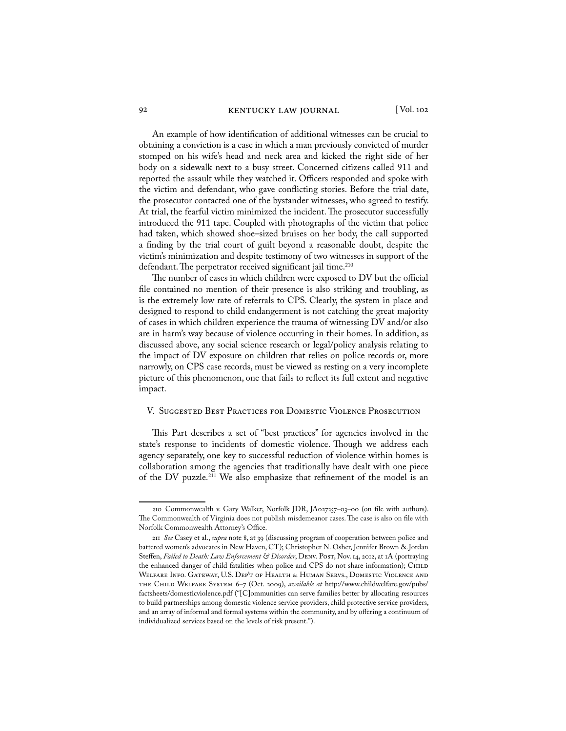An example of how identification of additional witnesses can be crucial to obtaining a conviction is a case in which a man previously convicted of murder stomped on his wife's head and neck area and kicked the right side of her body on a sidewalk next to a busy street. Concerned citizens called 911 and reported the assault while they watched it. Officers responded and spoke with the victim and defendant, who gave conflicting stories. Before the trial date, the prosecutor contacted one of the bystander witnesses, who agreed to testify. At trial, the fearful victim minimized the incident. The prosecutor successfully introduced the 911 tape. Coupled with photographs of the victim that police had taken, which showed shoe–sized bruises on her body, the call supported a finding by the trial court of guilt beyond a reasonable doubt, despite the victim's minimization and despite testimony of two witnesses in support of the defendant. The perpetrator received significant jail time.<sup>210</sup>

The number of cases in which children were exposed to DV but the official file contained no mention of their presence is also striking and troubling, as is the extremely low rate of referrals to CPS. Clearly, the system in place and designed to respond to child endangerment is not catching the great majority of cases in which children experience the trauma of witnessing DV and/or also are in harm's way because of violence occurring in their homes. In addition, as discussed above, any social science research or legal/policy analysis relating to the impact of DV exposure on children that relies on police records or, more narrowly, on CPS case records, must be viewed as resting on a very incomplete picture of this phenomenon, one that fails to reflect its full extent and negative impact.

#### V. Suggested Best Practices for Domestic Violence Prosecution

This Part describes a set of "best practices" for agencies involved in the state's response to incidents of domestic violence. Though we address each agency separately, one key to successful reduction of violence within homes is collaboration among the agencies that traditionally have dealt with one piece of the DV puzzle.211 We also emphasize that refinement of the model is an

<sup>210</sup> Commonwealth v. Gary Walker, Norfolk JDR, JA027257–03–00 (on file with authors). The Commonwealth of Virginia does not publish misdemeanor cases. The case is also on file with Norfolk Commonwealth Attorney's Office.

<sup>211</sup> *See* Casey et al., *supra* note 8, at 39 (discussing program of cooperation between police and battered women's advocates in New Haven, CT); Christopher N. Osher, Jennifer Brown & Jordan Steffen, *Failed to Death: Law Enforcement & Disorder*, Denv. Post, Nov. 14, 2012, at 1A (portraying the enhanced danger of child fatalities when police and CPS do not share information); CHILD Welfare Info. Gateway, U.S. Dep't of Health & Human Servs., Domestic Violence and the Child Welfare System 6–7 (Oct. 2009), *available at* http://www.childwelfare.gov/pubs/ factsheets/domesticviolence.pdf ("[C]ommunities can serve families better by allocating resources to build partnerships among domestic violence service providers, child protective service providers, and an array of informal and formal systems within the community, and by offering a continuum of individualized services based on the levels of risk present.").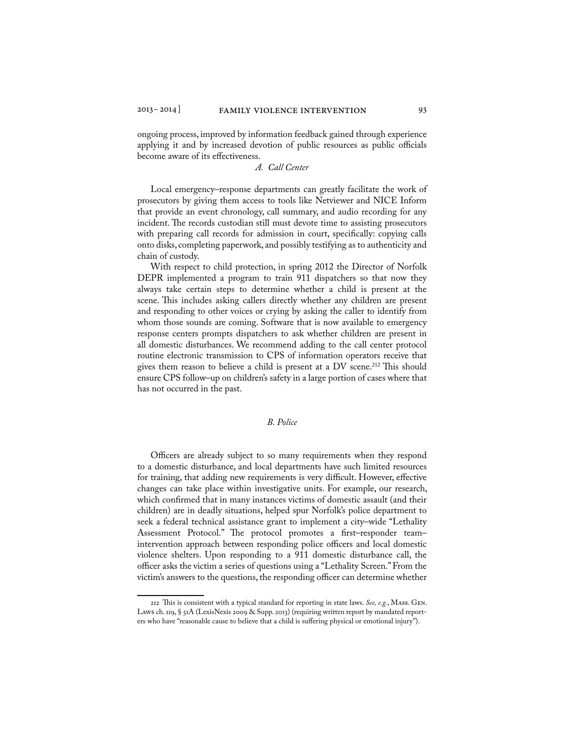ongoing process, improved by information feedback gained through experience applying it and by increased devotion of public resources as public officials become aware of its effectiveness.

#### *A. Call Center*

Local emergency–response departments can greatly facilitate the work of prosecutors by giving them access to tools like Netviewer and NICE Inform that provide an event chronology, call summary, and audio recording for any incident. The records custodian still must devote time to assisting prosecutors with preparing call records for admission in court, specifically: copying calls onto disks, completing paperwork, and possibly testifying as to authenticity and chain of custody.

With respect to child protection, in spring 2012 the Director of Norfolk DEPR implemented a program to train 911 dispatchers so that now they always take certain steps to determine whether a child is present at the scene. This includes asking callers directly whether any children are present and responding to other voices or crying by asking the caller to identify from whom those sounds are coming. Software that is now available to emergency response centers prompts dispatchers to ask whether children are present in all domestic disturbances. We recommend adding to the call center protocol routine electronic transmission to CPS of information operators receive that gives them reason to believe a child is present at a DV scene.<sup>212</sup> This should ensure CPS follow–up on children's safety in a large portion of cases where that has not occurred in the past.

#### *B. Police*

Officers are already subject to so many requirements when they respond to a domestic disturbance, and local departments have such limited resources for training, that adding new requirements is very difficult. However, effective changes can take place within investigative units. For example, our research, which confirmed that in many instances victims of domestic assault (and their children) are in deadly situations, helped spur Norfolk's police department to seek a federal technical assistance grant to implement a city–wide "Lethality Assessment Protocol." The protocol promotes a first–responder team– intervention approach between responding police officers and local domestic violence shelters. Upon responding to a 911 domestic disturbance call, the officer asks the victim a series of questions using a "Lethality Screen." From the victim's answers to the questions, the responding officer can determine whether

<sup>212</sup> This is consistent with a typical standard for reporting in state laws. *See, e.g.*, Mass. Gen. Laws ch. 119, § 51A (LexisNexis 2009 & Supp. 2013) (requiring written report by mandated reporters who have "reasonable cause to believe that a child is suffering physical or emotional injury").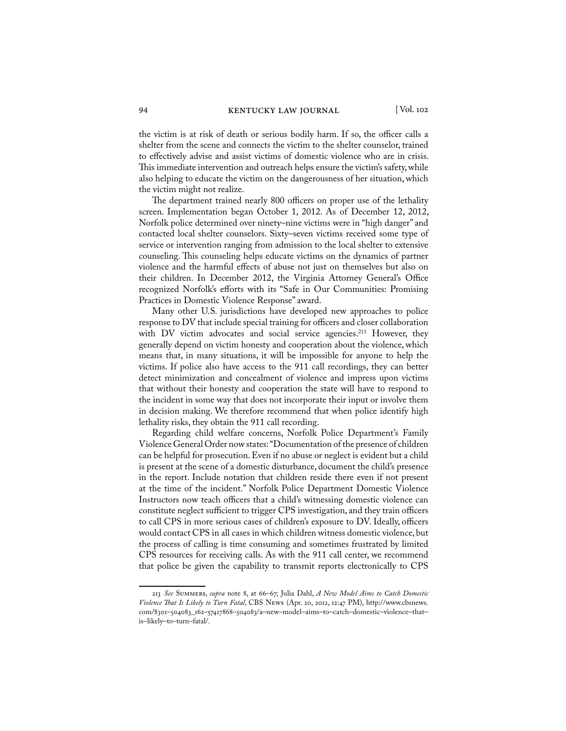the victim is at risk of death or serious bodily harm. If so, the officer calls a shelter from the scene and connects the victim to the shelter counselor, trained to effectively advise and assist victims of domestic violence who are in crisis. This immediate intervention and outreach helps ensure the victim's safety, while also helping to educate the victim on the dangerousness of her situation, which the victim might not realize.

The department trained nearly 800 officers on proper use of the lethality screen. Implementation began October 1, 2012. As of December 12, 2012, Norfolk police determined over ninety–nine victims were in "high danger" and contacted local shelter counselors. Sixty–seven victims received some type of service or intervention ranging from admission to the local shelter to extensive counseling. This counseling helps educate victims on the dynamics of partner violence and the harmful effects of abuse not just on themselves but also on their children. In December 2012, the Virginia Attorney General's Office recognized Norfolk's efforts with its "Safe in Our Communities: Promising Practices in Domestic Violence Response" award.

Many other U.S. jurisdictions have developed new approaches to police response to DV that include special training for officers and closer collaboration with DV victim advocates and social service agencies.<sup>213</sup> However, they generally depend on victim honesty and cooperation about the violence, which means that, in many situations, it will be impossible for anyone to help the victims. If police also have access to the 911 call recordings, they can better detect minimization and concealment of violence and impress upon victims that without their honesty and cooperation the state will have to respond to the incident in some way that does not incorporate their input or involve them in decision making. We therefore recommend that when police identify high lethality risks, they obtain the 911 call recording.

Regarding child welfare concerns, Norfolk Police Department's Family Violence General Order now states: "Documentation of the presence of children can be helpful for prosecution. Even if no abuse or neglect is evident but a child is present at the scene of a domestic disturbance, document the child's presence in the report. Include notation that children reside there even if not present at the time of the incident." Norfolk Police Department Domestic Violence Instructors now teach officers that a child's witnessing domestic violence can constitute neglect sufficient to trigger CPS investigation, and they train officers to call CPS in more serious cases of children's exposure to DV. Ideally, officers would contact CPS in all cases in which children witness domestic violence, but the process of calling is time consuming and sometimes frustrated by limited CPS resources for receiving calls. As with the 911 call center, we recommend that police be given the capability to transmit reports electronically to CPS

<sup>213</sup> *See* Summers, *supra* note 8, at 66–67; Julia Dahl, *A New Model Aims to Catch Domestic Violence That Is Likely to Turn Fatal*, CBS News (Apr. 20, 2012, 12:47 PM), http://www.cbsnews. com/8301–504083\_162–57417868–504083/a–new–model–aims–to–catch–domestic–violence–that– is–likely–to–turn–fatal/.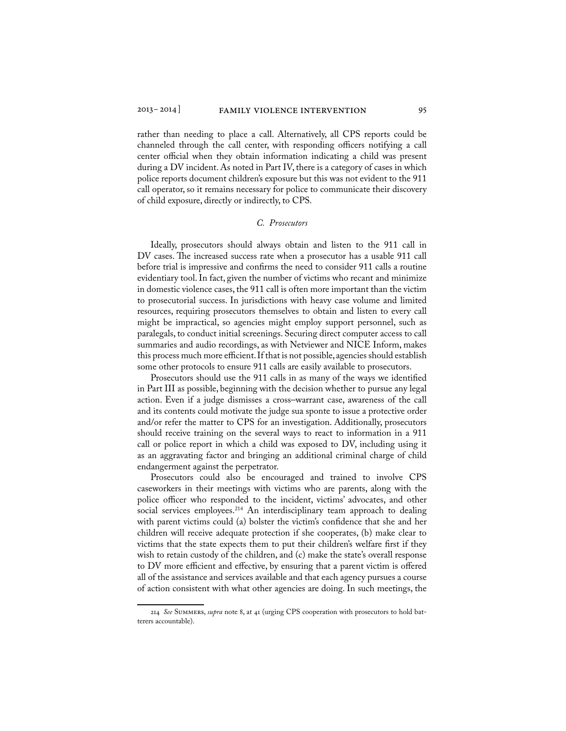rather than needing to place a call. Alternatively, all CPS reports could be channeled through the call center, with responding officers notifying a call center official when they obtain information indicating a child was present during a DV incident. As noted in Part IV, there is a category of cases in which police reports document children's exposure but this was not evident to the 911 call operator, so it remains necessary for police to communicate their discovery of child exposure, directly or indirectly, to CPS.

#### *C. Prosecutors*

Ideally, prosecutors should always obtain and listen to the 911 call in DV cases. The increased success rate when a prosecutor has a usable 911 call before trial is impressive and confirms the need to consider 911 calls a routine evidentiary tool. In fact, given the number of victims who recant and minimize in domestic violence cases, the 911 call is often more important than the victim to prosecutorial success. In jurisdictions with heavy case volume and limited resources, requiring prosecutors themselves to obtain and listen to every call might be impractical, so agencies might employ support personnel, such as paralegals, to conduct initial screenings. Securing direct computer access to call summaries and audio recordings, as with Netviewer and NICE Inform, makes this process much more efficient. If that is not possible, agencies should establish some other protocols to ensure 911 calls are easily available to prosecutors.

Prosecutors should use the 911 calls in as many of the ways we identified in Part III as possible, beginning with the decision whether to pursue any legal action. Even if a judge dismisses a cross–warrant case, awareness of the call and its contents could motivate the judge sua sponte to issue a protective order and/or refer the matter to CPS for an investigation. Additionally, prosecutors should receive training on the several ways to react to information in a 911 call or police report in which a child was exposed to DV, including using it as an aggravating factor and bringing an additional criminal charge of child endangerment against the perpetrator.

Prosecutors could also be encouraged and trained to involve CPS caseworkers in their meetings with victims who are parents, along with the police officer who responded to the incident, victims' advocates, and other social services employees.<sup>214</sup> An interdisciplinary team approach to dealing with parent victims could (a) bolster the victim's confidence that she and her children will receive adequate protection if she cooperates, (b) make clear to victims that the state expects them to put their children's welfare first if they wish to retain custody of the children, and (c) make the state's overall response to DV more efficient and effective, by ensuring that a parent victim is offered all of the assistance and services available and that each agency pursues a course of action consistent with what other agencies are doing. In such meetings, the

<sup>214</sup> *See* Summers, *supra* note 8, at 41 (urging CPS cooperation with prosecutors to hold batterers accountable).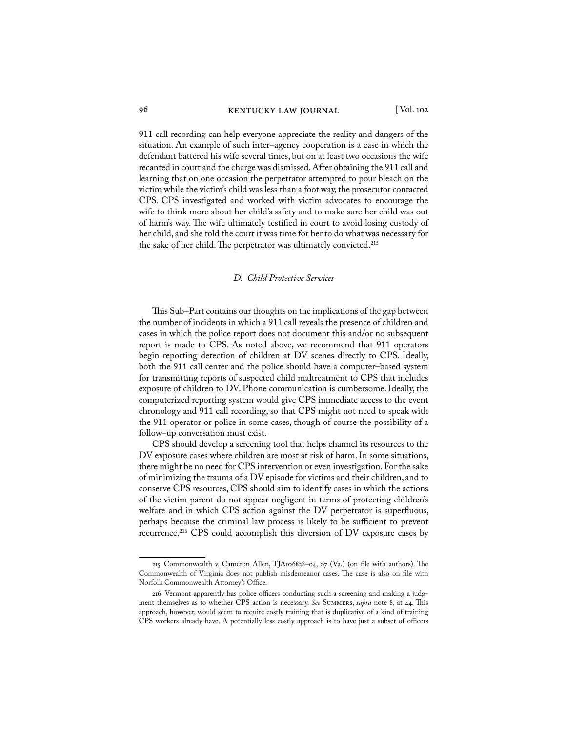#### 96 KENTUCKY LAW JOURNAL [Vol. 102

911 call recording can help everyone appreciate the reality and dangers of the situation. An example of such inter–agency cooperation is a case in which the defendant battered his wife several times, but on at least two occasions the wife recanted in court and the charge was dismissed. After obtaining the 911 call and learning that on one occasion the perpetrator attempted to pour bleach on the victim while the victim's child was less than a foot way, the prosecutor contacted CPS. CPS investigated and worked with victim advocates to encourage the wife to think more about her child's safety and to make sure her child was out of harm's way. The wife ultimately testified in court to avoid losing custody of her child, and she told the court it was time for her to do what was necessary for the sake of her child. The perpetrator was ultimately convicted.215

#### *D. Child Protective Services*

This Sub–Part contains our thoughts on the implications of the gap between the number of incidents in which a 911 call reveals the presence of children and cases in which the police report does not document this and/or no subsequent report is made to CPS. As noted above, we recommend that 911 operators begin reporting detection of children at DV scenes directly to CPS. Ideally, both the 911 call center and the police should have a computer–based system for transmitting reports of suspected child maltreatment to CPS that includes exposure of children to DV. Phone communication is cumbersome. Ideally, the computerized reporting system would give CPS immediate access to the event chronology and 911 call recording, so that CPS might not need to speak with the 911 operator or police in some cases, though of course the possibility of a follow–up conversation must exist.

CPS should develop a screening tool that helps channel its resources to the DV exposure cases where children are most at risk of harm. In some situations, there might be no need for CPS intervention or even investigation. For the sake of minimizing the trauma of a DV episode for victims and their children, and to conserve CPS resources, CPS should aim to identify cases in which the actions of the victim parent do not appear negligent in terms of protecting children's welfare and in which CPS action against the DV perpetrator is superfluous, perhaps because the criminal law process is likely to be sufficient to prevent recurrence.216 CPS could accomplish this diversion of DV exposure cases by

<sup>215</sup> Commonwealth v. Cameron Allen, TJA106828–04, 07 (Va.) (on file with authors). The Commonwealth of Virginia does not publish misdemeanor cases. The case is also on file with Norfolk Commonwealth Attorney's Office.

<sup>216</sup> Vermont apparently has police officers conducting such a screening and making a judgment themselves as to whether CPS action is necessary. *See* Summers, *supra* note 8, at 44. This approach, however, would seem to require costly training that is duplicative of a kind of training CPS workers already have. A potentially less costly approach is to have just a subset of officers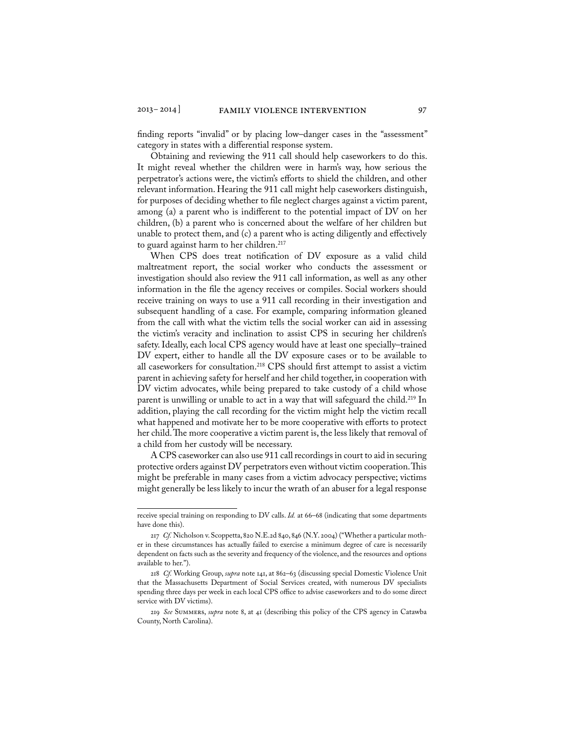finding reports "invalid" or by placing low–danger cases in the "assessment" category in states with a differential response system.

Obtaining and reviewing the 911 call should help caseworkers to do this. It might reveal whether the children were in harm's way, how serious the perpetrator's actions were, the victim's efforts to shield the children, and other relevant information. Hearing the 911 call might help caseworkers distinguish, for purposes of deciding whether to file neglect charges against a victim parent, among (a) a parent who is indifferent to the potential impact of DV on her children, (b) a parent who is concerned about the welfare of her children but unable to protect them, and (c) a parent who is acting diligently and effectively to guard against harm to her children.<sup>217</sup>

When CPS does treat notification of DV exposure as a valid child maltreatment report, the social worker who conducts the assessment or investigation should also review the 911 call information, as well as any other information in the file the agency receives or compiles. Social workers should receive training on ways to use a 911 call recording in their investigation and subsequent handling of a case. For example, comparing information gleaned from the call with what the victim tells the social worker can aid in assessing the victim's veracity and inclination to assist CPS in securing her children's safety. Ideally, each local CPS agency would have at least one specially–trained DV expert, either to handle all the DV exposure cases or to be available to all caseworkers for consultation.<sup>218</sup> CPS should first attempt to assist a victim parent in achieving safety for herself and her child together, in cooperation with DV victim advocates, while being prepared to take custody of a child whose parent is unwilling or unable to act in a way that will safeguard the child.<sup>219</sup> In addition, playing the call recording for the victim might help the victim recall what happened and motivate her to be more cooperative with efforts to protect her child. The more cooperative a victim parent is, the less likely that removal of a child from her custody will be necessary.

A CPS caseworker can also use 911 call recordings in court to aid in securing protective orders against DV perpetrators even without victim cooperation. This might be preferable in many cases from a victim advocacy perspective; victims might generally be less likely to incur the wrath of an abuser for a legal response

receive special training on responding to DV calls. *Id.* at 66–68 (indicating that some departments have done this).

<sup>217</sup> *Cf.* Nicholson v. Scoppetta, 820 N.E.2d 840, 846 (N.Y. 2004) ("Whether a particular mother in these circumstances has actually failed to exercise a minimum degree of care is necessarily dependent on facts such as the severity and frequency of the violence, and the resources and options available to her.").

<sup>218</sup> *Cf.* Working Group, *supra* note 141, at 862–63 (discussing special Domestic Violence Unit that the Massachusetts Department of Social Services created, with numerous DV specialists spending three days per week in each local CPS office to advise caseworkers and to do some direct service with DV victims).

<sup>219</sup> *See* Summers, *supra* note 8, at 41 (describing this policy of the CPS agency in Catawba County, North Carolina).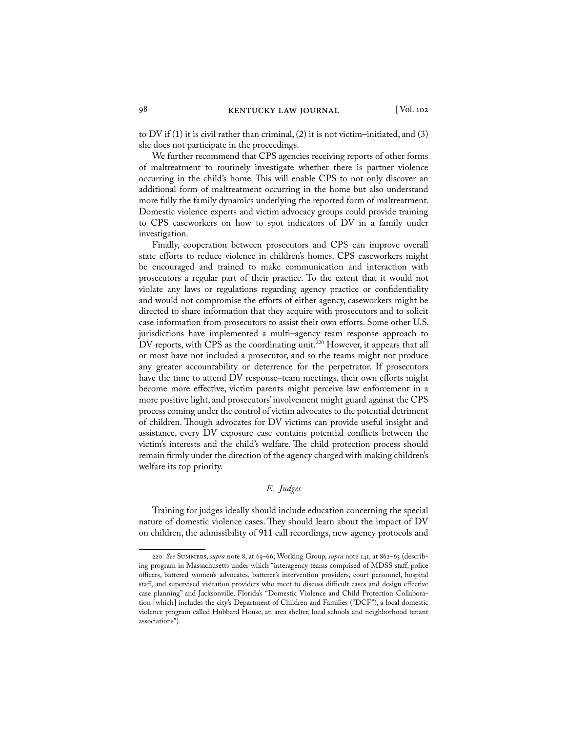to DV if  $(1)$  it is civil rather than criminal,  $(2)$  it is not victim–initiated, and  $(3)$ she does not participate in the proceedings.

We further recommend that CPS agencies receiving reports of other forms of maltreatment to routinely investigate whether there is partner violence occurring in the child's home. This will enable CPS to not only discover an additional form of maltreatment occurring in the home but also understand more fully the family dynamics underlying the reported form of maltreatment. Domestic violence experts and victim advocacy groups could provide training to CPS caseworkers on how to spot indicators of DV in a family under investigation.

Finally, cooperation between prosecutors and CPS can improve overall state efforts to reduce violence in children's homes. CPS caseworkers might be encouraged and trained to make communication and interaction with prosecutors a regular part of their practice. To the extent that it would not violate any laws or regulations regarding agency practice or confidentiality and would not compromise the efforts of either agency, caseworkers might be directed to share information that they acquire with prosecutors and to solicit case information from prosecutors to assist their own efforts. Some other U.S. jurisdictions have implemented a multi–agency team response approach to DV reports, with CPS as the coordinating unit.<sup>220</sup> However, it appears that all or most have not included a prosecutor, and so the teams might not produce any greater accountability or deterrence for the perpetrator. If prosecutors have the time to attend DV response–team meetings, their own efforts might become more effective, victim parents might perceive law enforcement in a more positive light, and prosecutors' involvement might guard against the CPS process coming under the control of victim advocates to the potential detriment of children. Though advocates for DV victims can provide useful insight and assistance, every DV exposure case contains potential conflicts between the victim's interests and the child's welfare. The child protection process should remain firmly under the direction of the agency charged with making children's welfare its top priority.

### *E. Judges*

Training for judges ideally should include education concerning the special nature of domestic violence cases. They should learn about the impact of DV on children, the admissibility of 911 call recordings, new agency protocols and

<sup>220</sup> *See* Summers, *supra* note 8, at 65–66; Working Group, *supra* note 141, at 862–63 (describing program in Massachusetts under which "interagency teams comprised of MDSS staff, police officers, battered women's advocates, batterer's intervention providers, court personnel, hospital staff, and supervised visitation providers who meet to discuss difficult cases and design effective case planning" and Jacksonville, Florida's "Domestic Violence and Child Protection Collaboration [which] includes the city's Department of Children and Families ("DCF"), a local domestic violence program called Hubbard House, an area shelter, local schools and neighborhood tenant associations").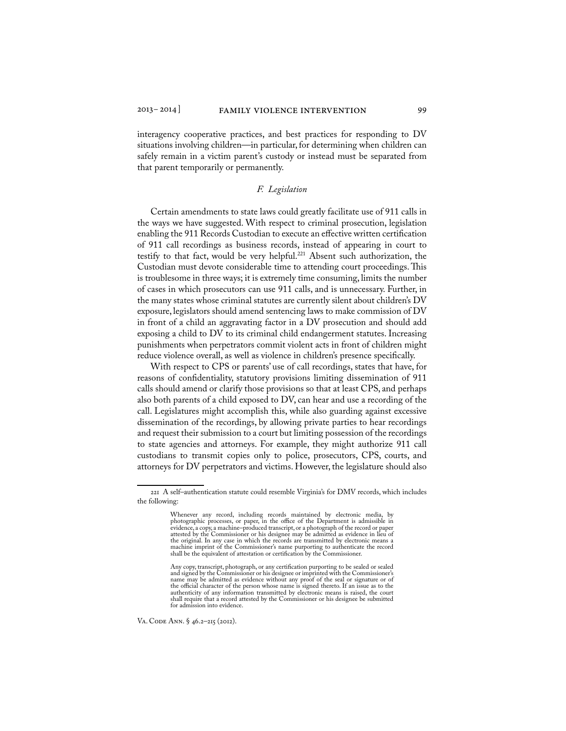interagency cooperative practices, and best practices for responding to DV situations involving children—in particular, for determining when children can safely remain in a victim parent's custody or instead must be separated from that parent temporarily or permanently.

#### *F. Legislation*

Certain amendments to state laws could greatly facilitate use of 911 calls in the ways we have suggested. With respect to criminal prosecution, legislation enabling the 911 Records Custodian to execute an effective written certification of 911 call recordings as business records, instead of appearing in court to testify to that fact, would be very helpful.<sup>221</sup> Absent such authorization, the Custodian must devote considerable time to attending court proceedings. This is troublesome in three ways; it is extremely time consuming, limits the number of cases in which prosecutors can use 911 calls, and is unnecessary. Further, in the many states whose criminal statutes are currently silent about children's DV exposure, legislators should amend sentencing laws to make commission of DV in front of a child an aggravating factor in a DV prosecution and should add exposing a child to DV to its criminal child endangerment statutes. Increasing punishments when perpetrators commit violent acts in front of children might reduce violence overall, as well as violence in children's presence specifically.

With respect to CPS or parents' use of call recordings, states that have, for reasons of confidentiality, statutory provisions limiting dissemination of 911 calls should amend or clarify those provisions so that at least CPS, and perhaps also both parents of a child exposed to DV, can hear and use a recording of the call. Legislatures might accomplish this, while also guarding against excessive dissemination of the recordings, by allowing private parties to hear recordings and request their submission to a court but limiting possession of the recordings to state agencies and attorneys. For example, they might authorize 911 call custodians to transmit copies only to police, prosecutors, CPS, courts, and attorneys for DV perpetrators and victims. However, the legislature should also

Va. Code Ann. § 46.2–215 (2012).

<sup>221</sup> A self–authentication statute could resemble Virginia's for DMV records, which includes the following:

Whenever any record, including records maintained by electronic media, by photographic processes, or paper, in the office of the Department is admissible in evidence, a copy, a machine–produced transcript, or a photograph of the record or paper attested by the Commissioner or his designee may be admitted as evidence in lieu of<br>the original. In any case in which the records are transmitted by electronic means a<br>machine imprint of the Commissioner's name purporting

Any copy, transcript, photograph, or any certification purporting to be sealed or sealed and signed by the Commissioner or his designee or imprinted with the Commissioner's name may be admitted as evidence without any proof of the seal or signature or of the official character of the person whose name is signed thereto. If an issue as to the authenticity of any information transmitted by electronic means is raised, the court shall require that a record attested by the Commissioner or his designee be submitted for admission into evidence.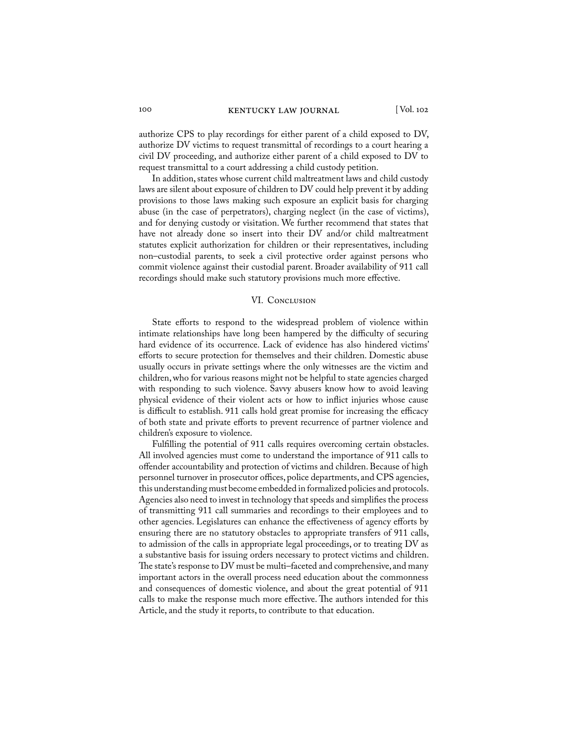authorize CPS to play recordings for either parent of a child exposed to DV, authorize DV victims to request transmittal of recordings to a court hearing a civil DV proceeding, and authorize either parent of a child exposed to DV to request transmittal to a court addressing a child custody petition.

In addition, states whose current child maltreatment laws and child custody laws are silent about exposure of children to DV could help prevent it by adding provisions to those laws making such exposure an explicit basis for charging abuse (in the case of perpetrators), charging neglect (in the case of victims), and for denying custody or visitation. We further recommend that states that have not already done so insert into their DV and/or child maltreatment statutes explicit authorization for children or their representatives, including non–custodial parents, to seek a civil protective order against persons who commit violence against their custodial parent. Broader availability of 911 call recordings should make such statutory provisions much more effective.

#### VI. CONCLUSION

State efforts to respond to the widespread problem of violence within intimate relationships have long been hampered by the difficulty of securing hard evidence of its occurrence. Lack of evidence has also hindered victims' efforts to secure protection for themselves and their children. Domestic abuse usually occurs in private settings where the only witnesses are the victim and children, who for various reasons might not be helpful to state agencies charged with responding to such violence. Savvy abusers know how to avoid leaving physical evidence of their violent acts or how to inflict injuries whose cause is difficult to establish. 911 calls hold great promise for increasing the efficacy of both state and private efforts to prevent recurrence of partner violence and children's exposure to violence.

Fulfilling the potential of 911 calls requires overcoming certain obstacles. All involved agencies must come to understand the importance of 911 calls to offender accountability and protection of victims and children. Because of high personnel turnover in prosecutor offices, police departments, and CPS agencies, this understanding must become embedded in formalized policies and protocols. Agencies also need to invest in technology that speeds and simplifies the process of transmitting 911 call summaries and recordings to their employees and to other agencies. Legislatures can enhance the effectiveness of agency efforts by ensuring there are no statutory obstacles to appropriate transfers of 911 calls, to admission of the calls in appropriate legal proceedings, or to treating DV as a substantive basis for issuing orders necessary to protect victims and children. The state's response to DV must be multi–faceted and comprehensive, and many important actors in the overall process need education about the commonness and consequences of domestic violence, and about the great potential of 911 calls to make the response much more effective. The authors intended for this Article, and the study it reports, to contribute to that education.